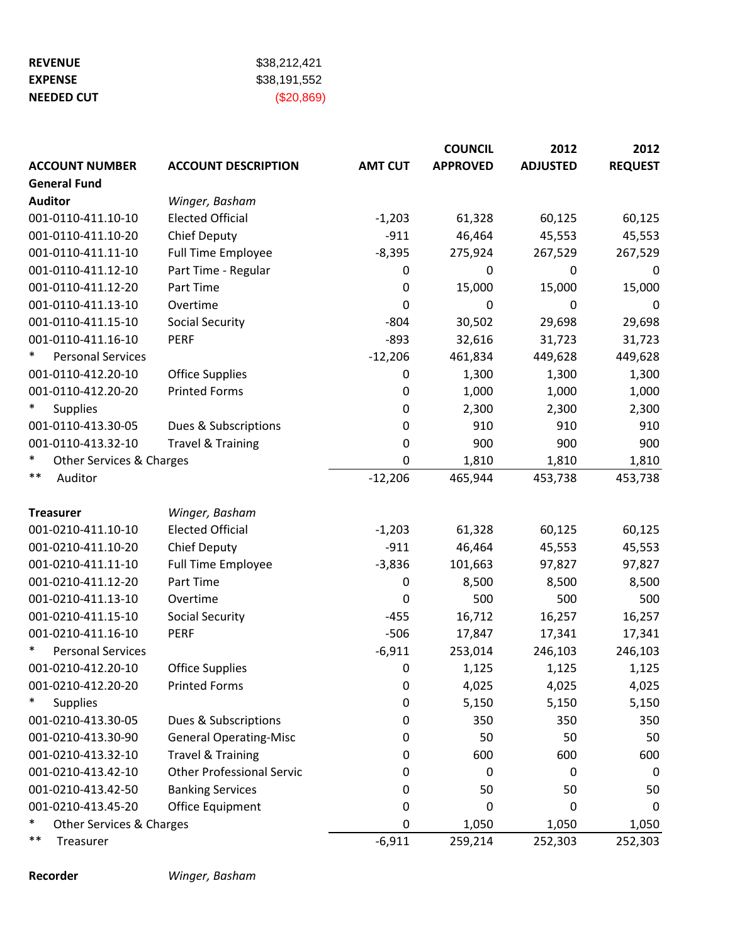| <b>REVENUE</b>    | \$38,212,421 |
|-------------------|--------------|
| <b>EXPENSE</b>    | \$38.191.552 |
| <b>NEEDED CUT</b> | $(\$20,869)$ |

|                                    |                                  |                  | <b>COUNCIL</b>   | 2012             | 2012           |
|------------------------------------|----------------------------------|------------------|------------------|------------------|----------------|
| <b>ACCOUNT NUMBER</b>              | <b>ACCOUNT DESCRIPTION</b>       | <b>AMT CUT</b>   | <b>APPROVED</b>  | <b>ADJUSTED</b>  | <b>REQUEST</b> |
| <b>General Fund</b>                |                                  |                  |                  |                  |                |
| <b>Auditor</b>                     | Winger, Basham                   |                  |                  |                  |                |
| 001-0110-411.10-10                 | <b>Elected Official</b>          | $-1,203$         | 61,328           | 60,125           | 60,125         |
| 001-0110-411.10-20                 | <b>Chief Deputy</b>              | $-911$           | 46,464           | 45,553           | 45,553         |
| 001-0110-411.11-10                 | <b>Full Time Employee</b>        | $-8,395$         | 275,924          | 267,529          | 267,529        |
| 001-0110-411.12-10                 | Part Time - Regular              | 0                | $\mathbf 0$      | $\mathbf 0$      | 0              |
| 001-0110-411.12-20                 | Part Time                        | $\mathbf 0$      | 15,000           | 15,000           | 15,000         |
| 001-0110-411.13-10                 | Overtime                         | 0                | $\boldsymbol{0}$ | $\boldsymbol{0}$ | 0              |
| 001-0110-411.15-10                 | <b>Social Security</b>           | $-804$           | 30,502           | 29,698           | 29,698         |
| 001-0110-411.16-10                 | <b>PERF</b>                      | $-893$           | 32,616           | 31,723           | 31,723         |
| $\ast$<br><b>Personal Services</b> |                                  | $-12,206$        | 461,834          | 449,628          | 449,628        |
| 001-0110-412.20-10                 | <b>Office Supplies</b>           | 0                | 1,300            | 1,300            | 1,300          |
| 001-0110-412.20-20                 | <b>Printed Forms</b>             | $\boldsymbol{0}$ | 1,000            | 1,000            | 1,000          |
| $\ast$<br><b>Supplies</b>          |                                  | 0                | 2,300            | 2,300            | 2,300          |
| 001-0110-413.30-05                 | Dues & Subscriptions             | 0                | 910              | 910              | 910            |
| 001-0110-413.32-10                 | <b>Travel &amp; Training</b>     | 0                | 900              | 900              | 900            |
| $\ast$<br>Other Services & Charges |                                  | 0                | 1,810            | 1,810            | 1,810          |
| $***$<br>Auditor                   |                                  | $-12,206$        | 465,944          | 453,738          | 453,738        |
| <b>Treasurer</b>                   | Winger, Basham                   |                  |                  |                  |                |
| 001-0210-411.10-10                 | <b>Elected Official</b>          | $-1,203$         | 61,328           | 60,125           | 60,125         |
| 001-0210-411.10-20                 | <b>Chief Deputy</b>              | $-911$           | 46,464           | 45,553           | 45,553         |
| 001-0210-411.11-10                 | <b>Full Time Employee</b>        | $-3,836$         | 101,663          | 97,827           | 97,827         |
| 001-0210-411.12-20                 | Part Time                        | 0                | 8,500            | 8,500            | 8,500          |
| 001-0210-411.13-10                 | Overtime                         | 0                | 500              | 500              | 500            |
| 001-0210-411.15-10                 | <b>Social Security</b>           | $-455$           | 16,712           | 16,257           | 16,257         |
| 001-0210-411.16-10                 | <b>PERF</b>                      | $-506$           | 17,847           | 17,341           | 17,341         |
| $\ast$<br><b>Personal Services</b> |                                  | $-6,911$         | 253,014          | 246,103          | 246,103        |
| 001-0210-412.20-10                 | <b>Office Supplies</b>           | 0                | 1,125            | 1,125            | 1,125          |
| 001-0210-412.20-20                 | <b>Printed Forms</b>             | 0                | 4,025            | 4,025            | 4,025          |
| ∗<br><b>Supplies</b>               |                                  | 0                | 5,150            | 5,150            | 5,150          |
| 001-0210-413.30-05                 | Dues & Subscriptions             | 0                | 350              | 350              | 350            |
| 001-0210-413.30-90                 | <b>General Operating-Misc</b>    | 0                | 50               | 50               | 50             |
| 001-0210-413.32-10                 | <b>Travel &amp; Training</b>     | 0                | 600              | 600              | 600            |
| 001-0210-413.42-10                 | <b>Other Professional Servic</b> | 0                | 0                | 0                | 0              |
| 001-0210-413.42-50                 | <b>Banking Services</b>          | 0                | 50               | 50               | 50             |
| 001-0210-413.45-20                 | Office Equipment                 | 0                | $\boldsymbol{0}$ | $\boldsymbol{0}$ | 0              |
| $\ast$<br>Other Services & Charges |                                  | 0                | 1,050            | 1,050            | 1,050          |
| $***$<br>Treasurer                 |                                  | $-6,911$         | 259,214          | 252,303          | 252,303        |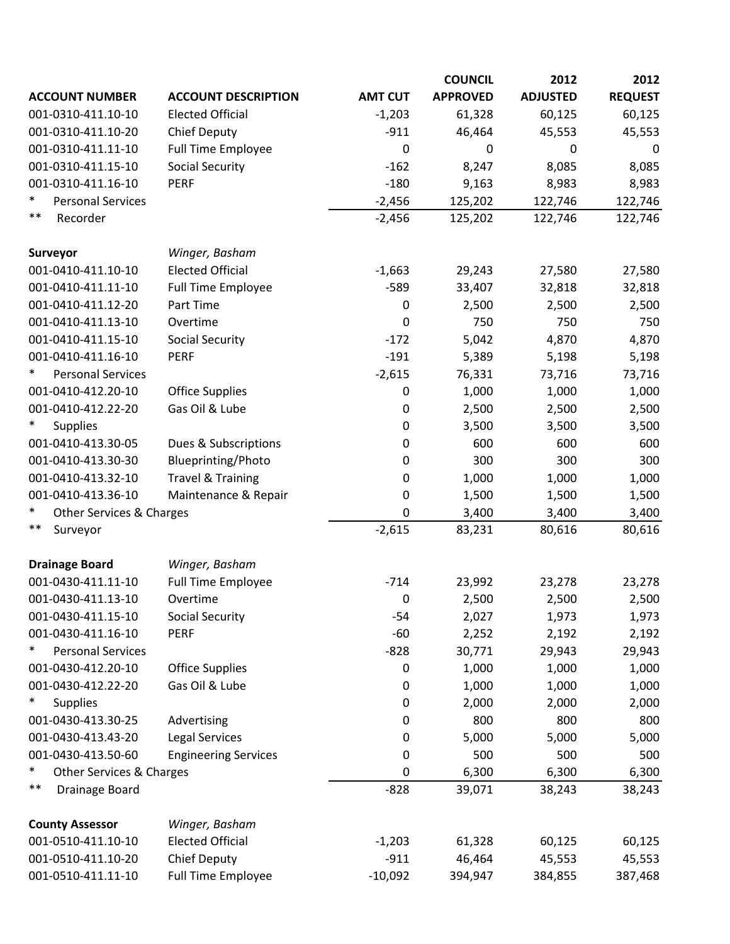|                                    |                              |                  | <b>COUNCIL</b>   | 2012            | 2012           |
|------------------------------------|------------------------------|------------------|------------------|-----------------|----------------|
| <b>ACCOUNT NUMBER</b>              | <b>ACCOUNT DESCRIPTION</b>   | <b>AMT CUT</b>   | <b>APPROVED</b>  | <b>ADJUSTED</b> | <b>REQUEST</b> |
| 001-0310-411.10-10                 | <b>Elected Official</b>      | $-1,203$         | 61,328           | 60,125          | 60,125         |
| 001-0310-411.10-20                 | <b>Chief Deputy</b>          | $-911$           | 46,464           | 45,553          | 45,553         |
| 001-0310-411.11-10                 | <b>Full Time Employee</b>    | 0                | $\boldsymbol{0}$ | 0               | 0              |
| 001-0310-411.15-10                 | <b>Social Security</b>       | $-162$           | 8,247            | 8,085           | 8,085          |
| 001-0310-411.16-10                 | <b>PERF</b>                  | $-180$           | 9,163            | 8,983           | 8,983          |
| $\ast$<br><b>Personal Services</b> |                              | $-2,456$         | 125,202          | 122,746         | 122,746        |
| $***$<br>Recorder                  |                              | $-2,456$         | 125,202          | 122,746         | 122,746        |
| Surveyor                           | Winger, Basham               |                  |                  |                 |                |
| 001-0410-411.10-10                 | <b>Elected Official</b>      | $-1,663$         | 29,243           | 27,580          | 27,580         |
| 001-0410-411.11-10                 | <b>Full Time Employee</b>    | $-589$           | 33,407           | 32,818          | 32,818         |
| 001-0410-411.12-20                 | Part Time                    | $\boldsymbol{0}$ | 2,500            | 2,500           | 2,500          |
| 001-0410-411.13-10                 | Overtime                     | $\mathbf 0$      | 750              | 750             | 750            |
| 001-0410-411.15-10                 | <b>Social Security</b>       | $-172$           | 5,042            | 4,870           | 4,870          |
| 001-0410-411.16-10                 | <b>PERF</b>                  | $-191$           | 5,389            | 5,198           | 5,198          |
| ∗<br><b>Personal Services</b>      |                              | $-2,615$         | 76,331           | 73,716          | 73,716         |
| 001-0410-412.20-10                 | <b>Office Supplies</b>       | $\mathbf 0$      | 1,000            | 1,000           | 1,000          |
| 001-0410-412.22-20                 | Gas Oil & Lube               | $\boldsymbol{0}$ | 2,500            | 2,500           | 2,500          |
| <b>Supplies</b>                    |                              | 0                | 3,500            | 3,500           | 3,500          |
| 001-0410-413.30-05                 | Dues & Subscriptions         | 0                | 600              | 600             | 600            |
| 001-0410-413.30-30                 | Blueprinting/Photo           | 0                | 300              | 300             | 300            |
| 001-0410-413.32-10                 | <b>Travel &amp; Training</b> | 0                | 1,000            | 1,000           | 1,000          |
| 001-0410-413.36-10                 | Maintenance & Repair         | $\bf{0}$         | 1,500            | 1,500           | 1,500          |
| *<br>Other Services & Charges      |                              | 0                | 3,400            | 3,400           | 3,400          |
| $***$<br>Surveyor                  |                              | $-2,615$         | 83,231           | 80,616          | 80,616         |
| <b>Drainage Board</b>              | Winger, Basham               |                  |                  |                 |                |
| 001-0430-411.11-10                 | <b>Full Time Employee</b>    | $-714$           | 23,992           | 23,278          | 23,278         |
| 001-0430-411.13-10                 | Overtime                     | $\boldsymbol{0}$ | 2,500            | 2,500           | 2,500          |
| 001-0430-411.15-10                 | <b>Social Security</b>       | $-54$            | 2,027            | 1,973           | 1,973          |
| 001-0430-411.16-10                 | PERF                         | $-60$            | 2,252            | 2,192           | 2,192          |
| $\ast$<br><b>Personal Services</b> |                              | $-828$           | 30,771           | 29,943          | 29,943         |
| 001-0430-412.20-10                 | <b>Office Supplies</b>       | $\boldsymbol{0}$ | 1,000            | 1,000           | 1,000          |
| 001-0430-412.22-20                 | Gas Oil & Lube               | $\boldsymbol{0}$ | 1,000            | 1,000           | 1,000          |
| $\ast$<br>Supplies                 |                              | $\mathbf 0$      | 2,000            | 2,000           | 2,000          |
| 001-0430-413.30-25                 | Advertising                  | 0                | 800              | 800             | 800            |
| 001-0430-413.43-20                 | <b>Legal Services</b>        | 0                | 5,000            | 5,000           | 5,000          |
| 001-0430-413.50-60                 | <b>Engineering Services</b>  | 0                | 500              | 500             | 500            |
| $\ast$<br>Other Services & Charges |                              | $\mathbf 0$      | 6,300            | 6,300           | 6,300          |
| **<br>Drainage Board               |                              | $-828$           | 39,071           | 38,243          | 38,243         |
| <b>County Assessor</b>             | Winger, Basham               |                  |                  |                 |                |
| 001-0510-411.10-10                 | <b>Elected Official</b>      | $-1,203$         | 61,328           | 60,125          | 60,125         |
| 001-0510-411.10-20                 | <b>Chief Deputy</b>          | $-911$           | 46,464           | 45,553          | 45,553         |
| 001-0510-411.11-10                 | <b>Full Time Employee</b>    | $-10,092$        | 394,947          | 384,855         | 387,468        |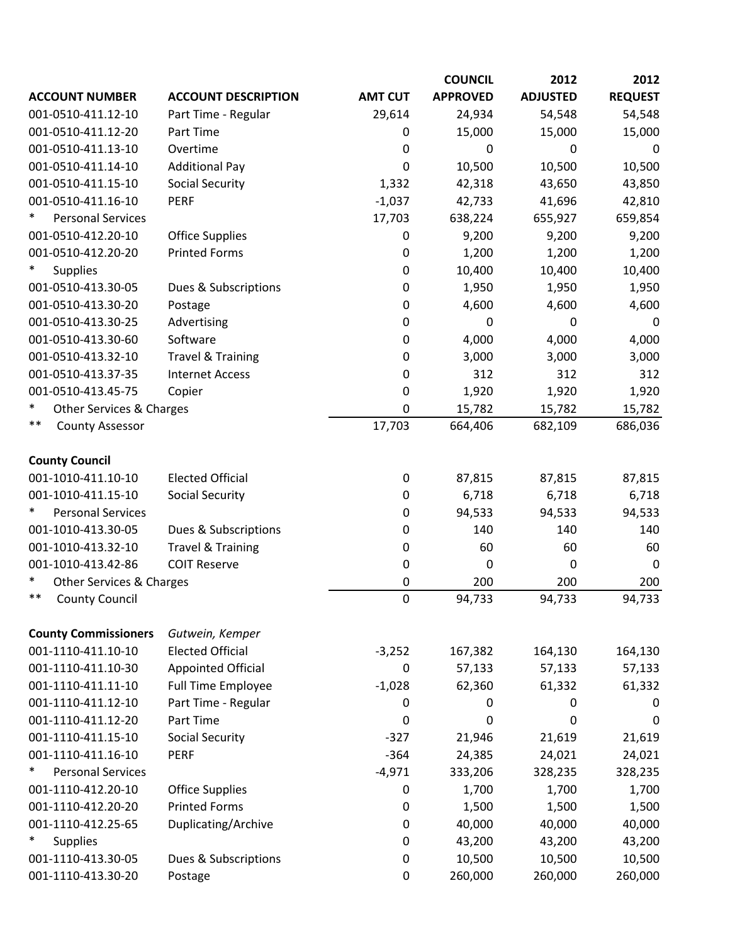|                                    |                              |                  | <b>COUNCIL</b>  | 2012            | 2012           |
|------------------------------------|------------------------------|------------------|-----------------|-----------------|----------------|
| <b>ACCOUNT NUMBER</b>              | <b>ACCOUNT DESCRIPTION</b>   | <b>AMT CUT</b>   | <b>APPROVED</b> | <b>ADJUSTED</b> | <b>REQUEST</b> |
| 001-0510-411.12-10                 | Part Time - Regular          | 29,614           | 24,934          | 54,548          | 54,548         |
| 001-0510-411.12-20                 | Part Time                    | 0                | 15,000          | 15,000          | 15,000         |
| 001-0510-411.13-10                 | Overtime                     | $\boldsymbol{0}$ | 0               | 0               | 0              |
| 001-0510-411.14-10                 | <b>Additional Pay</b>        | 0                | 10,500          | 10,500          | 10,500         |
| 001-0510-411.15-10                 | <b>Social Security</b>       | 1,332            | 42,318          | 43,650          | 43,850         |
| 001-0510-411.16-10                 | <b>PERF</b>                  | $-1,037$         | 42,733          | 41,696          | 42,810         |
| ∗<br><b>Personal Services</b>      |                              | 17,703           | 638,224         | 655,927         | 659,854        |
| 001-0510-412.20-10                 | <b>Office Supplies</b>       | 0                | 9,200           | 9,200           | 9,200          |
| 001-0510-412.20-20                 | <b>Printed Forms</b>         | 0                | 1,200           | 1,200           | 1,200          |
| $\ast$<br><b>Supplies</b>          |                              | 0                | 10,400          | 10,400          | 10,400         |
| 001-0510-413.30-05                 | Dues & Subscriptions         | 0                | 1,950           | 1,950           | 1,950          |
| 001-0510-413.30-20                 | Postage                      | 0                | 4,600           | 4,600           | 4,600          |
| 001-0510-413.30-25                 | Advertising                  | 0                | 0               | 0               | $\mathbf 0$    |
| 001-0510-413.30-60                 | Software                     | 0                | 4,000           | 4,000           | 4,000          |
| 001-0510-413.32-10                 | <b>Travel &amp; Training</b> | 0                | 3,000           | 3,000           | 3,000          |
| 001-0510-413.37-35                 | <b>Internet Access</b>       | 0                | 312             | 312             | 312            |
| 001-0510-413.45-75                 | Copier                       | 0                | 1,920           | 1,920           | 1,920          |
| $\ast$<br>Other Services & Charges |                              | 0                | 15,782          | 15,782          | 15,782         |
| $***$<br><b>County Assessor</b>    |                              | 17,703           | 664,406         | 682,109         | 686,036        |
| <b>County Council</b>              |                              |                  |                 |                 |                |
| 001-1010-411.10-10                 | <b>Elected Official</b>      | $\pmb{0}$        | 87,815          | 87,815          | 87,815         |
| 001-1010-411.15-10                 | <b>Social Security</b>       | 0                | 6,718           | 6,718           | 6,718          |
| <b>Personal Services</b>           |                              | 0                | 94,533          | 94,533          | 94,533         |
| 001-1010-413.30-05                 | Dues & Subscriptions         | 0                | 140             | 140             | 140            |
| 001-1010-413.32-10                 | <b>Travel &amp; Training</b> | 0                | 60              | 60              | 60             |
| 001-1010-413.42-86                 | <b>COIT Reserve</b>          | 0                | 0               | 0               | 0              |
| $\ast$<br>Other Services & Charges |                              | 0                | 200             | 200             | 200            |
| $***$<br><b>County Council</b>     |                              | $\mathbf 0$      | 94,733          | 94,733          | 94,733         |
| <b>County Commissioners</b>        | Gutwein, Kemper              |                  |                 |                 |                |
| 001-1110-411.10-10                 | <b>Elected Official</b>      | $-3,252$         | 167,382         | 164,130         | 164,130        |
| 001-1110-411.10-30                 | <b>Appointed Official</b>    | 0                | 57,133          | 57,133          | 57,133         |
| 001-1110-411.11-10                 | <b>Full Time Employee</b>    | $-1,028$         | 62,360          | 61,332          | 61,332         |
| 001-1110-411.12-10                 | Part Time - Regular          | 0                | 0               | 0               | 0              |
| 001-1110-411.12-20                 | Part Time                    | $\Omega$         | 0               | 0               | 0              |
| 001-1110-411.15-10                 | <b>Social Security</b>       | $-327$           | 21,946          | 21,619          | 21,619         |
| 001-1110-411.16-10                 | <b>PERF</b>                  | $-364$           | 24,385          | 24,021          | 24,021         |
| ∗<br><b>Personal Services</b>      |                              | $-4,971$         | 333,206         | 328,235         | 328,235        |
| 001-1110-412.20-10                 | <b>Office Supplies</b>       | 0                | 1,700           | 1,700           | 1,700          |
| 001-1110-412.20-20                 | <b>Printed Forms</b>         | 0                | 1,500           | 1,500           | 1,500          |
| 001-1110-412.25-65                 | Duplicating/Archive          | 0                | 40,000          | 40,000          | 40,000         |
| ∗<br><b>Supplies</b>               |                              | 0                | 43,200          | 43,200          | 43,200         |
| 001-1110-413.30-05                 | Dues & Subscriptions         | 0                | 10,500          | 10,500          | 10,500         |
| 001-1110-413.30-20                 | Postage                      | 0                | 260,000         | 260,000         | 260,000        |
|                                    |                              |                  |                 |                 |                |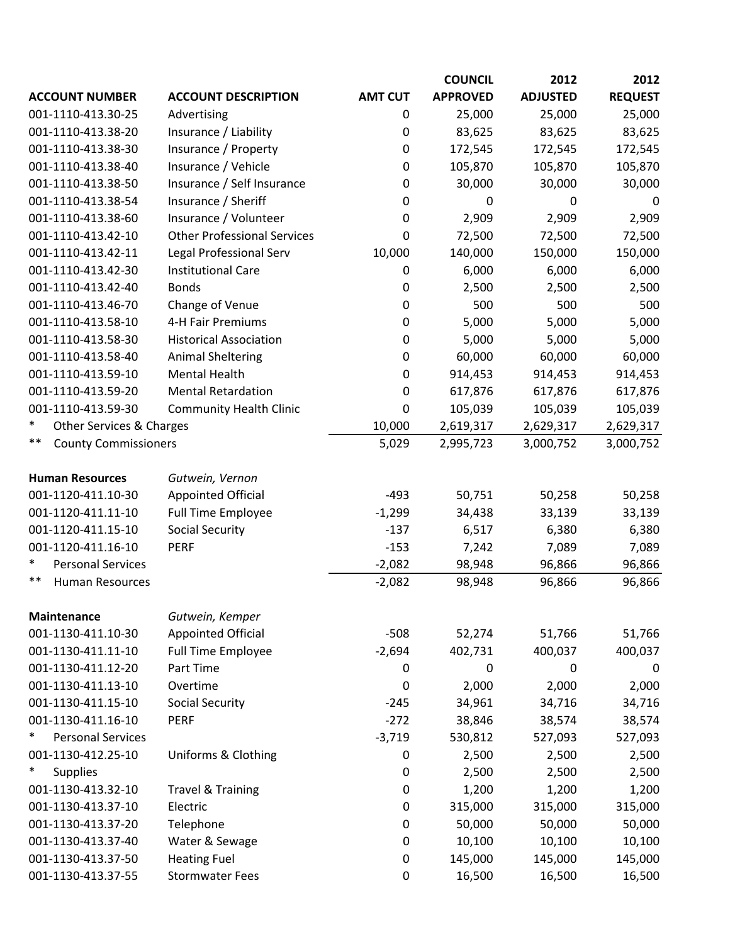|                                          |                                                        |                | <b>COUNCIL</b>    | 2012              | 2012              |
|------------------------------------------|--------------------------------------------------------|----------------|-------------------|-------------------|-------------------|
| <b>ACCOUNT NUMBER</b>                    | <b>ACCOUNT DESCRIPTION</b>                             | <b>AMT CUT</b> | <b>APPROVED</b>   | <b>ADJUSTED</b>   | <b>REQUEST</b>    |
| 001-1110-413.30-25                       | Advertising                                            | 0              | 25,000            | 25,000            | 25,000            |
| 001-1110-413.38-20                       | Insurance / Liability                                  | 0              | 83,625            | 83,625            | 83,625            |
| 001-1110-413.38-30                       | Insurance / Property                                   | 0              | 172,545           | 172,545           | 172,545           |
| 001-1110-413.38-40                       | Insurance / Vehicle                                    | 0              | 105,870           | 105,870           | 105,870           |
| 001-1110-413.38-50                       | Insurance / Self Insurance                             | 0              | 30,000            | 30,000            | 30,000            |
| 001-1110-413.38-54                       | Insurance / Sheriff                                    | 0              | 0                 | 0                 | 0                 |
| 001-1110-413.38-60                       | Insurance / Volunteer                                  | 0              | 2,909             | 2,909             | 2,909             |
| 001-1110-413.42-10                       | <b>Other Professional Services</b>                     | 0              | 72,500            | 72,500            | 72,500            |
| 001-1110-413.42-11                       | Legal Professional Serv                                | 10,000         | 140,000           | 150,000           | 150,000           |
| 001-1110-413.42-30                       | <b>Institutional Care</b>                              | 0              | 6,000             | 6,000             | 6,000             |
| 001-1110-413.42-40                       | <b>Bonds</b>                                           | 0              | 2,500             | 2,500             | 2,500             |
| 001-1110-413.46-70                       | Change of Venue                                        | 0              | 500               | 500               | 500               |
| 001-1110-413.58-10                       | 4-H Fair Premiums                                      | 0              | 5,000             | 5,000             | 5,000             |
| 001-1110-413.58-30                       | <b>Historical Association</b>                          | 0              | 5,000             | 5,000             | 5,000             |
| 001-1110-413.58-40                       | <b>Animal Sheltering</b>                               | 0              | 60,000            | 60,000            | 60,000            |
| 001-1110-413.59-10                       | <b>Mental Health</b>                                   | 0              | 914,453           | 914,453           | 914,453           |
| 001-1110-413.59-20                       | <b>Mental Retardation</b>                              | 0              | 617,876           | 617,876           | 617,876           |
| 001-1110-413.59-30                       | <b>Community Health Clinic</b>                         | 0              | 105,039           | 105,039           | 105,039           |
| $\ast$<br>Other Services & Charges       |                                                        | 10,000         | 2,619,317         | 2,629,317         | 2,629,317         |
| $***$<br><b>County Commissioners</b>     |                                                        | 5,029          | 2,995,723         | 3,000,752         | 3,000,752         |
| <b>Human Resources</b>                   | Gutwein, Vernon                                        |                |                   |                   |                   |
| 001-1120-411.10-30                       | <b>Appointed Official</b>                              | $-493$         | 50,751            | 50,258            | 50,258            |
| 001-1120-411.11-10                       | <b>Full Time Employee</b>                              | $-1,299$       | 34,438            | 33,139            | 33,139            |
| 001-1120-411.15-10                       | <b>Social Security</b>                                 | $-137$         | 6,517             | 6,380             | 6,380             |
| 001-1120-411.16-10                       | <b>PERF</b>                                            | $-153$         | 7,242             | 7,089             | 7,089             |
| $\ast$<br><b>Personal Services</b>       |                                                        | $-2,082$       | 98,948            | 96,866            | 96,866            |
| $***$<br><b>Human Resources</b>          |                                                        | $-2,082$       | 98,948            | 96,866            | 96,866            |
|                                          |                                                        |                |                   |                   |                   |
| <b>Maintenance</b><br>001-1130-411.10-30 | Gutwein, Kemper                                        | $-508$         |                   |                   |                   |
| 001-1130-411.11-10                       | <b>Appointed Official</b><br><b>Full Time Employee</b> | $-2,694$       | 52,274<br>402,731 | 51,766<br>400,037 | 51,766<br>400,037 |
| 001-1130-411.12-20                       | Part Time                                              | 0              | 0                 | $\mathbf 0$       | 0                 |
| 001-1130-411.13-10                       | Overtime                                               |                | 2,000             | 2,000             |                   |
| 001-1130-411.15-10                       | <b>Social Security</b>                                 | 0<br>$-245$    | 34,961            | 34,716            | 2,000<br>34,716   |
| 001-1130-411.16-10                       | PERF                                                   | $-272$         | 38,846            | 38,574            | 38,574            |
| $\ast$<br><b>Personal Services</b>       |                                                        | $-3,719$       | 530,812           | 527,093           | 527,093           |
| 001-1130-412.25-10                       | Uniforms & Clothing                                    | 0              | 2,500             | 2,500             | 2,500             |
| ∗<br><b>Supplies</b>                     |                                                        | 0              | 2,500             | 2,500             | 2,500             |
| 001-1130-413.32-10                       | <b>Travel &amp; Training</b>                           | 0              | 1,200             | 1,200             | 1,200             |
| 001-1130-413.37-10                       | Electric                                               | 0              | 315,000           | 315,000           | 315,000           |
| 001-1130-413.37-20                       | Telephone                                              | 0              | 50,000            | 50,000            | 50,000            |
| 001-1130-413.37-40                       | Water & Sewage                                         | 0              | 10,100            | 10,100            | 10,100            |
| 001-1130-413.37-50                       | <b>Heating Fuel</b>                                    | 0              | 145,000           | 145,000           | 145,000           |
| 001-1130-413.37-55                       | <b>Stormwater Fees</b>                                 | 0              | 16,500            | 16,500            | 16,500            |
|                                          |                                                        |                |                   |                   |                   |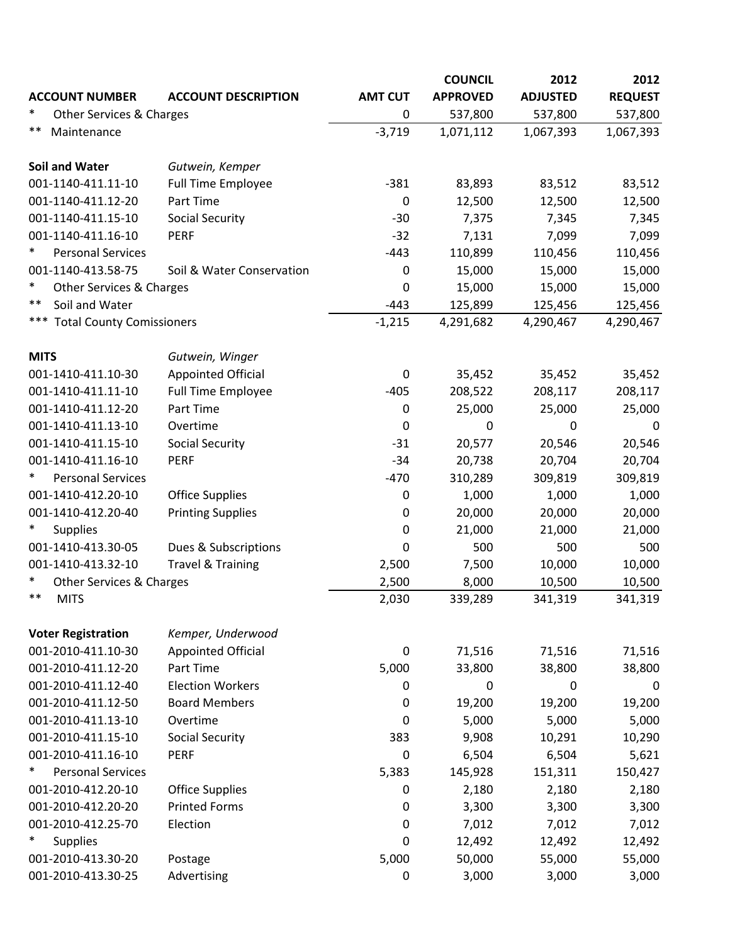|                                    |                              |                  | <b>COUNCIL</b>  | 2012            | 2012           |
|------------------------------------|------------------------------|------------------|-----------------|-----------------|----------------|
| <b>ACCOUNT NUMBER</b>              | <b>ACCOUNT DESCRIPTION</b>   | <b>AMT CUT</b>   | <b>APPROVED</b> | <b>ADJUSTED</b> | <b>REQUEST</b> |
| $\ast$<br>Other Services & Charges |                              | 0                | 537,800         | 537,800         | 537,800        |
| $***$<br>Maintenance               |                              | $-3,719$         | 1,071,112       | 1,067,393       | 1,067,393      |
|                                    |                              |                  |                 |                 |                |
| <b>Soil and Water</b>              | Gutwein, Kemper              |                  |                 |                 |                |
| 001-1140-411.11-10                 | <b>Full Time Employee</b>    | $-381$           | 83,893          | 83,512          | 83,512         |
| 001-1140-411.12-20                 | Part Time                    | $\pmb{0}$        | 12,500          | 12,500          | 12,500         |
| 001-1140-411.15-10                 | <b>Social Security</b>       | $-30$            | 7,375           | 7,345           | 7,345          |
| 001-1140-411.16-10                 | <b>PERF</b>                  | $-32$            | 7,131           | 7,099           | 7,099          |
| $\ast$<br><b>Personal Services</b> |                              | $-443$           | 110,899         | 110,456         | 110,456        |
| 001-1140-413.58-75                 | Soil & Water Conservation    | 0                | 15,000          | 15,000          | 15,000         |
| $\ast$<br>Other Services & Charges |                              | $\mathbf 0$      | 15,000          | 15,000          | 15,000         |
| $***$<br>Soil and Water            |                              | $-443$           | 125,899         | 125,456         | 125,456        |
| *** Total County Comissioners      |                              | $-1,215$         | 4,291,682       | 4,290,467       | 4,290,467      |
| <b>MITS</b>                        | Gutwein, Winger              |                  |                 |                 |                |
| 001-1410-411.10-30                 | <b>Appointed Official</b>    | 0                | 35,452          | 35,452          | 35,452         |
| 001-1410-411.11-10                 | <b>Full Time Employee</b>    | $-405$           | 208,522         | 208,117         | 208,117        |
| 001-1410-411.12-20                 | Part Time                    | $\mathbf 0$      | 25,000          | 25,000          | 25,000         |
| 001-1410-411.13-10                 | Overtime                     | 0                | 0               | 0               | 0              |
| 001-1410-411.15-10                 | <b>Social Security</b>       | $-31$            | 20,577          | 20,546          | 20,546         |
| 001-1410-411.16-10                 | <b>PERF</b>                  | $-34$            | 20,738          | 20,704          | 20,704         |
| $\ast$<br><b>Personal Services</b> |                              | $-470$           | 310,289         | 309,819         | 309,819        |
| 001-1410-412.20-10                 | <b>Office Supplies</b>       | 0                | 1,000           | 1,000           | 1,000          |
| 001-1410-412.20-40                 | <b>Printing Supplies</b>     | $\mathbf 0$      | 20,000          | 20,000          | 20,000         |
| $\ast$<br><b>Supplies</b>          |                              | $\boldsymbol{0}$ | 21,000          | 21,000          | 21,000         |
| 001-1410-413.30-05                 | Dues & Subscriptions         | 0                | 500             | 500             | 500            |
| 001-1410-413.32-10                 | <b>Travel &amp; Training</b> | 2,500            | 7,500           | 10,000          | 10,000         |
| $\ast$<br>Other Services & Charges |                              | 2,500            | 8,000           | 10,500          | 10,500         |
| $***$<br><b>MITS</b>               |                              | 2,030            | 339,289         | 341,319         | 341,319        |
|                                    |                              |                  |                 |                 |                |
| <b>Voter Registration</b>          | Kemper, Underwood            |                  |                 |                 |                |
| 001-2010-411.10-30                 | <b>Appointed Official</b>    | 0                | 71,516          | 71,516          | 71,516         |
| 001-2010-411.12-20                 | Part Time                    | 5,000            | 33,800          | 38,800          | 38,800         |
| 001-2010-411.12-40                 | <b>Election Workers</b>      | 0                | 0               | 0               | 0              |
| 001-2010-411.12-50                 | <b>Board Members</b>         | 0                | 19,200          | 19,200          | 19,200         |
| 001-2010-411.13-10                 | Overtime                     | $\Omega$         | 5,000           | 5,000           | 5,000          |
| 001-2010-411.15-10                 | <b>Social Security</b>       | 383              | 9,908           | 10,291          | 10,290         |
| 001-2010-411.16-10                 | <b>PERF</b>                  | 0                | 6,504           | 6,504           | 5,621          |
| $\ast$<br><b>Personal Services</b> |                              | 5,383            | 145,928         | 151,311         | 150,427        |
| 001-2010-412.20-10                 | <b>Office Supplies</b>       | 0                | 2,180           | 2,180           | 2,180          |
| 001-2010-412.20-20                 | <b>Printed Forms</b>         | 0                | 3,300           | 3,300           | 3,300          |
| 001-2010-412.25-70                 | Election                     | $\mathbf 0$      | 7,012           | 7,012           | 7,012          |
| ∗<br><b>Supplies</b>               |                              | 0                | 12,492          | 12,492          | 12,492         |
| 001-2010-413.30-20                 | Postage                      | 5,000            | 50,000          | 55,000          | 55,000         |
| 001-2010-413.30-25                 | Advertising                  | 0                | 3,000           | 3,000           | 3,000          |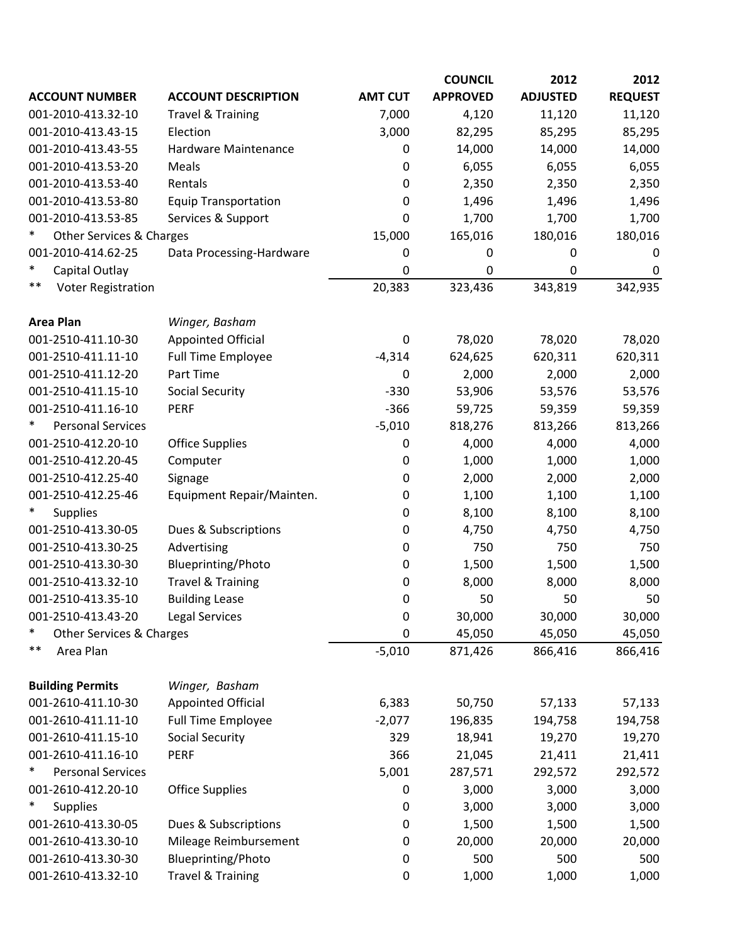|                                    |                              |                  | <b>COUNCIL</b>   | 2012            | 2012           |
|------------------------------------|------------------------------|------------------|------------------|-----------------|----------------|
| <b>ACCOUNT NUMBER</b>              | <b>ACCOUNT DESCRIPTION</b>   | <b>AMT CUT</b>   | <b>APPROVED</b>  | <b>ADJUSTED</b> | <b>REQUEST</b> |
| 001-2010-413.32-10                 | <b>Travel &amp; Training</b> | 7,000            | 4,120            | 11,120          | 11,120         |
| 001-2010-413.43-15                 | Election                     | 3,000            | 82,295           | 85,295          | 85,295         |
| 001-2010-413.43-55                 | Hardware Maintenance         | 0                | 14,000           | 14,000          | 14,000         |
| 001-2010-413.53-20                 | Meals                        | 0                | 6,055            | 6,055           | 6,055          |
| 001-2010-413.53-40                 | Rentals                      | 0                | 2,350            | 2,350           | 2,350          |
| 001-2010-413.53-80                 | <b>Equip Transportation</b>  | 0                | 1,496            | 1,496           | 1,496          |
| 001-2010-413.53-85                 | Services & Support           | 0                | 1,700            | 1,700           | 1,700          |
| ∗<br>Other Services & Charges      |                              | 15,000           | 165,016          | 180,016         | 180,016        |
| 001-2010-414.62-25                 | Data Processing-Hardware     | 0                | $\boldsymbol{0}$ | 0               | 0              |
| $\ast$<br>Capital Outlay           |                              | 0                | 0                | 0               | $\mathbf 0$    |
| $***$<br><b>Voter Registration</b> |                              | 20,383           | 323,436          | 343,819         | 342,935        |
| <b>Area Plan</b>                   | Winger, Basham               |                  |                  |                 |                |
| 001-2510-411.10-30                 | <b>Appointed Official</b>    | 0                | 78,020           | 78,020          | 78,020         |
| 001-2510-411.11-10                 | <b>Full Time Employee</b>    | $-4,314$         | 624,625          | 620,311         | 620,311        |
| 001-2510-411.12-20                 | Part Time                    | 0                | 2,000            | 2,000           | 2,000          |
| 001-2510-411.15-10                 | <b>Social Security</b>       | $-330$           | 53,906           | 53,576          | 53,576         |
| 001-2510-411.16-10                 | <b>PERF</b>                  | $-366$           | 59,725           | 59,359          | 59,359         |
| <b>Personal Services</b>           |                              | $-5,010$         | 818,276          | 813,266         | 813,266        |
| 001-2510-412.20-10                 | <b>Office Supplies</b>       | 0                | 4,000            | 4,000           | 4,000          |
| 001-2510-412.20-45                 | Computer                     | 0                | 1,000            | 1,000           | 1,000          |
| 001-2510-412.25-40                 | Signage                      | 0                | 2,000            | 2,000           | 2,000          |
| 001-2510-412.25-46                 | Equipment Repair/Mainten.    | 0                | 1,100            | 1,100           | 1,100          |
| <b>Supplies</b>                    |                              | 0                | 8,100            | 8,100           | 8,100          |
| 001-2510-413.30-05                 | Dues & Subscriptions         | 0                | 4,750            | 4,750           | 4,750          |
| 001-2510-413.30-25                 | Advertising                  | 0                | 750              | 750             | 750            |
| 001-2510-413.30-30                 | Blueprinting/Photo           | 0                | 1,500            | 1,500           | 1,500          |
| 001-2510-413.32-10                 | <b>Travel &amp; Training</b> | 0                | 8,000            | 8,000           | 8,000          |
| 001-2510-413.35-10                 | <b>Building Lease</b>        | 0                | 50               | 50              | 50             |
| 001-2510-413.43-20                 | <b>Legal Services</b>        | 0                | 30,000           | 30,000          | 30,000         |
| $\ast$<br>Other Services & Charges |                              | 0                | 45,050           | 45,050          | 45,050         |
| $***$<br>Area Plan                 |                              | $-5,010$         | 871,426          | 866,416         | 866,416        |
| <b>Building Permits</b>            | Winger, Basham               |                  |                  |                 |                |
| 001-2610-411.10-30                 | <b>Appointed Official</b>    | 6,383            | 50,750           | 57,133          | 57,133         |
| 001-2610-411.11-10                 | <b>Full Time Employee</b>    | $-2,077$         | 196,835          | 194,758         | 194,758        |
| 001-2610-411.15-10                 | <b>Social Security</b>       | 329              | 18,941           | 19,270          | 19,270         |
| 001-2610-411.16-10                 | <b>PERF</b>                  | 366              | 21,045           | 21,411          | 21,411         |
| ∗<br><b>Personal Services</b>      |                              | 5,001            | 287,571          | 292,572         | 292,572        |
| 001-2610-412.20-10                 | <b>Office Supplies</b>       | $\boldsymbol{0}$ | 3,000            | 3,000           | 3,000          |
| $\ast$<br><b>Supplies</b>          |                              | 0                | 3,000            | 3,000           | 3,000          |
| 001-2610-413.30-05                 | Dues & Subscriptions         | 0                | 1,500            | 1,500           | 1,500          |
| 001-2610-413.30-10                 | Mileage Reimbursement        | 0                | 20,000           | 20,000          | 20,000         |
| 001-2610-413.30-30                 | Blueprinting/Photo           | 0                | 500              | 500             | 500            |
| 001-2610-413.32-10                 | <b>Travel &amp; Training</b> | 0                | 1,000            | 1,000           | 1,000          |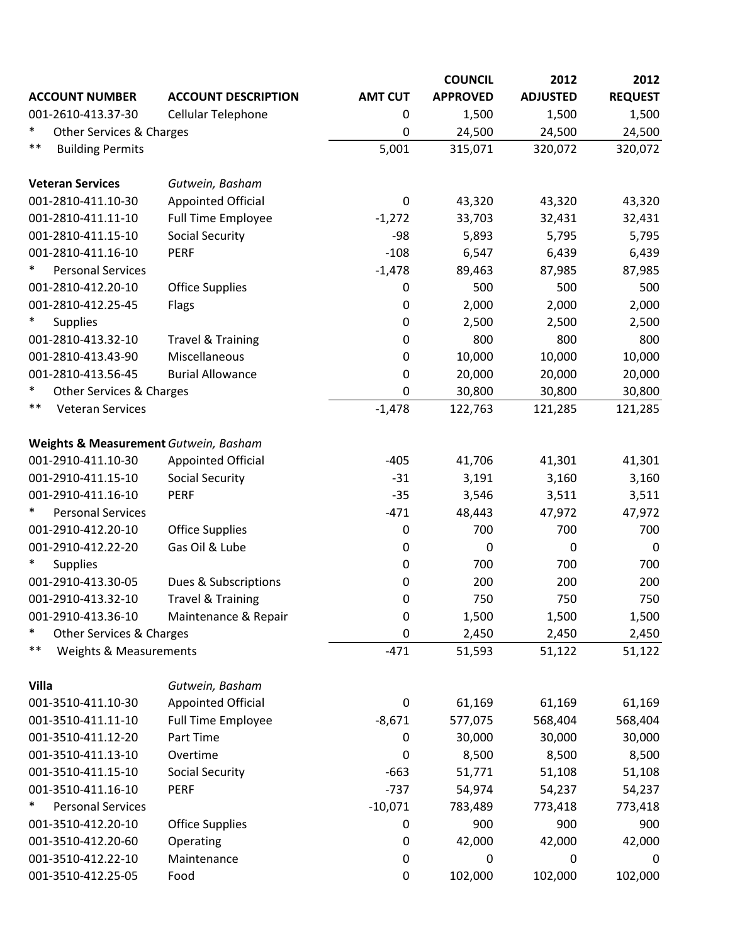|                                       |                              |                  | <b>COUNCIL</b>  | 2012            | 2012             |
|---------------------------------------|------------------------------|------------------|-----------------|-----------------|------------------|
| <b>ACCOUNT NUMBER</b>                 | <b>ACCOUNT DESCRIPTION</b>   | <b>AMT CUT</b>   | <b>APPROVED</b> | <b>ADJUSTED</b> | <b>REQUEST</b>   |
| 001-2610-413.37-30                    | Cellular Telephone           | 0                | 1,500           | 1,500           | 1,500            |
| $\ast$<br>Other Services & Charges    |                              | 0                | 24,500          | 24,500          | 24,500           |
| $***$<br><b>Building Permits</b>      |                              | 5,001            | 315,071         | 320,072         | 320,072          |
| <b>Veteran Services</b>               | Gutwein, Basham              |                  |                 |                 |                  |
| 001-2810-411.10-30                    | <b>Appointed Official</b>    | 0                | 43,320          | 43,320          | 43,320           |
| 001-2810-411.11-10                    | <b>Full Time Employee</b>    | $-1,272$         | 33,703          | 32,431          | 32,431           |
| 001-2810-411.15-10                    | <b>Social Security</b>       | $-98$            | 5,893           | 5,795           | 5,795            |
| 001-2810-411.16-10                    | <b>PERF</b>                  | $-108$           | 6,547           | 6,439           | 6,439            |
| <b>Personal Services</b>              |                              | $-1,478$         | 89,463          | 87,985          | 87,985           |
| 001-2810-412.20-10                    | <b>Office Supplies</b>       | 0                | 500             | 500             | 500              |
| 001-2810-412.25-45                    | Flags                        | 0                | 2,000           | 2,000           | 2,000            |
| $\ast$<br><b>Supplies</b>             |                              | 0                | 2,500           | 2,500           | 2,500            |
| 001-2810-413.32-10                    | <b>Travel &amp; Training</b> | 0                | 800             | 800             | 800              |
| 001-2810-413.43-90                    | Miscellaneous                | 0                | 10,000          | 10,000          | 10,000           |
| 001-2810-413.56-45                    | <b>Burial Allowance</b>      | 0                | 20,000          | 20,000          | 20,000           |
| $\ast$<br>Other Services & Charges    |                              | 0                | 30,800          | 30,800          | 30,800           |
| **<br><b>Veteran Services</b>         |                              | $-1,478$         | 122,763         | 121,285         | 121,285          |
| Weights & Measurement Gutwein, Basham |                              |                  |                 |                 |                  |
| 001-2910-411.10-30                    | <b>Appointed Official</b>    | $-405$           | 41,706          | 41,301          | 41,301           |
| 001-2910-411.15-10                    | <b>Social Security</b>       | $-31$            | 3,191           | 3,160           | 3,160            |
| 001-2910-411.16-10                    | <b>PERF</b>                  | $-35$            | 3,546           | 3,511           | 3,511            |
| <b>Personal Services</b>              |                              | $-471$           | 48,443          | 47,972          | 47,972           |
| 001-2910-412.20-10                    | <b>Office Supplies</b>       | 0                | 700             | 700             | 700              |
| 001-2910-412.22-20                    | Gas Oil & Lube               | 0                | 0               | $\mathbf 0$     | $\mathbf 0$      |
| $\ast$<br><b>Supplies</b>             |                              | 0                | 700             | 700             | 700              |
| 001-2910-413.30-05                    | Dues & Subscriptions         | 0                | 200             | 200             | 200              |
| 001-2910-413.32-10                    | <b>Travel &amp; Training</b> | 0                | 750             | 750             | 750              |
| 001-2910-413.36-10                    | Maintenance & Repair         | 0                | 1,500           | 1,500           | 1,500            |
| $\ast$<br>Other Services & Charges    |                              | 0                | 2,450           | 2,450           | 2,450            |
| $***$<br>Weights & Measurements       |                              | $-471$           | 51,593          | 51,122          | 51,122           |
| <b>Villa</b>                          | Gutwein, Basham              |                  |                 |                 |                  |
| 001-3510-411.10-30                    | <b>Appointed Official</b>    | 0                | 61,169          | 61,169          | 61,169           |
| 001-3510-411.11-10                    | <b>Full Time Employee</b>    | $-8,671$         | 577,075         | 568,404         | 568,404          |
| 001-3510-411.12-20                    | Part Time                    | 0                | 30,000          | 30,000          | 30,000           |
| 001-3510-411.13-10                    | Overtime                     | 0                | 8,500           | 8,500           | 8,500            |
| 001-3510-411.15-10                    | <b>Social Security</b>       | $-663$           | 51,771          | 51,108          | 51,108           |
| 001-3510-411.16-10                    | <b>PERF</b>                  | $-737$           | 54,974          | 54,237          | 54,237           |
| $\ast$<br><b>Personal Services</b>    |                              | $-10,071$        | 783,489         | 773,418         | 773,418          |
| 001-3510-412.20-10                    | <b>Office Supplies</b>       | $\boldsymbol{0}$ | 900             | 900             | 900              |
| 001-3510-412.20-60                    | Operating                    | 0                | 42,000          | 42,000          | 42,000           |
| 001-3510-412.22-10                    | Maintenance                  | $\boldsymbol{0}$ | 0               | $\mathbf 0$     | $\boldsymbol{0}$ |
| 001-3510-412.25-05                    | Food                         | 0                | 102,000         | 102,000         | 102,000          |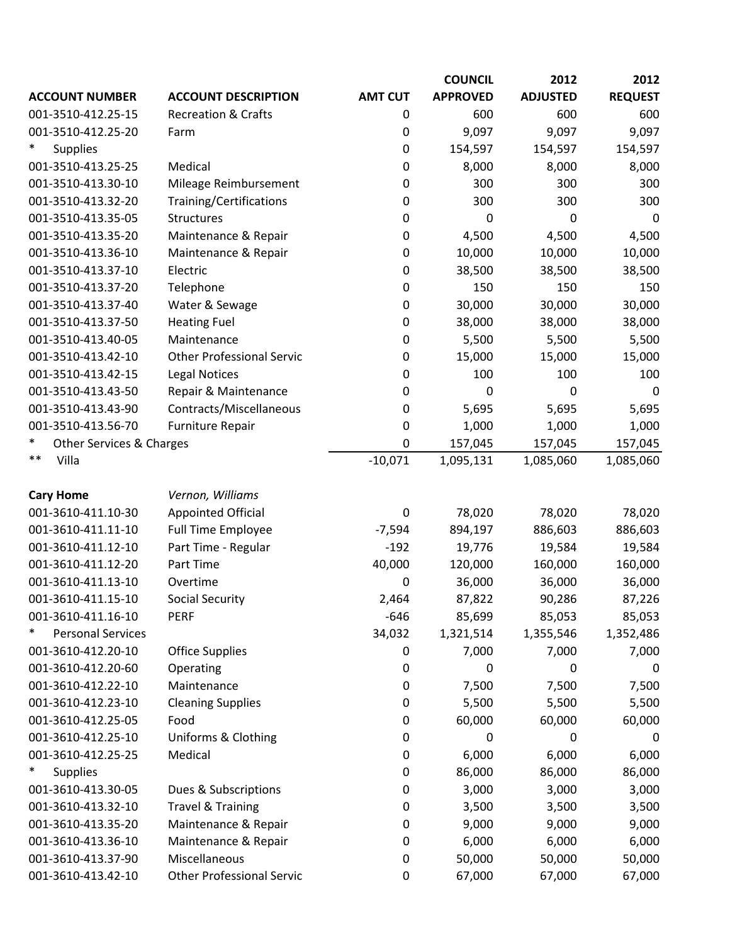|                                    |                                  |                  | <b>COUNCIL</b>  | 2012            | 2012           |
|------------------------------------|----------------------------------|------------------|-----------------|-----------------|----------------|
| <b>ACCOUNT NUMBER</b>              | <b>ACCOUNT DESCRIPTION</b>       | <b>AMT CUT</b>   | <b>APPROVED</b> | <b>ADJUSTED</b> | <b>REQUEST</b> |
| 001-3510-412.25-15                 | <b>Recreation &amp; Crafts</b>   | 0                | 600             | 600             | 600            |
| 001-3510-412.25-20                 | Farm                             | 0                | 9,097           | 9,097           | 9,097          |
| $\ast$<br><b>Supplies</b>          |                                  | 0                | 154,597         | 154,597         | 154,597        |
| 001-3510-413.25-25                 | Medical                          | 0                | 8,000           | 8,000           | 8,000          |
| 001-3510-413.30-10                 | Mileage Reimbursement            | 0                | 300             | 300             | 300            |
| 001-3510-413.32-20                 | Training/Certifications          | 0                | 300             | 300             | 300            |
| 001-3510-413.35-05                 | <b>Structures</b>                | 0                | 0               | 0               | 0              |
| 001-3510-413.35-20                 | Maintenance & Repair             | 0                | 4,500           | 4,500           | 4,500          |
| 001-3510-413.36-10                 | Maintenance & Repair             | 0                | 10,000          | 10,000          | 10,000         |
| 001-3510-413.37-10                 | Electric                         | $\boldsymbol{0}$ | 38,500          | 38,500          | 38,500         |
| 001-3510-413.37-20                 | Telephone                        | 0                | 150             | 150             | 150            |
| 001-3510-413.37-40                 | Water & Sewage                   | 0                | 30,000          | 30,000          | 30,000         |
| 001-3510-413.37-50                 | <b>Heating Fuel</b>              | 0                | 38,000          | 38,000          | 38,000         |
| 001-3510-413.40-05                 | Maintenance                      | 0                | 5,500           | 5,500           | 5,500          |
| 001-3510-413.42-10                 | <b>Other Professional Servic</b> | 0                | 15,000          | 15,000          | 15,000         |
| 001-3510-413.42-15                 | <b>Legal Notices</b>             | 0                | 100             | 100             | 100            |
| 001-3510-413.43-50                 | Repair & Maintenance             | 0                | 0               | 0               | 0              |
| 001-3510-413.43-90                 | Contracts/Miscellaneous          | 0                | 5,695           | 5,695           | 5,695          |
| 001-3510-413.56-70                 | Furniture Repair                 | 0                | 1,000           | 1,000           | 1,000          |
| $\ast$<br>Other Services & Charges |                                  | $\mathbf 0$      | 157,045         | 157,045         | 157,045        |
| $***$<br>Villa                     |                                  | $-10,071$        | 1,095,131       | 1,085,060       | 1,085,060      |
|                                    |                                  |                  |                 |                 |                |
| <b>Cary Home</b>                   | Vernon, Williams                 |                  |                 |                 |                |
| 001-3610-411.10-30                 | <b>Appointed Official</b>        | $\mathbf 0$      | 78,020          | 78,020          | 78,020         |
| 001-3610-411.11-10                 | <b>Full Time Employee</b>        | $-7,594$         | 894,197         | 886,603         | 886,603        |
| 001-3610-411.12-10                 | Part Time - Regular              | $-192$           | 19,776          | 19,584          | 19,584         |
| 001-3610-411.12-20                 | Part Time                        | 40,000           | 120,000         | 160,000         | 160,000        |
| 001-3610-411.13-10                 | Overtime                         | 0                | 36,000          | 36,000          | 36,000         |
| 001-3610-411.15-10                 | <b>Social Security</b>           | 2,464            | 87,822          | 90,286          | 87,226         |
| 001-3610-411.16-10                 | <b>PERF</b>                      | $-646$           | 85,699          | 85,053          | 85,053         |
| $\ast$<br><b>Personal Services</b> |                                  | 34,032           | 1,321,514       | 1,355,546       | 1,352,486      |
| 001-3610-412.20-10                 | <b>Office Supplies</b>           | 0                | 7,000           | 7,000           | 7,000          |
| 001-3610-412.20-60                 | Operating                        | $\mathbf 0$      | 0               | 0               | 0              |
| 001-3610-412.22-10                 | Maintenance                      | 0                | 7,500           | 7,500           | 7,500          |
| 001-3610-412.23-10                 | <b>Cleaning Supplies</b>         | 0                | 5,500           | 5,500           | 5,500          |
| 001-3610-412.25-05                 | Food                             | $\pmb{0}$        | 60,000          | 60,000          | 60,000         |
| 001-3610-412.25-10                 | Uniforms & Clothing              | 0                | 0               | 0               | 0              |
| 001-3610-412.25-25                 | Medical                          | $\mathbf 0$      | 6,000           | 6,000           | 6,000          |
| ∗<br><b>Supplies</b>               |                                  | 0                | 86,000          | 86,000          | 86,000         |
| 001-3610-413.30-05                 | Dues & Subscriptions             | 0                | 3,000           | 3,000           | 3,000          |
| 001-3610-413.32-10                 | <b>Travel &amp; Training</b>     | 0                | 3,500           | 3,500           | 3,500          |
| 001-3610-413.35-20                 | Maintenance & Repair             | 0                | 9,000           | 9,000           | 9,000          |
| 001-3610-413.36-10                 | Maintenance & Repair             | 0                | 6,000           | 6,000           | 6,000          |
| 001-3610-413.37-90                 | Miscellaneous                    | 0                | 50,000          | 50,000          | 50,000         |
| 001-3610-413.42-10                 | <b>Other Professional Servic</b> | 0                | 67,000          | 67,000          | 67,000         |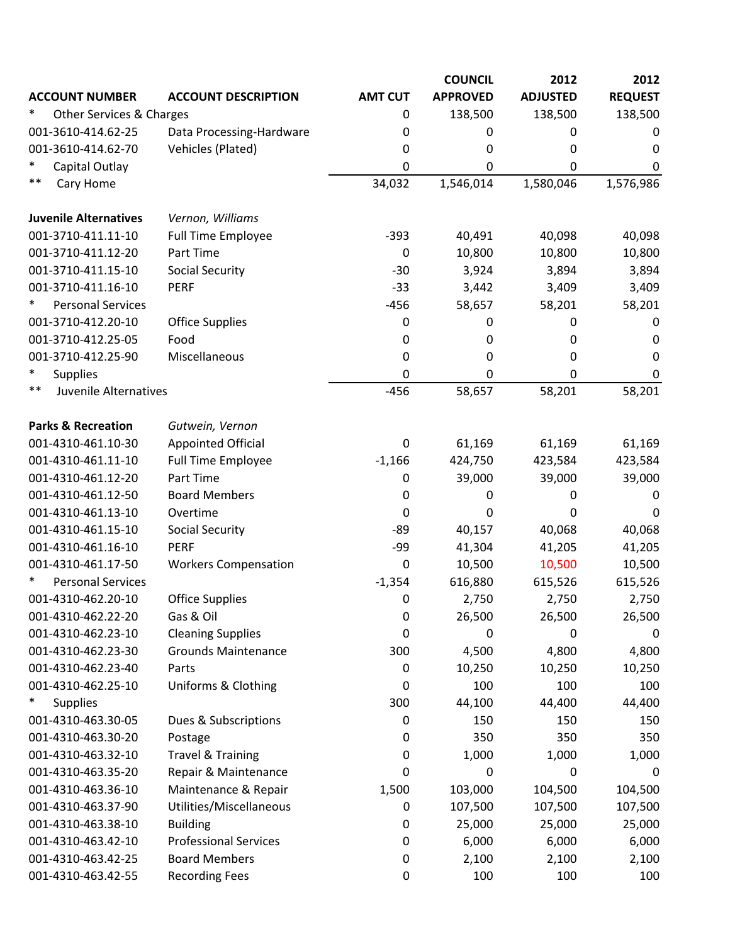| <b>APPROVED</b><br><b>ADJUSTED</b><br><b>REQUEST</b><br><b>ACCOUNT NUMBER</b><br><b>AMT CUT</b><br><b>ACCOUNT DESCRIPTION</b><br>∗<br><b>Other Services &amp; Charges</b><br>138,500<br>138,500<br>138,500<br>0<br>001-3610-414.62-25<br>Data Processing-Hardware<br>0<br>0<br>0<br>0<br>001-3610-414.62-70<br>Vehicles (Plated)<br>0<br>0<br>0<br>0<br>$\ast$<br>Capital Outlay<br>0<br>0<br>0<br>0<br>$***$<br>Cary Home<br>34,032<br>1,580,046<br>1,576,986<br>1,546,014<br><b>Juvenile Alternatives</b><br>Vernon, Williams<br>001-3710-411.11-10<br><b>Full Time Employee</b><br>$-393$<br>40,491<br>40,098<br>40,098<br>001-3710-411.12-20<br>Part Time<br>0<br>10,800<br>10,800<br>10,800<br>001-3710-411.15-10<br><b>Social Security</b><br>$-30$<br>3,924<br>3,894<br>3,894<br>001-3710-411.16-10<br>$-33$<br>3,409<br><b>PERF</b><br>3,442<br>3,409<br>∗<br><b>Personal Services</b><br>58,657<br>58,201<br>$-456$<br>58,201<br>001-3710-412.20-10<br><b>Office Supplies</b><br>0<br>0<br>0<br>0<br>001-3710-412.25-05<br>Food<br>0<br>0<br>0<br>0<br>001-3710-412.25-90<br>Miscellaneous<br>0<br>0<br>0<br>0<br>$\ast$<br><b>Supplies</b><br>0<br>0<br>0<br>0<br>$***$<br>Juvenile Alternatives<br>58,201<br>58,201<br>$-456$<br>58,657<br><b>Parks &amp; Recreation</b><br>Gutwein, Vernon<br><b>Appointed Official</b><br>61,169<br>001-4310-461.10-30<br>0<br>61,169<br>61,169<br>001-4310-461.11-10<br><b>Full Time Employee</b><br>$-1,166$<br>424,750<br>423,584<br>423,584<br>001-4310-461.12-20<br>Part Time<br>0<br>39,000<br>39,000<br>39,000<br><b>Board Members</b><br>001-4310-461.12-50<br>0<br>0<br>0<br>0<br>Overtime<br>001-4310-461.13-10<br>0<br>0<br>0<br>0<br><b>Social Security</b><br>40,157<br>001-4310-461.15-10<br>-89<br>40,068<br>40,068<br>001-4310-461.16-10<br><b>PERF</b><br>41,304<br>41,205<br>-99<br>41,205<br>001-4310-461.17-50<br>10,500<br><b>Workers Compensation</b><br>0<br>10,500<br>10,500<br>∗<br><b>Personal Services</b><br>616,880<br>$-1,354$<br>615,526<br>615,526<br>001-4310-462.20-10<br><b>Office Supplies</b><br>0<br>2,750<br>2,750<br>2,750<br>001-4310-462.22-20<br>Gas & Oil<br>0<br>26,500<br>26,500<br>26,500<br>001-4310-462.23-10<br><b>Cleaning Supplies</b><br>0<br>0<br>0<br>0<br><b>Grounds Maintenance</b><br>4,800<br>4,800<br>001-4310-462.23-30<br>300<br>4,500<br>001-4310-462.23-40<br>10,250<br>10,250<br>10,250<br>Parts<br>0<br>001-4310-462.25-10<br>Uniforms & Clothing<br>100<br>0<br>100<br>100<br>$\ast$<br>300<br><b>Supplies</b><br>44,100<br>44,400<br>44,400<br>001-4310-463.30-05<br>Dues & Subscriptions<br>150<br>150<br>150<br>0<br>001-4310-463.30-20<br>350<br>350<br>350<br>Postage<br>0<br>001-4310-463.32-10<br><b>Travel &amp; Training</b><br>1,000<br>1,000<br>0<br>1,000<br>001-4310-463.35-20<br>Repair & Maintenance<br>0<br>0<br>$\mathbf 0$<br>0<br>Maintenance & Repair<br>001-4310-463.36-10<br>1,500<br>103,000<br>104,500<br>104,500<br>001-4310-463.37-90<br>Utilities/Miscellaneous<br>107,500<br>107,500<br>107,500<br>0<br>25,000<br>001-4310-463.38-10<br><b>Building</b><br>0<br>25,000<br>25,000<br><b>Professional Services</b><br>6,000<br>6,000<br>001-4310-463.42-10<br>6,000<br>0<br><b>Board Members</b><br>001-4310-463.42-25<br>0<br>2,100<br>2,100<br>2,100<br><b>Recording Fees</b><br>001-4310-463.42-55<br>100<br>100<br>0<br>100 |  | <b>COUNCIL</b> | 2012 | 2012 |
|---------------------------------------------------------------------------------------------------------------------------------------------------------------------------------------------------------------------------------------------------------------------------------------------------------------------------------------------------------------------------------------------------------------------------------------------------------------------------------------------------------------------------------------------------------------------------------------------------------------------------------------------------------------------------------------------------------------------------------------------------------------------------------------------------------------------------------------------------------------------------------------------------------------------------------------------------------------------------------------------------------------------------------------------------------------------------------------------------------------------------------------------------------------------------------------------------------------------------------------------------------------------------------------------------------------------------------------------------------------------------------------------------------------------------------------------------------------------------------------------------------------------------------------------------------------------------------------------------------------------------------------------------------------------------------------------------------------------------------------------------------------------------------------------------------------------------------------------------------------------------------------------------------------------------------------------------------------------------------------------------------------------------------------------------------------------------------------------------------------------------------------------------------------------------------------------------------------------------------------------------------------------------------------------------------------------------------------------------------------------------------------------------------------------------------------------------------------------------------------------------------------------------------------------------------------------------------------------------------------------------------------------------------------------------------------------------------------------------------------------------------------------------------------------------------------------------------------------------------------------------------------------------------------------------------------------------------------------------------------------------------------------------------------------------------------------------------------------------------------------------------------------------------------------------------------------------------------------------------------------------------------------------------------------------------------------------------------------------------------------------|--|----------------|------|------|
|                                                                                                                                                                                                                                                                                                                                                                                                                                                                                                                                                                                                                                                                                                                                                                                                                                                                                                                                                                                                                                                                                                                                                                                                                                                                                                                                                                                                                                                                                                                                                                                                                                                                                                                                                                                                                                                                                                                                                                                                                                                                                                                                                                                                                                                                                                                                                                                                                                                                                                                                                                                                                                                                                                                                                                                                                                                                                                                                                                                                                                                                                                                                                                                                                                                                                                                                                                           |  |                |      |      |
|                                                                                                                                                                                                                                                                                                                                                                                                                                                                                                                                                                                                                                                                                                                                                                                                                                                                                                                                                                                                                                                                                                                                                                                                                                                                                                                                                                                                                                                                                                                                                                                                                                                                                                                                                                                                                                                                                                                                                                                                                                                                                                                                                                                                                                                                                                                                                                                                                                                                                                                                                                                                                                                                                                                                                                                                                                                                                                                                                                                                                                                                                                                                                                                                                                                                                                                                                                           |  |                |      |      |
|                                                                                                                                                                                                                                                                                                                                                                                                                                                                                                                                                                                                                                                                                                                                                                                                                                                                                                                                                                                                                                                                                                                                                                                                                                                                                                                                                                                                                                                                                                                                                                                                                                                                                                                                                                                                                                                                                                                                                                                                                                                                                                                                                                                                                                                                                                                                                                                                                                                                                                                                                                                                                                                                                                                                                                                                                                                                                                                                                                                                                                                                                                                                                                                                                                                                                                                                                                           |  |                |      |      |
|                                                                                                                                                                                                                                                                                                                                                                                                                                                                                                                                                                                                                                                                                                                                                                                                                                                                                                                                                                                                                                                                                                                                                                                                                                                                                                                                                                                                                                                                                                                                                                                                                                                                                                                                                                                                                                                                                                                                                                                                                                                                                                                                                                                                                                                                                                                                                                                                                                                                                                                                                                                                                                                                                                                                                                                                                                                                                                                                                                                                                                                                                                                                                                                                                                                                                                                                                                           |  |                |      |      |
|                                                                                                                                                                                                                                                                                                                                                                                                                                                                                                                                                                                                                                                                                                                                                                                                                                                                                                                                                                                                                                                                                                                                                                                                                                                                                                                                                                                                                                                                                                                                                                                                                                                                                                                                                                                                                                                                                                                                                                                                                                                                                                                                                                                                                                                                                                                                                                                                                                                                                                                                                                                                                                                                                                                                                                                                                                                                                                                                                                                                                                                                                                                                                                                                                                                                                                                                                                           |  |                |      |      |
|                                                                                                                                                                                                                                                                                                                                                                                                                                                                                                                                                                                                                                                                                                                                                                                                                                                                                                                                                                                                                                                                                                                                                                                                                                                                                                                                                                                                                                                                                                                                                                                                                                                                                                                                                                                                                                                                                                                                                                                                                                                                                                                                                                                                                                                                                                                                                                                                                                                                                                                                                                                                                                                                                                                                                                                                                                                                                                                                                                                                                                                                                                                                                                                                                                                                                                                                                                           |  |                |      |      |
|                                                                                                                                                                                                                                                                                                                                                                                                                                                                                                                                                                                                                                                                                                                                                                                                                                                                                                                                                                                                                                                                                                                                                                                                                                                                                                                                                                                                                                                                                                                                                                                                                                                                                                                                                                                                                                                                                                                                                                                                                                                                                                                                                                                                                                                                                                                                                                                                                                                                                                                                                                                                                                                                                                                                                                                                                                                                                                                                                                                                                                                                                                                                                                                                                                                                                                                                                                           |  |                |      |      |
|                                                                                                                                                                                                                                                                                                                                                                                                                                                                                                                                                                                                                                                                                                                                                                                                                                                                                                                                                                                                                                                                                                                                                                                                                                                                                                                                                                                                                                                                                                                                                                                                                                                                                                                                                                                                                                                                                                                                                                                                                                                                                                                                                                                                                                                                                                                                                                                                                                                                                                                                                                                                                                                                                                                                                                                                                                                                                                                                                                                                                                                                                                                                                                                                                                                                                                                                                                           |  |                |      |      |
|                                                                                                                                                                                                                                                                                                                                                                                                                                                                                                                                                                                                                                                                                                                                                                                                                                                                                                                                                                                                                                                                                                                                                                                                                                                                                                                                                                                                                                                                                                                                                                                                                                                                                                                                                                                                                                                                                                                                                                                                                                                                                                                                                                                                                                                                                                                                                                                                                                                                                                                                                                                                                                                                                                                                                                                                                                                                                                                                                                                                                                                                                                                                                                                                                                                                                                                                                                           |  |                |      |      |
|                                                                                                                                                                                                                                                                                                                                                                                                                                                                                                                                                                                                                                                                                                                                                                                                                                                                                                                                                                                                                                                                                                                                                                                                                                                                                                                                                                                                                                                                                                                                                                                                                                                                                                                                                                                                                                                                                                                                                                                                                                                                                                                                                                                                                                                                                                                                                                                                                                                                                                                                                                                                                                                                                                                                                                                                                                                                                                                                                                                                                                                                                                                                                                                                                                                                                                                                                                           |  |                |      |      |
|                                                                                                                                                                                                                                                                                                                                                                                                                                                                                                                                                                                                                                                                                                                                                                                                                                                                                                                                                                                                                                                                                                                                                                                                                                                                                                                                                                                                                                                                                                                                                                                                                                                                                                                                                                                                                                                                                                                                                                                                                                                                                                                                                                                                                                                                                                                                                                                                                                                                                                                                                                                                                                                                                                                                                                                                                                                                                                                                                                                                                                                                                                                                                                                                                                                                                                                                                                           |  |                |      |      |
|                                                                                                                                                                                                                                                                                                                                                                                                                                                                                                                                                                                                                                                                                                                                                                                                                                                                                                                                                                                                                                                                                                                                                                                                                                                                                                                                                                                                                                                                                                                                                                                                                                                                                                                                                                                                                                                                                                                                                                                                                                                                                                                                                                                                                                                                                                                                                                                                                                                                                                                                                                                                                                                                                                                                                                                                                                                                                                                                                                                                                                                                                                                                                                                                                                                                                                                                                                           |  |                |      |      |
|                                                                                                                                                                                                                                                                                                                                                                                                                                                                                                                                                                                                                                                                                                                                                                                                                                                                                                                                                                                                                                                                                                                                                                                                                                                                                                                                                                                                                                                                                                                                                                                                                                                                                                                                                                                                                                                                                                                                                                                                                                                                                                                                                                                                                                                                                                                                                                                                                                                                                                                                                                                                                                                                                                                                                                                                                                                                                                                                                                                                                                                                                                                                                                                                                                                                                                                                                                           |  |                |      |      |
|                                                                                                                                                                                                                                                                                                                                                                                                                                                                                                                                                                                                                                                                                                                                                                                                                                                                                                                                                                                                                                                                                                                                                                                                                                                                                                                                                                                                                                                                                                                                                                                                                                                                                                                                                                                                                                                                                                                                                                                                                                                                                                                                                                                                                                                                                                                                                                                                                                                                                                                                                                                                                                                                                                                                                                                                                                                                                                                                                                                                                                                                                                                                                                                                                                                                                                                                                                           |  |                |      |      |
|                                                                                                                                                                                                                                                                                                                                                                                                                                                                                                                                                                                                                                                                                                                                                                                                                                                                                                                                                                                                                                                                                                                                                                                                                                                                                                                                                                                                                                                                                                                                                                                                                                                                                                                                                                                                                                                                                                                                                                                                                                                                                                                                                                                                                                                                                                                                                                                                                                                                                                                                                                                                                                                                                                                                                                                                                                                                                                                                                                                                                                                                                                                                                                                                                                                                                                                                                                           |  |                |      |      |
|                                                                                                                                                                                                                                                                                                                                                                                                                                                                                                                                                                                                                                                                                                                                                                                                                                                                                                                                                                                                                                                                                                                                                                                                                                                                                                                                                                                                                                                                                                                                                                                                                                                                                                                                                                                                                                                                                                                                                                                                                                                                                                                                                                                                                                                                                                                                                                                                                                                                                                                                                                                                                                                                                                                                                                                                                                                                                                                                                                                                                                                                                                                                                                                                                                                                                                                                                                           |  |                |      |      |
|                                                                                                                                                                                                                                                                                                                                                                                                                                                                                                                                                                                                                                                                                                                                                                                                                                                                                                                                                                                                                                                                                                                                                                                                                                                                                                                                                                                                                                                                                                                                                                                                                                                                                                                                                                                                                                                                                                                                                                                                                                                                                                                                                                                                                                                                                                                                                                                                                                                                                                                                                                                                                                                                                                                                                                                                                                                                                                                                                                                                                                                                                                                                                                                                                                                                                                                                                                           |  |                |      |      |
|                                                                                                                                                                                                                                                                                                                                                                                                                                                                                                                                                                                                                                                                                                                                                                                                                                                                                                                                                                                                                                                                                                                                                                                                                                                                                                                                                                                                                                                                                                                                                                                                                                                                                                                                                                                                                                                                                                                                                                                                                                                                                                                                                                                                                                                                                                                                                                                                                                                                                                                                                                                                                                                                                                                                                                                                                                                                                                                                                                                                                                                                                                                                                                                                                                                                                                                                                                           |  |                |      |      |
|                                                                                                                                                                                                                                                                                                                                                                                                                                                                                                                                                                                                                                                                                                                                                                                                                                                                                                                                                                                                                                                                                                                                                                                                                                                                                                                                                                                                                                                                                                                                                                                                                                                                                                                                                                                                                                                                                                                                                                                                                                                                                                                                                                                                                                                                                                                                                                                                                                                                                                                                                                                                                                                                                                                                                                                                                                                                                                                                                                                                                                                                                                                                                                                                                                                                                                                                                                           |  |                |      |      |
|                                                                                                                                                                                                                                                                                                                                                                                                                                                                                                                                                                                                                                                                                                                                                                                                                                                                                                                                                                                                                                                                                                                                                                                                                                                                                                                                                                                                                                                                                                                                                                                                                                                                                                                                                                                                                                                                                                                                                                                                                                                                                                                                                                                                                                                                                                                                                                                                                                                                                                                                                                                                                                                                                                                                                                                                                                                                                                                                                                                                                                                                                                                                                                                                                                                                                                                                                                           |  |                |      |      |
|                                                                                                                                                                                                                                                                                                                                                                                                                                                                                                                                                                                                                                                                                                                                                                                                                                                                                                                                                                                                                                                                                                                                                                                                                                                                                                                                                                                                                                                                                                                                                                                                                                                                                                                                                                                                                                                                                                                                                                                                                                                                                                                                                                                                                                                                                                                                                                                                                                                                                                                                                                                                                                                                                                                                                                                                                                                                                                                                                                                                                                                                                                                                                                                                                                                                                                                                                                           |  |                |      |      |
|                                                                                                                                                                                                                                                                                                                                                                                                                                                                                                                                                                                                                                                                                                                                                                                                                                                                                                                                                                                                                                                                                                                                                                                                                                                                                                                                                                                                                                                                                                                                                                                                                                                                                                                                                                                                                                                                                                                                                                                                                                                                                                                                                                                                                                                                                                                                                                                                                                                                                                                                                                                                                                                                                                                                                                                                                                                                                                                                                                                                                                                                                                                                                                                                                                                                                                                                                                           |  |                |      |      |
|                                                                                                                                                                                                                                                                                                                                                                                                                                                                                                                                                                                                                                                                                                                                                                                                                                                                                                                                                                                                                                                                                                                                                                                                                                                                                                                                                                                                                                                                                                                                                                                                                                                                                                                                                                                                                                                                                                                                                                                                                                                                                                                                                                                                                                                                                                                                                                                                                                                                                                                                                                                                                                                                                                                                                                                                                                                                                                                                                                                                                                                                                                                                                                                                                                                                                                                                                                           |  |                |      |      |
|                                                                                                                                                                                                                                                                                                                                                                                                                                                                                                                                                                                                                                                                                                                                                                                                                                                                                                                                                                                                                                                                                                                                                                                                                                                                                                                                                                                                                                                                                                                                                                                                                                                                                                                                                                                                                                                                                                                                                                                                                                                                                                                                                                                                                                                                                                                                                                                                                                                                                                                                                                                                                                                                                                                                                                                                                                                                                                                                                                                                                                                                                                                                                                                                                                                                                                                                                                           |  |                |      |      |
|                                                                                                                                                                                                                                                                                                                                                                                                                                                                                                                                                                                                                                                                                                                                                                                                                                                                                                                                                                                                                                                                                                                                                                                                                                                                                                                                                                                                                                                                                                                                                                                                                                                                                                                                                                                                                                                                                                                                                                                                                                                                                                                                                                                                                                                                                                                                                                                                                                                                                                                                                                                                                                                                                                                                                                                                                                                                                                                                                                                                                                                                                                                                                                                                                                                                                                                                                                           |  |                |      |      |
|                                                                                                                                                                                                                                                                                                                                                                                                                                                                                                                                                                                                                                                                                                                                                                                                                                                                                                                                                                                                                                                                                                                                                                                                                                                                                                                                                                                                                                                                                                                                                                                                                                                                                                                                                                                                                                                                                                                                                                                                                                                                                                                                                                                                                                                                                                                                                                                                                                                                                                                                                                                                                                                                                                                                                                                                                                                                                                                                                                                                                                                                                                                                                                                                                                                                                                                                                                           |  |                |      |      |
|                                                                                                                                                                                                                                                                                                                                                                                                                                                                                                                                                                                                                                                                                                                                                                                                                                                                                                                                                                                                                                                                                                                                                                                                                                                                                                                                                                                                                                                                                                                                                                                                                                                                                                                                                                                                                                                                                                                                                                                                                                                                                                                                                                                                                                                                                                                                                                                                                                                                                                                                                                                                                                                                                                                                                                                                                                                                                                                                                                                                                                                                                                                                                                                                                                                                                                                                                                           |  |                |      |      |
|                                                                                                                                                                                                                                                                                                                                                                                                                                                                                                                                                                                                                                                                                                                                                                                                                                                                                                                                                                                                                                                                                                                                                                                                                                                                                                                                                                                                                                                                                                                                                                                                                                                                                                                                                                                                                                                                                                                                                                                                                                                                                                                                                                                                                                                                                                                                                                                                                                                                                                                                                                                                                                                                                                                                                                                                                                                                                                                                                                                                                                                                                                                                                                                                                                                                                                                                                                           |  |                |      |      |
|                                                                                                                                                                                                                                                                                                                                                                                                                                                                                                                                                                                                                                                                                                                                                                                                                                                                                                                                                                                                                                                                                                                                                                                                                                                                                                                                                                                                                                                                                                                                                                                                                                                                                                                                                                                                                                                                                                                                                                                                                                                                                                                                                                                                                                                                                                                                                                                                                                                                                                                                                                                                                                                                                                                                                                                                                                                                                                                                                                                                                                                                                                                                                                                                                                                                                                                                                                           |  |                |      |      |
|                                                                                                                                                                                                                                                                                                                                                                                                                                                                                                                                                                                                                                                                                                                                                                                                                                                                                                                                                                                                                                                                                                                                                                                                                                                                                                                                                                                                                                                                                                                                                                                                                                                                                                                                                                                                                                                                                                                                                                                                                                                                                                                                                                                                                                                                                                                                                                                                                                                                                                                                                                                                                                                                                                                                                                                                                                                                                                                                                                                                                                                                                                                                                                                                                                                                                                                                                                           |  |                |      |      |
|                                                                                                                                                                                                                                                                                                                                                                                                                                                                                                                                                                                                                                                                                                                                                                                                                                                                                                                                                                                                                                                                                                                                                                                                                                                                                                                                                                                                                                                                                                                                                                                                                                                                                                                                                                                                                                                                                                                                                                                                                                                                                                                                                                                                                                                                                                                                                                                                                                                                                                                                                                                                                                                                                                                                                                                                                                                                                                                                                                                                                                                                                                                                                                                                                                                                                                                                                                           |  |                |      |      |
|                                                                                                                                                                                                                                                                                                                                                                                                                                                                                                                                                                                                                                                                                                                                                                                                                                                                                                                                                                                                                                                                                                                                                                                                                                                                                                                                                                                                                                                                                                                                                                                                                                                                                                                                                                                                                                                                                                                                                                                                                                                                                                                                                                                                                                                                                                                                                                                                                                                                                                                                                                                                                                                                                                                                                                                                                                                                                                                                                                                                                                                                                                                                                                                                                                                                                                                                                                           |  |                |      |      |
|                                                                                                                                                                                                                                                                                                                                                                                                                                                                                                                                                                                                                                                                                                                                                                                                                                                                                                                                                                                                                                                                                                                                                                                                                                                                                                                                                                                                                                                                                                                                                                                                                                                                                                                                                                                                                                                                                                                                                                                                                                                                                                                                                                                                                                                                                                                                                                                                                                                                                                                                                                                                                                                                                                                                                                                                                                                                                                                                                                                                                                                                                                                                                                                                                                                                                                                                                                           |  |                |      |      |
|                                                                                                                                                                                                                                                                                                                                                                                                                                                                                                                                                                                                                                                                                                                                                                                                                                                                                                                                                                                                                                                                                                                                                                                                                                                                                                                                                                                                                                                                                                                                                                                                                                                                                                                                                                                                                                                                                                                                                                                                                                                                                                                                                                                                                                                                                                                                                                                                                                                                                                                                                                                                                                                                                                                                                                                                                                                                                                                                                                                                                                                                                                                                                                                                                                                                                                                                                                           |  |                |      |      |
|                                                                                                                                                                                                                                                                                                                                                                                                                                                                                                                                                                                                                                                                                                                                                                                                                                                                                                                                                                                                                                                                                                                                                                                                                                                                                                                                                                                                                                                                                                                                                                                                                                                                                                                                                                                                                                                                                                                                                                                                                                                                                                                                                                                                                                                                                                                                                                                                                                                                                                                                                                                                                                                                                                                                                                                                                                                                                                                                                                                                                                                                                                                                                                                                                                                                                                                                                                           |  |                |      |      |
|                                                                                                                                                                                                                                                                                                                                                                                                                                                                                                                                                                                                                                                                                                                                                                                                                                                                                                                                                                                                                                                                                                                                                                                                                                                                                                                                                                                                                                                                                                                                                                                                                                                                                                                                                                                                                                                                                                                                                                                                                                                                                                                                                                                                                                                                                                                                                                                                                                                                                                                                                                                                                                                                                                                                                                                                                                                                                                                                                                                                                                                                                                                                                                                                                                                                                                                                                                           |  |                |      |      |
|                                                                                                                                                                                                                                                                                                                                                                                                                                                                                                                                                                                                                                                                                                                                                                                                                                                                                                                                                                                                                                                                                                                                                                                                                                                                                                                                                                                                                                                                                                                                                                                                                                                                                                                                                                                                                                                                                                                                                                                                                                                                                                                                                                                                                                                                                                                                                                                                                                                                                                                                                                                                                                                                                                                                                                                                                                                                                                                                                                                                                                                                                                                                                                                                                                                                                                                                                                           |  |                |      |      |
|                                                                                                                                                                                                                                                                                                                                                                                                                                                                                                                                                                                                                                                                                                                                                                                                                                                                                                                                                                                                                                                                                                                                                                                                                                                                                                                                                                                                                                                                                                                                                                                                                                                                                                                                                                                                                                                                                                                                                                                                                                                                                                                                                                                                                                                                                                                                                                                                                                                                                                                                                                                                                                                                                                                                                                                                                                                                                                                                                                                                                                                                                                                                                                                                                                                                                                                                                                           |  |                |      |      |
|                                                                                                                                                                                                                                                                                                                                                                                                                                                                                                                                                                                                                                                                                                                                                                                                                                                                                                                                                                                                                                                                                                                                                                                                                                                                                                                                                                                                                                                                                                                                                                                                                                                                                                                                                                                                                                                                                                                                                                                                                                                                                                                                                                                                                                                                                                                                                                                                                                                                                                                                                                                                                                                                                                                                                                                                                                                                                                                                                                                                                                                                                                                                                                                                                                                                                                                                                                           |  |                |      |      |
|                                                                                                                                                                                                                                                                                                                                                                                                                                                                                                                                                                                                                                                                                                                                                                                                                                                                                                                                                                                                                                                                                                                                                                                                                                                                                                                                                                                                                                                                                                                                                                                                                                                                                                                                                                                                                                                                                                                                                                                                                                                                                                                                                                                                                                                                                                                                                                                                                                                                                                                                                                                                                                                                                                                                                                                                                                                                                                                                                                                                                                                                                                                                                                                                                                                                                                                                                                           |  |                |      |      |
|                                                                                                                                                                                                                                                                                                                                                                                                                                                                                                                                                                                                                                                                                                                                                                                                                                                                                                                                                                                                                                                                                                                                                                                                                                                                                                                                                                                                                                                                                                                                                                                                                                                                                                                                                                                                                                                                                                                                                                                                                                                                                                                                                                                                                                                                                                                                                                                                                                                                                                                                                                                                                                                                                                                                                                                                                                                                                                                                                                                                                                                                                                                                                                                                                                                                                                                                                                           |  |                |      |      |
|                                                                                                                                                                                                                                                                                                                                                                                                                                                                                                                                                                                                                                                                                                                                                                                                                                                                                                                                                                                                                                                                                                                                                                                                                                                                                                                                                                                                                                                                                                                                                                                                                                                                                                                                                                                                                                                                                                                                                                                                                                                                                                                                                                                                                                                                                                                                                                                                                                                                                                                                                                                                                                                                                                                                                                                                                                                                                                                                                                                                                                                                                                                                                                                                                                                                                                                                                                           |  |                |      |      |
|                                                                                                                                                                                                                                                                                                                                                                                                                                                                                                                                                                                                                                                                                                                                                                                                                                                                                                                                                                                                                                                                                                                                                                                                                                                                                                                                                                                                                                                                                                                                                                                                                                                                                                                                                                                                                                                                                                                                                                                                                                                                                                                                                                                                                                                                                                                                                                                                                                                                                                                                                                                                                                                                                                                                                                                                                                                                                                                                                                                                                                                                                                                                                                                                                                                                                                                                                                           |  |                |      |      |
|                                                                                                                                                                                                                                                                                                                                                                                                                                                                                                                                                                                                                                                                                                                                                                                                                                                                                                                                                                                                                                                                                                                                                                                                                                                                                                                                                                                                                                                                                                                                                                                                                                                                                                                                                                                                                                                                                                                                                                                                                                                                                                                                                                                                                                                                                                                                                                                                                                                                                                                                                                                                                                                                                                                                                                                                                                                                                                                                                                                                                                                                                                                                                                                                                                                                                                                                                                           |  |                |      |      |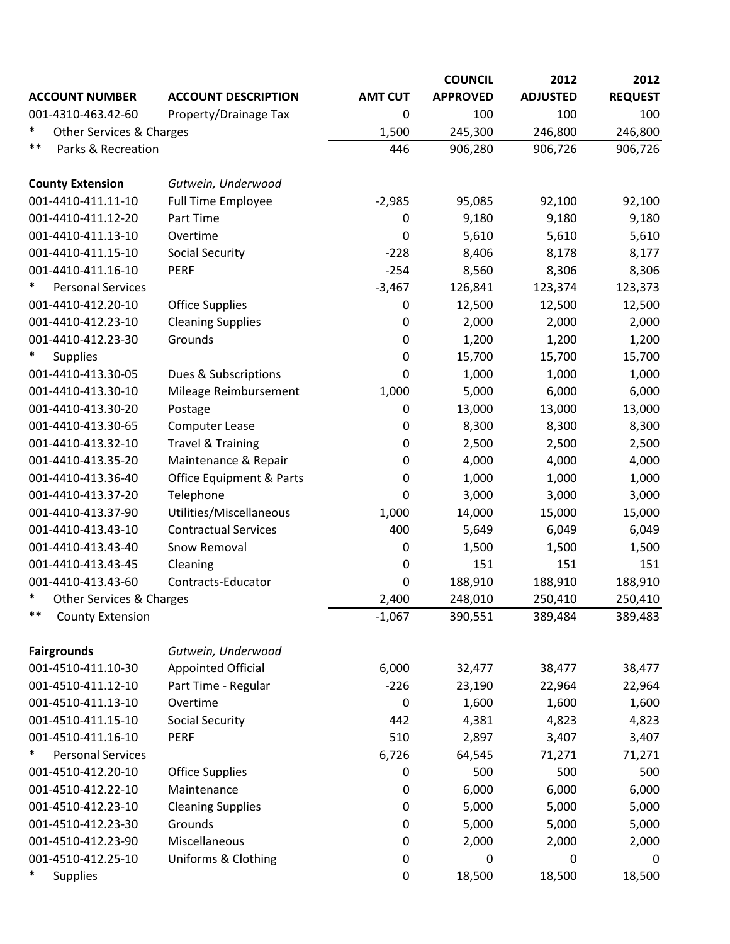|                                    |                                |                  | <b>COUNCIL</b>  | 2012            | 2012           |
|------------------------------------|--------------------------------|------------------|-----------------|-----------------|----------------|
| <b>ACCOUNT NUMBER</b>              | <b>ACCOUNT DESCRIPTION</b>     | <b>AMT CUT</b>   | <b>APPROVED</b> | <b>ADJUSTED</b> | <b>REQUEST</b> |
| 001-4310-463.42-60                 | Property/Drainage Tax          | 0                | 100             | 100             | 100            |
| $\ast$<br>Other Services & Charges |                                | 1,500            | 245,300         | 246,800         | 246,800        |
| $***$<br>Parks & Recreation        |                                | 446              | 906,280         | 906,726         | 906,726        |
| <b>County Extension</b>            | Gutwein, Underwood             |                  |                 |                 |                |
| 001-4410-411.11-10                 | <b>Full Time Employee</b>      | $-2,985$         | 95,085          | 92,100          | 92,100         |
| 001-4410-411.12-20                 | Part Time                      | $\boldsymbol{0}$ | 9,180           | 9,180           | 9,180          |
| 001-4410-411.13-10                 | Overtime                       | 0                | 5,610           | 5,610           | 5,610          |
| 001-4410-411.15-10                 | <b>Social Security</b>         | $-228$           | 8,406           | 8,178           | 8,177          |
| 001-4410-411.16-10                 | <b>PERF</b>                    | $-254$           | 8,560           | 8,306           | 8,306          |
| $\ast$<br><b>Personal Services</b> |                                | $-3,467$         | 126,841         | 123,374         | 123,373        |
| 001-4410-412.20-10                 | <b>Office Supplies</b>         | $\boldsymbol{0}$ | 12,500          | 12,500          | 12,500         |
| 001-4410-412.23-10                 | <b>Cleaning Supplies</b>       | 0                | 2,000           | 2,000           | 2,000          |
| 001-4410-412.23-30                 | Grounds                        | 0                | 1,200           | 1,200           | 1,200          |
| <b>Supplies</b>                    |                                | 0                | 15,700          | 15,700          | 15,700         |
| 001-4410-413.30-05                 | Dues & Subscriptions           | 0                | 1,000           | 1,000           | 1,000          |
| 001-4410-413.30-10                 | Mileage Reimbursement          | 1,000            | 5,000           | 6,000           | 6,000          |
| 001-4410-413.30-20                 | Postage                        | 0                | 13,000          | 13,000          | 13,000         |
| 001-4410-413.30-65                 | <b>Computer Lease</b>          | 0                | 8,300           | 8,300           | 8,300          |
| 001-4410-413.32-10                 | <b>Travel &amp; Training</b>   | 0                | 2,500           | 2,500           | 2,500          |
| 001-4410-413.35-20                 | Maintenance & Repair           | 0                | 4,000           | 4,000           | 4,000          |
| 001-4410-413.36-40                 | Office Equipment & Parts       | 0                | 1,000           | 1,000           | 1,000          |
| 001-4410-413.37-20                 | Telephone                      | 0                | 3,000           | 3,000           | 3,000          |
| 001-4410-413.37-90                 | Utilities/Miscellaneous        | 1,000            | 14,000          | 15,000          | 15,000         |
| 001-4410-413.43-10                 | <b>Contractual Services</b>    | 400              | 5,649           | 6,049           | 6,049          |
| 001-4410-413.43-40                 | Snow Removal                   | 0                | 1,500           | 1,500           | 1,500          |
| 001-4410-413.43-45                 | Cleaning                       | 0                | 151             | 151             | 151            |
| 001-4410-413.43-60                 | Contracts-Educator             | 0                | 188,910         | 188,910         | 188,910        |
| $\ast$<br>Other Services & Charges |                                | 2,400            | 248,010         | 250,410         | 250,410        |
| $***$<br><b>County Extension</b>   |                                | $-1,067$         | 390,551         | 389,484         | 389,483        |
| <b>Fairgrounds</b>                 | Gutwein, Underwood             |                  |                 |                 |                |
| 001-4510-411.10-30                 | <b>Appointed Official</b>      | 6,000            | 32,477          | 38,477          | 38,477         |
| 001-4510-411.12-10                 | Part Time - Regular            | $-226$           | 23,190          | 22,964          | 22,964         |
| 001-4510-411.13-10                 | Overtime                       | 0                | 1,600           | 1,600           | 1,600          |
| 001-4510-411.15-10                 | <b>Social Security</b>         | 442              | 4,381           | 4,823           | 4,823          |
| 001-4510-411.16-10                 | <b>PERF</b>                    | 510              | 2,897           | 3,407           | 3,407          |
| ∗<br><b>Personal Services</b>      |                                | 6,726            | 64,545          | 71,271          | 71,271         |
| 001-4510-412.20-10                 | <b>Office Supplies</b>         | $\boldsymbol{0}$ | 500             | 500             | 500            |
| 001-4510-412.22-10                 | Maintenance                    | 0                | 6,000           | 6,000           | 6,000          |
| 001-4510-412.23-10                 | <b>Cleaning Supplies</b>       | 0                | 5,000           | 5,000           | 5,000          |
| 001-4510-412.23-30                 | Grounds                        | 0                | 5,000           | 5,000           | 5,000          |
| 001-4510-412.23-90                 | Miscellaneous                  | 0                | 2,000           | 2,000           | 2,000          |
| 001-4510-412.25-10                 | <b>Uniforms &amp; Clothing</b> | 0                | 0               | 0               | 0              |
| <b>Supplies</b>                    |                                | 0                | 18,500          | 18,500          | 18,500         |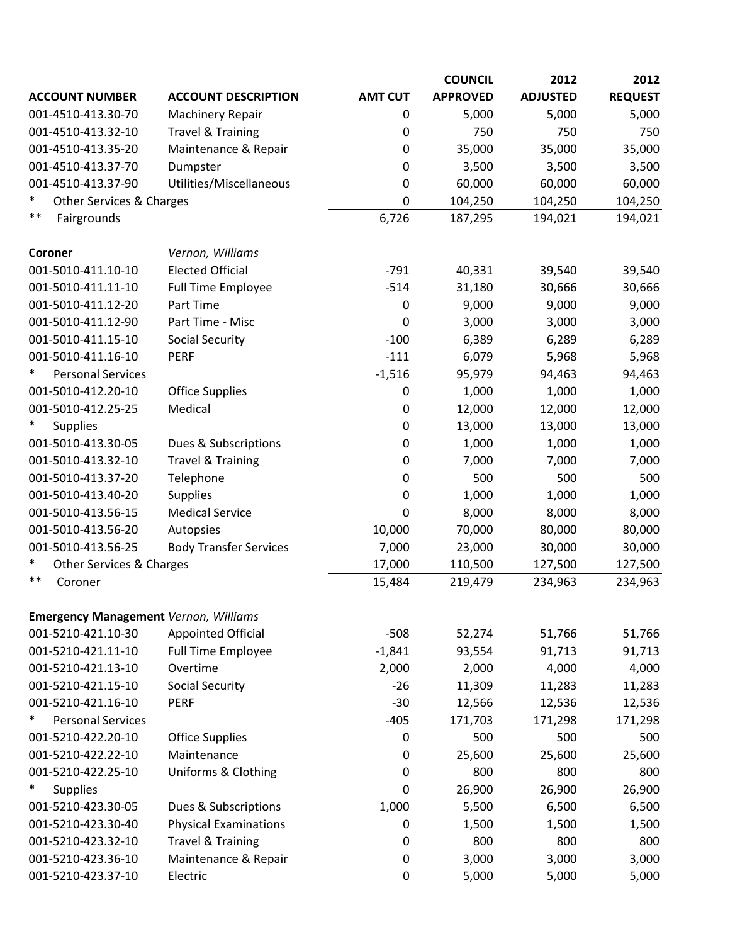|                                              |                               |                | <b>COUNCIL</b>  | 2012            | 2012           |
|----------------------------------------------|-------------------------------|----------------|-----------------|-----------------|----------------|
| <b>ACCOUNT NUMBER</b>                        | <b>ACCOUNT DESCRIPTION</b>    | <b>AMT CUT</b> | <b>APPROVED</b> | <b>ADJUSTED</b> | <b>REQUEST</b> |
| 001-4510-413.30-70                           | <b>Machinery Repair</b>       | 0              | 5,000           | 5,000           | 5,000          |
| 001-4510-413.32-10                           | <b>Travel &amp; Training</b>  | 0              | 750             | 750             | 750            |
| 001-4510-413.35-20                           | Maintenance & Repair          | 0              | 35,000          | 35,000          | 35,000         |
| 001-4510-413.37-70                           | Dumpster                      | 0              | 3,500           | 3,500           | 3,500          |
| 001-4510-413.37-90                           | Utilities/Miscellaneous       | 0              | 60,000          | 60,000          | 60,000         |
| $\ast$<br>Other Services & Charges           |                               | 0              | 104,250         | 104,250         | 104,250        |
| $***$<br>Fairgrounds                         |                               | 6,726          | 187,295         | 194,021         | 194,021        |
| Coroner                                      | Vernon, Williams              |                |                 |                 |                |
| 001-5010-411.10-10                           | <b>Elected Official</b>       | $-791$         | 40,331          | 39,540          | 39,540         |
| 001-5010-411.11-10                           | <b>Full Time Employee</b>     | $-514$         | 31,180          | 30,666          | 30,666         |
| 001-5010-411.12-20                           | Part Time                     | $\mathbf 0$    | 9,000           | 9,000           | 9,000          |
| 001-5010-411.12-90                           | Part Time - Misc              | 0              | 3,000           | 3,000           | 3,000          |
| 001-5010-411.15-10                           | <b>Social Security</b>        | $-100$         | 6,389           | 6,289           | 6,289          |
| 001-5010-411.16-10                           | <b>PERF</b>                   | $-111$         | 6,079           | 5,968           | 5,968          |
| $\ast$<br><b>Personal Services</b>           |                               | $-1,516$       | 95,979          | 94,463          | 94,463         |
| 001-5010-412.20-10                           | <b>Office Supplies</b>        | $\mathbf 0$    | 1,000           | 1,000           | 1,000          |
| 001-5010-412.25-25                           | Medical                       | 0              | 12,000          | 12,000          | 12,000         |
| $\ast$<br><b>Supplies</b>                    |                               | 0              | 13,000          | 13,000          | 13,000         |
| 001-5010-413.30-05                           | Dues & Subscriptions          | 0              | 1,000           | 1,000           | 1,000          |
| 001-5010-413.32-10                           | <b>Travel &amp; Training</b>  | 0              | 7,000           | 7,000           | 7,000          |
| 001-5010-413.37-20                           | Telephone                     | 0              | 500             | 500             | 500            |
| 001-5010-413.40-20                           | <b>Supplies</b>               | 0              | 1,000           | 1,000           | 1,000          |
| 001-5010-413.56-15                           | <b>Medical Service</b>        | 0              | 8,000           | 8,000           | 8,000          |
| 001-5010-413.56-20                           | Autopsies                     | 10,000         | 70,000          | 80,000          | 80,000         |
| 001-5010-413.56-25                           | <b>Body Transfer Services</b> | 7,000          | 23,000          | 30,000          | 30,000         |
| $\ast$<br>Other Services & Charges           |                               | 17,000         | 110,500         | 127,500         | 127,500        |
| $***$<br>Coroner                             |                               | 15,484         | 219,479         | 234,963         | 234,963        |
| <b>Emergency Management Vernon, Williams</b> |                               |                |                 |                 |                |
| 001-5210-421.10-30                           | <b>Appointed Official</b>     | $-508$         | 52,274          | 51,766          | 51,766         |
| 001-5210-421.11-10                           | <b>Full Time Employee</b>     | $-1,841$       | 93,554          | 91,713          | 91,713         |
| 001-5210-421.13-10                           | Overtime                      | 2,000          | 2,000           | 4,000           | 4,000          |
| 001-5210-421.15-10                           | <b>Social Security</b>        | $-26$          | 11,309          | 11,283          | 11,283         |
| 001-5210-421.16-10                           | <b>PERF</b>                   | $-30$          | 12,566          | 12,536          | 12,536         |
| ∗<br><b>Personal Services</b>                |                               | $-405$         | 171,703         | 171,298         | 171,298        |
| 001-5210-422.20-10                           | <b>Office Supplies</b>        | $\pmb{0}$      | 500             | 500             | 500            |
| 001-5210-422.22-10                           | Maintenance                   | $\mathbf 0$    | 25,600          | 25,600          | 25,600         |
| 001-5210-422.25-10                           | Uniforms & Clothing           | $\mathbf 0$    | 800             | 800             | 800            |
| $\ast$<br><b>Supplies</b>                    |                               | 0              | 26,900          | 26,900          | 26,900         |
| 001-5210-423.30-05                           | Dues & Subscriptions          | 1,000          | 5,500           | 6,500           | 6,500          |
| 001-5210-423.30-40                           | <b>Physical Examinations</b>  | 0              | 1,500           | 1,500           | 1,500          |
| 001-5210-423.32-10                           | <b>Travel &amp; Training</b>  | 0              | 800             | 800             | 800            |
| 001-5210-423.36-10                           | Maintenance & Repair          | $\mathbf 0$    | 3,000           | 3,000           | 3,000          |
| 001-5210-423.37-10                           | Electric                      | $\pmb{0}$      | 5,000           | 5,000           | 5,000          |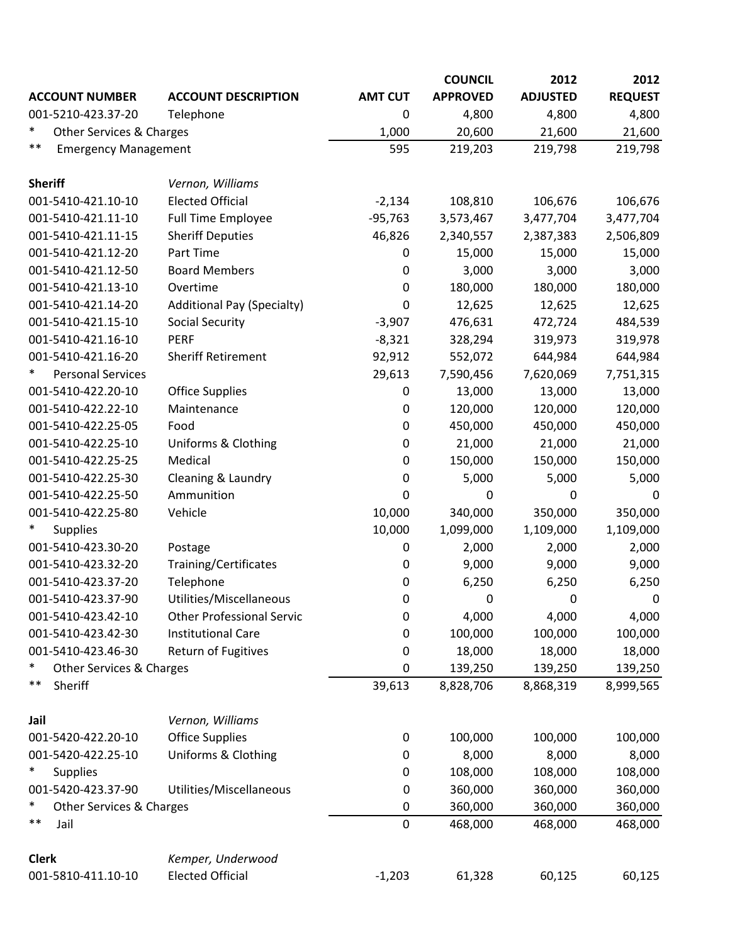|                                      |                                   |                  | <b>COUNCIL</b>  | 2012            | 2012           |
|--------------------------------------|-----------------------------------|------------------|-----------------|-----------------|----------------|
| <b>ACCOUNT NUMBER</b>                | <b>ACCOUNT DESCRIPTION</b>        | <b>AMT CUT</b>   | <b>APPROVED</b> | <b>ADJUSTED</b> | <b>REQUEST</b> |
| 001-5210-423.37-20                   | Telephone                         | 0                | 4,800           | 4,800           | 4,800          |
| $\ast$<br>Other Services & Charges   |                                   | 1,000            | 20,600          | 21,600          | 21,600         |
| $***$<br><b>Emergency Management</b> |                                   | 595              | 219,203         | 219,798         | 219,798        |
| <b>Sheriff</b>                       | Vernon, Williams                  |                  |                 |                 |                |
| 001-5410-421.10-10                   | <b>Elected Official</b>           | $-2,134$         | 108,810         | 106,676         | 106,676        |
| 001-5410-421.11-10                   | <b>Full Time Employee</b>         | $-95,763$        | 3,573,467       | 3,477,704       | 3,477,704      |
| 001-5410-421.11-15                   | <b>Sheriff Deputies</b>           | 46,826           | 2,340,557       | 2,387,383       | 2,506,809      |
| 001-5410-421.12-20                   | Part Time                         | 0                | 15,000          | 15,000          | 15,000         |
| 001-5410-421.12-50                   | <b>Board Members</b>              | 0                | 3,000           | 3,000           | 3,000          |
| 001-5410-421.13-10                   | Overtime                          | $\boldsymbol{0}$ | 180,000         | 180,000         | 180,000        |
| 001-5410-421.14-20                   | <b>Additional Pay (Specialty)</b> | 0                | 12,625          | 12,625          | 12,625         |
| 001-5410-421.15-10                   | <b>Social Security</b>            | $-3,907$         | 476,631         | 472,724         | 484,539        |
| 001-5410-421.16-10                   | <b>PERF</b>                       | $-8,321$         | 328,294         | 319,973         | 319,978        |
| 001-5410-421.16-20                   | <b>Sheriff Retirement</b>         | 92,912           | 552,072         | 644,984         | 644,984        |
| <b>Personal Services</b>             |                                   | 29,613           | 7,590,456       | 7,620,069       | 7,751,315      |
| 001-5410-422.20-10                   | <b>Office Supplies</b>            | $\boldsymbol{0}$ | 13,000          | 13,000          | 13,000         |
| 001-5410-422.22-10                   | Maintenance                       | 0                | 120,000         | 120,000         | 120,000        |
| 001-5410-422.25-05                   | Food                              | 0                | 450,000         | 450,000         | 450,000        |
| 001-5410-422.25-10                   | Uniforms & Clothing               | 0                | 21,000          | 21,000          | 21,000         |
| 001-5410-422.25-25                   | Medical                           | 0                | 150,000         | 150,000         | 150,000        |
| 001-5410-422.25-30                   | Cleaning & Laundry                | 0                | 5,000           | 5,000           | 5,000          |
| 001-5410-422.25-50                   | Ammunition                        | 0                | $\mathbf 0$     | $\bf{0}$        | 0              |
| 001-5410-422.25-80                   | Vehicle                           | 10,000           | 340,000         | 350,000         | 350,000        |
| $\ast$<br><b>Supplies</b>            |                                   | 10,000           | 1,099,000       | 1,109,000       | 1,109,000      |
| 001-5410-423.30-20                   | Postage                           | 0                | 2,000           | 2,000           | 2,000          |
| 001-5410-423.32-20                   | Training/Certificates             | 0                | 9,000           | 9,000           | 9,000          |
| 001-5410-423.37-20                   | Telephone                         | 0                | 6,250           | 6,250           | 6,250          |
| 001-5410-423.37-90                   | Utilities/Miscellaneous           | 0                | 0               | 0               | 0              |
| 001-5410-423.42-10                   | <b>Other Professional Servic</b>  | $\mathbf 0$      | 4,000           | 4,000           | 4,000          |
| 001-5410-423.42-30                   | <b>Institutional Care</b>         | 0                | 100,000         | 100,000         | 100,000        |
| 001-5410-423.46-30                   | Return of Fugitives               | 0                | 18,000          | 18,000          | 18,000         |
| $\ast$<br>Other Services & Charges   |                                   | 0                | 139,250         | 139,250         | 139,250        |
| $***$<br>Sheriff                     |                                   | 39,613           | 8,828,706       | 8,868,319       | 8,999,565      |
| Jail                                 | Vernon, Williams                  |                  |                 |                 |                |
| 001-5420-422.20-10                   | <b>Office Supplies</b>            | $\pmb{0}$        | 100,000         | 100,000         | 100,000        |
| 001-5420-422.25-10                   | Uniforms & Clothing               | 0                | 8,000           | 8,000           | 8,000          |
| $\ast$<br><b>Supplies</b>            |                                   | 0                | 108,000         | 108,000         | 108,000        |
| 001-5420-423.37-90                   | Utilities/Miscellaneous           | 0                | 360,000         | 360,000         | 360,000        |
| $\ast$<br>Other Services & Charges   |                                   | $\mathbf 0$      | 360,000         | 360,000         | 360,000        |
| $***$<br>Jail                        |                                   | $\pmb{0}$        | 468,000         | 468,000         | 468,000        |
| <b>Clerk</b>                         | Kemper, Underwood                 |                  |                 |                 |                |
| 001-5810-411.10-10                   | <b>Elected Official</b>           | $-1,203$         | 61,328          | 60,125          | 60,125         |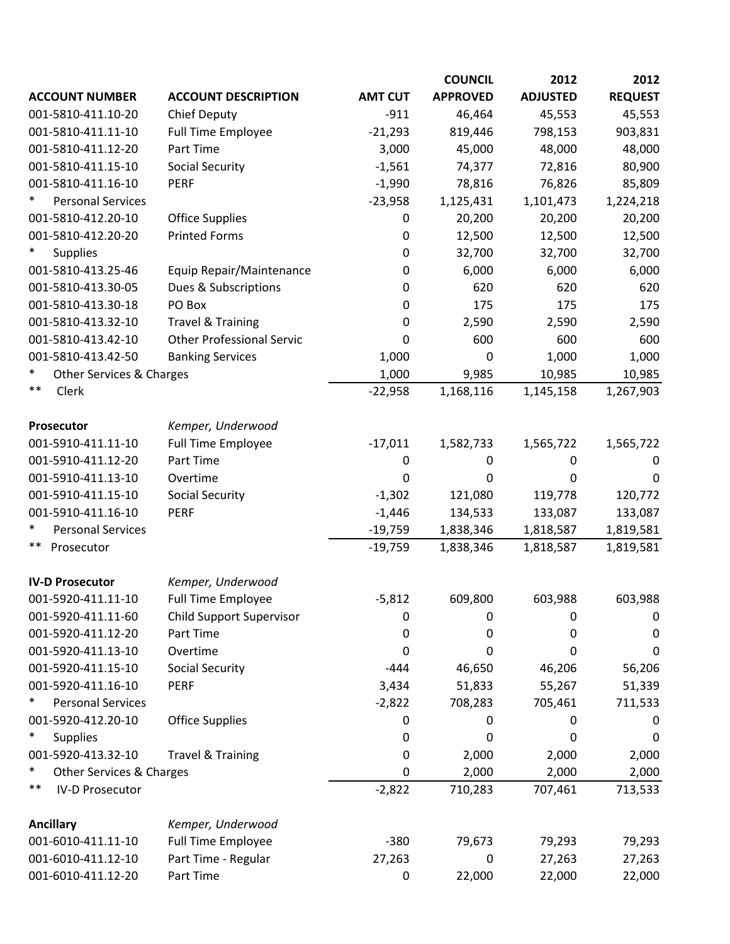|                                    |                                  |                  | <b>COUNCIL</b>  | 2012            | 2012           |
|------------------------------------|----------------------------------|------------------|-----------------|-----------------|----------------|
| <b>ACCOUNT NUMBER</b>              | <b>ACCOUNT DESCRIPTION</b>       | <b>AMT CUT</b>   | <b>APPROVED</b> | <b>ADJUSTED</b> | <b>REQUEST</b> |
| 001-5810-411.10-20                 | <b>Chief Deputy</b>              | $-911$           | 46,464          | 45,553          | 45,553         |
| 001-5810-411.11-10                 | <b>Full Time Employee</b>        | $-21,293$        | 819,446         | 798,153         | 903,831        |
| 001-5810-411.12-20                 | Part Time                        | 3,000            | 45,000          | 48,000          | 48,000         |
| 001-5810-411.15-10                 | <b>Social Security</b>           | $-1,561$         | 74,377          | 72,816          | 80,900         |
| 001-5810-411.16-10                 | <b>PERF</b>                      | $-1,990$         | 78,816          | 76,826          | 85,809         |
| $\ast$<br><b>Personal Services</b> |                                  | $-23,958$        | 1,125,431       | 1,101,473       | 1,224,218      |
| 001-5810-412.20-10                 | <b>Office Supplies</b>           | 0                | 20,200          | 20,200          | 20,200         |
| 001-5810-412.20-20                 | <b>Printed Forms</b>             | 0                | 12,500          | 12,500          | 12,500         |
| $\ast$<br><b>Supplies</b>          |                                  | 0                | 32,700          | 32,700          | 32,700         |
| 001-5810-413.25-46                 | Equip Repair/Maintenance         | 0                | 6,000           | 6,000           | 6,000          |
| 001-5810-413.30-05                 | Dues & Subscriptions             | 0                | 620             | 620             | 620            |
| 001-5810-413.30-18                 | PO Box                           | 0                | 175             | 175             | 175            |
| 001-5810-413.32-10                 | <b>Travel &amp; Training</b>     | 0                | 2,590           | 2,590           | 2,590          |
| 001-5810-413.42-10                 | <b>Other Professional Servic</b> | 0                | 600             | 600             | 600            |
| 001-5810-413.42-50                 | <b>Banking Services</b>          | 1,000            | 0               | 1,000           | 1,000          |
| $\ast$<br>Other Services & Charges |                                  | 1,000            | 9,985           | 10,985          | 10,985         |
| $***$<br>Clerk                     |                                  | $-22,958$        | 1,168,116       | 1,145,158       | 1,267,903      |
| <b>Prosecutor</b>                  | Kemper, Underwood                |                  |                 |                 |                |
| 001-5910-411.11-10                 | <b>Full Time Employee</b>        | $-17,011$        | 1,582,733       | 1,565,722       | 1,565,722      |
| 001-5910-411.12-20                 | Part Time                        | $\boldsymbol{0}$ | $\mathbf 0$     | $\mathbf 0$     | $\mathbf 0$    |
| 001-5910-411.13-10                 | Overtime                         | 0                | 0               | 0               | 0              |
| 001-5910-411.15-10                 | <b>Social Security</b>           | $-1,302$         | 121,080         | 119,778         | 120,772        |
| 001-5910-411.16-10                 | <b>PERF</b>                      | $-1,446$         | 134,533         | 133,087         | 133,087        |
| $\ast$<br><b>Personal Services</b> |                                  | $-19,759$        | 1,838,346       | 1,818,587       | 1,819,581      |
| $***$<br>Prosecutor                |                                  | $-19,759$        | 1,838,346       | 1,818,587       | 1,819,581      |
| <b>IV-D Prosecutor</b>             | Kemper, Underwood                |                  |                 |                 |                |
| 001-5920-411.11-10                 | <b>Full Time Employee</b>        | $-5,812$         | 609,800         | 603,988         | 603,988        |
| 001-5920-411.11-60                 | <b>Child Support Supervisor</b>  | 0                | 0               | 0               | 0              |
| 001-5920-411.12-20                 | Part Time                        | 0                | 0               | 0               | 0              |
| 001-5920-411.13-10                 | Overtime                         | 0                | 0               | 0               | 0              |
| 001-5920-411.15-10                 | <b>Social Security</b>           | $-444$           | 46,650          | 46,206          | 56,206         |
| 001-5920-411.16-10                 | <b>PERF</b>                      | 3,434            | 51,833          | 55,267          | 51,339         |
| <b>Personal Services</b><br>∗      |                                  | $-2,822$         | 708,283         | 705,461         | 711,533        |
| 001-5920-412.20-10                 | <b>Office Supplies</b>           | 0                | 0               | 0               | O              |
| $\ast$<br><b>Supplies</b>          |                                  | 0                | 0               | 0               | 0              |
| 001-5920-413.32-10                 | <b>Travel &amp; Training</b>     | 0                | 2,000           | 2,000           | 2,000          |
| ∗<br>Other Services & Charges      |                                  | 0                | 2,000           | 2,000           | 2,000          |
| $***$<br><b>IV-D Prosecutor</b>    |                                  | $-2,822$         | 710,283         | 707,461         | 713,533        |
| <b>Ancillary</b>                   | Kemper, Underwood                |                  |                 |                 |                |
| 001-6010-411.11-10                 | <b>Full Time Employee</b>        | $-380$           | 79,673          | 79,293          | 79,293         |
| 001-6010-411.12-10                 | Part Time - Regular              | 27,263           | 0               | 27,263          | 27,263         |
| 001-6010-411.12-20                 | Part Time                        | 0                | 22,000          | 22,000          | 22,000         |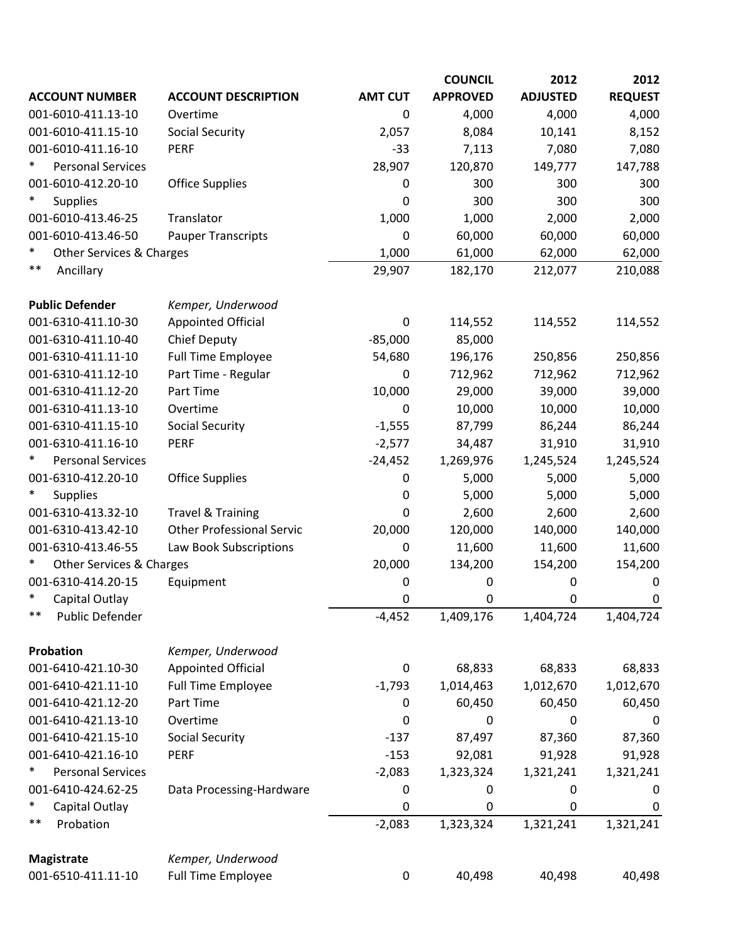|                                          |                                  |                | <b>COUNCIL</b>  | 2012            | 2012           |
|------------------------------------------|----------------------------------|----------------|-----------------|-----------------|----------------|
| <b>ACCOUNT NUMBER</b>                    | <b>ACCOUNT DESCRIPTION</b>       | <b>AMT CUT</b> | <b>APPROVED</b> | <b>ADJUSTED</b> | <b>REQUEST</b> |
| 001-6010-411.13-10                       | Overtime                         | 0              | 4,000           | 4,000           | 4,000          |
| 001-6010-411.15-10                       | <b>Social Security</b>           | 2,057          | 8,084           | 10,141          | 8,152          |
| 001-6010-411.16-10                       | <b>PERF</b>                      | $-33$          | 7,113           | 7,080           | 7,080          |
| ∗<br><b>Personal Services</b>            |                                  | 28,907         | 120,870         | 149,777         | 147,788        |
| 001-6010-412.20-10                       | <b>Office Supplies</b>           | 0              | 300             | 300             | 300            |
| ∗<br><b>Supplies</b>                     |                                  | 0              | 300             | 300             | 300            |
| 001-6010-413.46-25                       | Translator                       | 1,000          | 1,000           | 2,000           | 2,000          |
| 001-6010-413.46-50                       | <b>Pauper Transcripts</b>        | 0              | 60,000          | 60,000          | 60,000         |
| $\ast$<br>Other Services & Charges       |                                  | 1,000          | 61,000          | 62,000          | 62,000         |
| $***$<br>Ancillary                       |                                  | 29,907         | 182,170         | 212,077         | 210,088        |
| <b>Public Defender</b>                   | Kemper, Underwood                |                |                 |                 |                |
| 001-6310-411.10-30                       | <b>Appointed Official</b>        | 0              | 114,552         | 114,552         | 114,552        |
| 001-6310-411.10-40                       | <b>Chief Deputy</b>              | $-85,000$      | 85,000          |                 |                |
| 001-6310-411.11-10                       | <b>Full Time Employee</b>        | 54,680         | 196,176         | 250,856         | 250,856        |
| 001-6310-411.12-10                       | Part Time - Regular              | 0              | 712,962         | 712,962         | 712,962        |
| 001-6310-411.12-20                       | Part Time                        | 10,000         | 29,000          | 39,000          | 39,000         |
| 001-6310-411.13-10                       | Overtime                         | 0              | 10,000          | 10,000          | 10,000         |
| 001-6310-411.15-10                       | <b>Social Security</b>           | $-1,555$       | 87,799          | 86,244          | 86,244         |
| 001-6310-411.16-10                       | PERF                             | $-2,577$       | 34,487          | 31,910          | 31,910         |
| $\ast$<br><b>Personal Services</b>       |                                  | $-24,452$      | 1,269,976       | 1,245,524       | 1,245,524      |
| 001-6310-412.20-10                       | <b>Office Supplies</b>           | 0              | 5,000           | 5,000           | 5,000          |
| *<br><b>Supplies</b>                     |                                  | $\bf{0}$       | 5,000           | 5,000           | 5,000          |
| 001-6310-413.32-10                       | <b>Travel &amp; Training</b>     | 0              | 2,600           | 2,600           | 2,600          |
| 001-6310-413.42-10                       | <b>Other Professional Servic</b> | 20,000         | 120,000         | 140,000         | 140,000        |
| 001-6310-413.46-55                       | Law Book Subscriptions           | 0              | 11,600          | 11,600          | 11,600         |
| ∗<br><b>Other Services &amp; Charges</b> |                                  | 20,000         | 134,200         | 154,200         | 154,200        |
| 001-6310-414.20-15                       | Equipment                        | 0              | 0               | 0               | 0              |
| ∗<br>Capital Outlay                      |                                  | 0              | 0               | 0               | 0              |
| $***$<br>Public Defender                 |                                  | $-4,452$       | 1,409,176       | 1,404,724       | 1,404,724      |
| Probation                                | Kemper, Underwood                |                |                 |                 |                |
| 001-6410-421.10-30                       | <b>Appointed Official</b>        | 0              | 68,833          | 68,833          | 68,833         |
| 001-6410-421.11-10                       | <b>Full Time Employee</b>        | $-1,793$       | 1,014,463       | 1,012,670       | 1,012,670      |
| 001-6410-421.12-20                       | Part Time                        | 0              | 60,450          | 60,450          | 60,450         |
| 001-6410-421.13-10                       | Overtime                         | 0              | 0               | 0               | 0              |
| 001-6410-421.15-10                       | <b>Social Security</b>           | $-137$         | 87,497          | 87,360          | 87,360         |
| 001-6410-421.16-10                       | <b>PERF</b>                      | $-153$         | 92,081          | 91,928          | 91,928         |
| $\ast$<br><b>Personal Services</b>       |                                  | $-2,083$       | 1,323,324       | 1,321,241       | 1,321,241      |
| 001-6410-424.62-25                       | Data Processing-Hardware         | 0              | 0               | 0               | 0              |
| $\ast$<br>Capital Outlay                 |                                  | $\mathbf 0$    | $\mathbf 0$     | 0               | 0              |
| $***$<br>Probation                       |                                  | $-2,083$       | 1,323,324       | 1,321,241       | 1,321,241      |
| <b>Magistrate</b>                        | Kemper, Underwood                |                |                 |                 |                |
| 001-6510-411.11-10                       | <b>Full Time Employee</b>        | $\mathbf 0$    | 40,498          | 40,498          | 40,498         |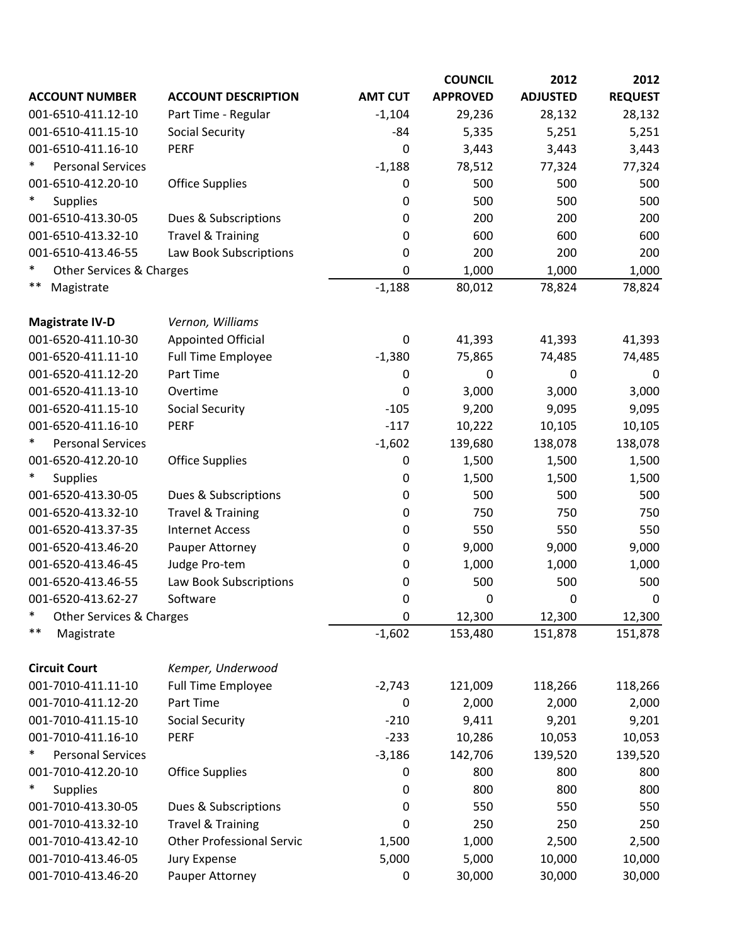|                                    |                                  |                  | <b>COUNCIL</b>  | 2012            | 2012           |
|------------------------------------|----------------------------------|------------------|-----------------|-----------------|----------------|
| <b>ACCOUNT NUMBER</b>              | <b>ACCOUNT DESCRIPTION</b>       | <b>AMT CUT</b>   | <b>APPROVED</b> | <b>ADJUSTED</b> | <b>REQUEST</b> |
| 001-6510-411.12-10                 | Part Time - Regular              | $-1,104$         | 29,236          | 28,132          | 28,132         |
| 001-6510-411.15-10                 | <b>Social Security</b>           | -84              | 5,335           | 5,251           | 5,251          |
| 001-6510-411.16-10                 | <b>PERF</b>                      | 0                | 3,443           | 3,443           | 3,443          |
| $\ast$<br><b>Personal Services</b> |                                  | $-1,188$         | 78,512          | 77,324          | 77,324         |
| 001-6510-412.20-10                 | <b>Office Supplies</b>           | 0                | 500             | 500             | 500            |
| $\ast$<br><b>Supplies</b>          |                                  | 0                | 500             | 500             | 500            |
| 001-6510-413.30-05                 | Dues & Subscriptions             | 0                | 200             | 200             | 200            |
| 001-6510-413.32-10                 | <b>Travel &amp; Training</b>     | 0                | 600             | 600             | 600            |
| 001-6510-413.46-55                 | Law Book Subscriptions           | 0                | 200             | 200             | 200            |
| $\ast$<br>Other Services & Charges |                                  | 0                | 1,000           | 1,000           | 1,000          |
| $***$<br>Magistrate                |                                  | $-1,188$         | 80,012          | 78,824          | 78,824         |
| <b>Magistrate IV-D</b>             | Vernon, Williams                 |                  |                 |                 |                |
| 001-6520-411.10-30                 | <b>Appointed Official</b>        | 0                | 41,393          | 41,393          | 41,393         |
| 001-6520-411.11-10                 | <b>Full Time Employee</b>        | $-1,380$         | 75,865          | 74,485          | 74,485         |
| 001-6520-411.12-20                 | Part Time                        | $\boldsymbol{0}$ | 0               | $\mathbf 0$     | $\mathbf 0$    |
| 001-6520-411.13-10                 | Overtime                         | 0                | 3,000           | 3,000           | 3,000          |
| 001-6520-411.15-10                 | <b>Social Security</b>           | $-105$           | 9,200           | 9,095           | 9,095          |
| 001-6520-411.16-10                 | <b>PERF</b>                      | $-117$           | 10,222          | 10,105          | 10,105         |
| *<br><b>Personal Services</b>      |                                  | $-1,602$         | 139,680         | 138,078         | 138,078        |
| 001-6520-412.20-10                 | <b>Office Supplies</b>           | 0                | 1,500           | 1,500           | 1,500          |
| ∗<br><b>Supplies</b>               |                                  | 0                | 1,500           | 1,500           | 1,500          |
| 001-6520-413.30-05                 | Dues & Subscriptions             | 0                | 500             | 500             | 500            |
| 001-6520-413.32-10                 | <b>Travel &amp; Training</b>     | 0                | 750             | 750             | 750            |
| 001-6520-413.37-35                 | <b>Internet Access</b>           | 0                | 550             | 550             | 550            |
| 001-6520-413.46-20                 | Pauper Attorney                  | 0                | 9,000           | 9,000           | 9,000          |
| 001-6520-413.46-45                 | Judge Pro-tem                    | 0                | 1,000           | 1,000           | 1,000          |
| 001-6520-413.46-55                 | Law Book Subscriptions           | 0                | 500             | 500             | 500            |
| 001-6520-413.62-27                 | Software                         | 0                | $\mathbf 0$     | 0               | 0              |
| $\ast$<br>Other Services & Charges |                                  | 0                | 12,300          | 12,300          | 12,300         |
| $***$<br>Magistrate                |                                  | $-1,602$         | 153,480         | 151,878         | 151,878        |
| <b>Circuit Court</b>               | Kemper, Underwood                |                  |                 |                 |                |
| 001-7010-411.11-10                 | <b>Full Time Employee</b>        | $-2,743$         | 121,009         | 118,266         | 118,266        |
| 001-7010-411.12-20                 | Part Time                        | 0                | 2,000           | 2,000           | 2,000          |
| 001-7010-411.15-10                 | <b>Social Security</b>           | $-210$           | 9,411           | 9,201           | 9,201          |
| 001-7010-411.16-10                 | PERF                             | $-233$           | 10,286          | 10,053          | 10,053         |
| $\ast$<br><b>Personal Services</b> |                                  | $-3,186$         | 142,706         | 139,520         | 139,520        |
| 001-7010-412.20-10                 | <b>Office Supplies</b>           | 0                | 800             | 800             | 800            |
| $\ast$<br>Supplies                 |                                  | 0                | 800             | 800             | 800            |
| 001-7010-413.30-05                 | Dues & Subscriptions             | 0                | 550             | 550             | 550            |
| 001-7010-413.32-10                 | <b>Travel &amp; Training</b>     | 0                | 250             | 250             | 250            |
| 001-7010-413.42-10                 | <b>Other Professional Servic</b> | 1,500            | 1,000           | 2,500           | 2,500          |
| 001-7010-413.46-05                 | Jury Expense                     | 5,000            | 5,000           | 10,000          | 10,000         |
| 001-7010-413.46-20                 | Pauper Attorney                  | $\boldsymbol{0}$ | 30,000          | 30,000          | 30,000         |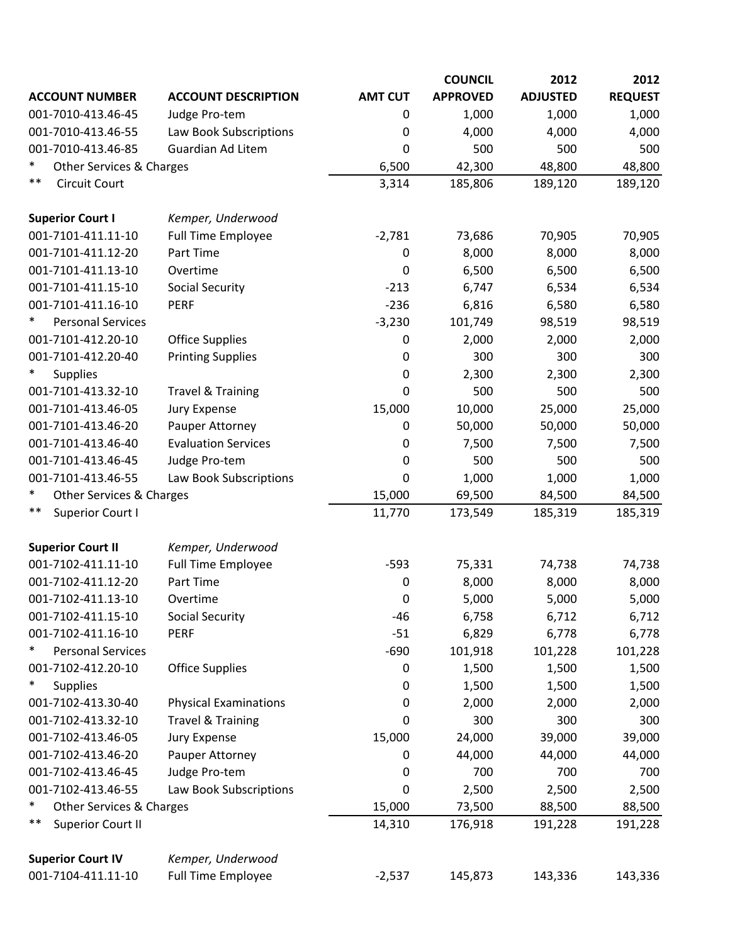|                                          |                              |                | <b>COUNCIL</b>  | 2012            | 2012           |
|------------------------------------------|------------------------------|----------------|-----------------|-----------------|----------------|
| <b>ACCOUNT NUMBER</b>                    | <b>ACCOUNT DESCRIPTION</b>   | <b>AMT CUT</b> | <b>APPROVED</b> | <b>ADJUSTED</b> | <b>REQUEST</b> |
| 001-7010-413.46-45                       | Judge Pro-tem                | 0              | 1,000           | 1,000           | 1,000          |
| 001-7010-413.46-55                       | Law Book Subscriptions       | 0              | 4,000           | 4,000           | 4,000          |
| 001-7010-413.46-85                       | <b>Guardian Ad Litem</b>     | 0              | 500             | 500             | 500            |
| ∗<br><b>Other Services &amp; Charges</b> |                              | 6,500          | 42,300          | 48,800          | 48,800         |
| $***$<br><b>Circuit Court</b>            |                              | 3,314          | 185,806         | 189,120         | 189,120        |
| <b>Superior Court I</b>                  | Kemper, Underwood            |                |                 |                 |                |
| 001-7101-411.11-10                       | <b>Full Time Employee</b>    | $-2,781$       | 73,686          | 70,905          | 70,905         |
| 001-7101-411.12-20                       | Part Time                    | 0              | 8,000           | 8,000           | 8,000          |
| 001-7101-411.13-10                       | Overtime                     | $\mathbf 0$    | 6,500           | 6,500           | 6,500          |
| 001-7101-411.15-10                       | <b>Social Security</b>       | $-213$         | 6,747           | 6,534           | 6,534          |
| 001-7101-411.16-10                       | <b>PERF</b>                  | $-236$         | 6,816           | 6,580           | 6,580          |
| ∗<br><b>Personal Services</b>            |                              | $-3,230$       | 101,749         | 98,519          | 98,519         |
| 001-7101-412.20-10                       | <b>Office Supplies</b>       | 0              | 2,000           | 2,000           | 2,000          |
| 001-7101-412.20-40                       | <b>Printing Supplies</b>     | 0              | 300             | 300             | 300            |
| $\ast$<br><b>Supplies</b>                |                              | 0              | 2,300           | 2,300           | 2,300          |
| 001-7101-413.32-10                       | <b>Travel &amp; Training</b> | 0              | 500             | 500             | 500            |
| 001-7101-413.46-05                       | Jury Expense                 | 15,000         | 10,000          | 25,000          | 25,000         |
| 001-7101-413.46-20                       | Pauper Attorney              | 0              | 50,000          | 50,000          | 50,000         |
| 001-7101-413.46-40                       | <b>Evaluation Services</b>   | 0              | 7,500           | 7,500           | 7,500          |
| 001-7101-413.46-45                       | Judge Pro-tem                | 0              | 500             | 500             | 500            |
| 001-7101-413.46-55                       | Law Book Subscriptions       | $\mathbf 0$    | 1,000           | 1,000           | 1,000          |
| ∗<br>Other Services & Charges            |                              | 15,000         | 69,500          | 84,500          | 84,500         |
| **<br>Superior Court I                   |                              | 11,770         | 173,549         | 185,319         | 185,319        |
| <b>Superior Court II</b>                 | Kemper, Underwood            |                |                 |                 |                |
| 001-7102-411.11-10                       | <b>Full Time Employee</b>    | $-593$         | 75,331          | 74,738          | 74,738         |
| 001-7102-411.12-20                       | Part Time                    | 0              | 8,000           | 8,000           | 8,000          |
| 001-7102-411.13-10                       | Overtime                     | 0              | 5,000           | 5,000           | 5,000          |
| 001-7102-411.15-10                       | <b>Social Security</b>       | $-46$          | 6,758           | 6,712           | 6,712          |
| 001-7102-411.16-10                       | PERF                         | $-51$          | 6,829           | 6,778           | 6,778          |
| ∗<br><b>Personal Services</b>            |                              | $-690$         | 101,918         | 101,228         | 101,228        |
| 001-7102-412.20-10                       | <b>Office Supplies</b>       | 0              | 1,500           | 1,500           | 1,500          |
| $\ast$<br><b>Supplies</b>                |                              | 0              | 1,500           | 1,500           | 1,500          |
| 001-7102-413.30-40                       | <b>Physical Examinations</b> | 0              | 2,000           | 2,000           | 2,000          |
| 001-7102-413.32-10                       | <b>Travel &amp; Training</b> | 0              | 300             | 300             | 300            |
| 001-7102-413.46-05                       | Jury Expense                 | 15,000         | 24,000          | 39,000          | 39,000         |
| 001-7102-413.46-20                       | Pauper Attorney              | 0              | 44,000          | 44,000          | 44,000         |
| 001-7102-413.46-45                       | Judge Pro-tem                | 0              | 700             | 700             | 700            |
| 001-7102-413.46-55                       | Law Book Subscriptions       | 0              | 2,500           | 2,500           | 2,500          |
| $\ast$<br>Other Services & Charges       |                              | 15,000         | 73,500          | 88,500          | 88,500         |
| **<br>Superior Court II                  |                              | 14,310         | 176,918         | 191,228         | 191,228        |
| <b>Superior Court IV</b>                 | Kemper, Underwood            |                |                 |                 |                |
| 001-7104-411.11-10                       | <b>Full Time Employee</b>    | $-2,537$       | 145,873         | 143,336         | 143,336        |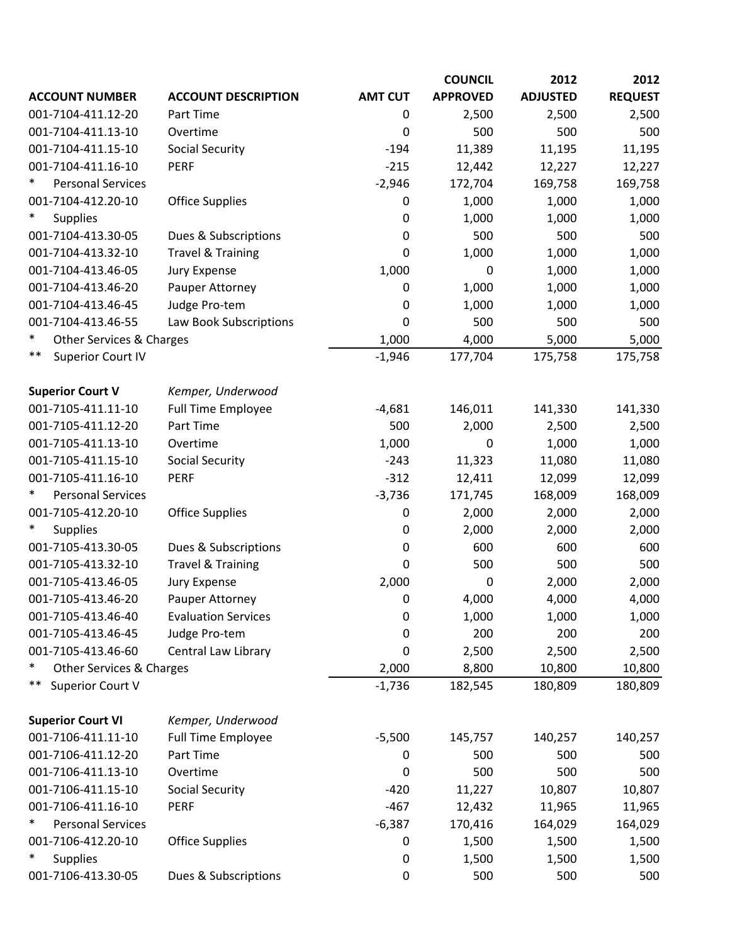|                                               |                              |                | <b>COUNCIL</b>  | 2012            | 2012           |
|-----------------------------------------------|------------------------------|----------------|-----------------|-----------------|----------------|
| <b>ACCOUNT NUMBER</b>                         | <b>ACCOUNT DESCRIPTION</b>   | <b>AMT CUT</b> | <b>APPROVED</b> | <b>ADJUSTED</b> | <b>REQUEST</b> |
| 001-7104-411.12-20                            | Part Time                    | 0              | 2,500           | 2,500           | 2,500          |
| 001-7104-411.13-10                            | Overtime                     | 0              | 500             | 500             | 500            |
| 001-7104-411.15-10                            | <b>Social Security</b>       | $-194$         | 11,389          | 11,195          | 11,195         |
| 001-7104-411.16-10                            | <b>PERF</b>                  | $-215$         | 12,442          | 12,227          | 12,227         |
| <b>Personal Services</b>                      |                              | $-2,946$       | 172,704         | 169,758         | 169,758        |
| 001-7104-412.20-10                            | <b>Office Supplies</b>       | 0              | 1,000           | 1,000           | 1,000          |
| $\ast$<br><b>Supplies</b>                     |                              | $\mathbf 0$    | 1,000           | 1,000           | 1,000          |
| 001-7104-413.30-05                            | Dues & Subscriptions         | 0              | 500             | 500             | 500            |
| 001-7104-413.32-10                            | <b>Travel &amp; Training</b> | 0              | 1,000           | 1,000           | 1,000          |
| 001-7104-413.46-05                            | <b>Jury Expense</b>          | 1,000          | 0               | 1,000           | 1,000          |
| 001-7104-413.46-20                            | Pauper Attorney              | 0              | 1,000           | 1,000           | 1,000          |
| 001-7104-413.46-45                            | Judge Pro-tem                | $\mathbf 0$    | 1,000           | 1,000           | 1,000          |
| 001-7104-413.46-55                            | Law Book Subscriptions       | 0              | 500             | 500             | 500            |
| $\ast$<br><b>Other Services &amp; Charges</b> |                              | 1,000          | 4,000           | 5,000           | 5,000          |
| $***$<br><b>Superior Court IV</b>             |                              | $-1,946$       | 177,704         | 175,758         | 175,758        |
| <b>Superior Court V</b>                       | Kemper, Underwood            |                |                 |                 |                |
| 001-7105-411.11-10                            | <b>Full Time Employee</b>    | $-4,681$       | 146,011         | 141,330         | 141,330        |
| 001-7105-411.12-20                            | Part Time                    | 500            | 2,000           | 2,500           | 2,500          |
| 001-7105-411.13-10                            | Overtime                     | 1,000          | 0               | 1,000           | 1,000          |
| 001-7105-411.15-10                            | <b>Social Security</b>       | $-243$         | 11,323          | 11,080          | 11,080         |
| 001-7105-411.16-10                            | <b>PERF</b>                  | $-312$         | 12,411          | 12,099          | 12,099         |
| ∗<br><b>Personal Services</b>                 |                              | $-3,736$       | 171,745         | 168,009         | 168,009        |
| 001-7105-412.20-10                            | <b>Office Supplies</b>       | 0              | 2,000           | 2,000           | 2,000          |
| <b>Supplies</b>                               |                              | $\mathbf 0$    | 2,000           | 2,000           | 2,000          |
| 001-7105-413.30-05                            | Dues & Subscriptions         | $\mathbf 0$    | 600             | 600             | 600            |
| 001-7105-413.32-10                            | <b>Travel &amp; Training</b> | 0              | 500             | 500             | 500            |
| 001-7105-413.46-05                            | <b>Jury Expense</b>          | 2,000          | 0               | 2,000           | 2,000          |
| 001-7105-413.46-20                            | Pauper Attorney              | 0              | 4,000           | 4,000           | 4,000          |
| 001-7105-413.46-40                            | <b>Evaluation Services</b>   | 0              | 1,000           | 1,000           | 1,000          |
| 001-7105-413.46-45                            | Judge Pro-tem                | 0              | 200             | 200             | 200            |
| 001-7105-413.46-60                            | Central Law Library          | 0              | 2,500           | 2,500           | 2,500          |
| $\ast$<br>Other Services & Charges            |                              | 2,000          | 8,800           | 10,800          | 10,800         |
| **<br>Superior Court V                        |                              | $-1,736$       | 182,545         | 180,809         | 180,809        |
| <b>Superior Court VI</b>                      | Kemper, Underwood            |                |                 |                 |                |
| 001-7106-411.11-10                            | <b>Full Time Employee</b>    | $-5,500$       | 145,757         | 140,257         | 140,257        |
| 001-7106-411.12-20                            | Part Time                    | 0              | 500             | 500             | 500            |
| 001-7106-411.13-10                            | Overtime                     | 0              | 500             | 500             | 500            |
| 001-7106-411.15-10                            | <b>Social Security</b>       | $-420$         | 11,227          | 10,807          | 10,807         |
| 001-7106-411.16-10                            | <b>PERF</b>                  | $-467$         | 12,432          | 11,965          | 11,965         |
| <b>Personal Services</b>                      |                              | $-6,387$       | 170,416         | 164,029         | 164,029        |
| 001-7106-412.20-10                            | <b>Office Supplies</b>       | 0              | 1,500           | 1,500           | 1,500          |
| $\ast$<br>Supplies                            |                              | 0              | 1,500           | 1,500           | 1,500          |
| 001-7106-413.30-05                            | Dues & Subscriptions         | 0              | 500             | 500             | 500            |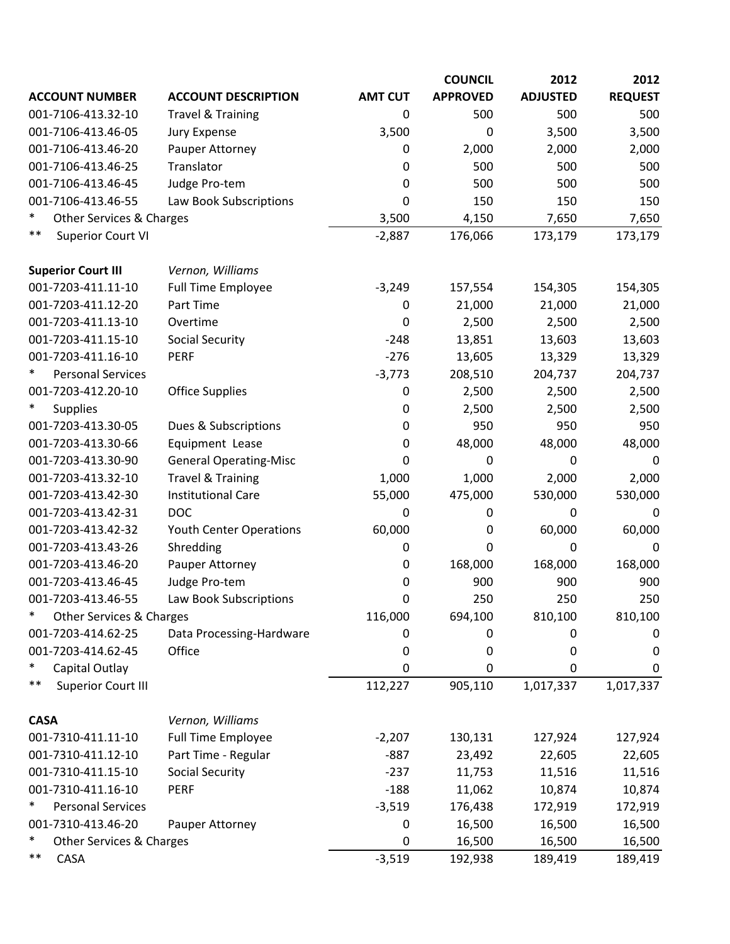|                                    |                               |                | <b>COUNCIL</b>  | 2012            | 2012           |
|------------------------------------|-------------------------------|----------------|-----------------|-----------------|----------------|
| <b>ACCOUNT NUMBER</b>              | <b>ACCOUNT DESCRIPTION</b>    | <b>AMT CUT</b> | <b>APPROVED</b> | <b>ADJUSTED</b> | <b>REQUEST</b> |
| 001-7106-413.32-10                 | <b>Travel &amp; Training</b>  | 0              | 500             | 500             | 500            |
| 001-7106-413.46-05                 | Jury Expense                  | 3,500          | 0               | 3,500           | 3,500          |
| 001-7106-413.46-20                 | Pauper Attorney               | 0              | 2,000           | 2,000           | 2,000          |
| 001-7106-413.46-25                 | Translator                    | 0              | 500             | 500             | 500            |
| 001-7106-413.46-45                 | Judge Pro-tem                 | 0              | 500             | 500             | 500            |
| 001-7106-413.46-55                 | Law Book Subscriptions        | 0              | 150             | 150             | 150            |
| $\ast$<br>Other Services & Charges |                               | 3,500          | 4,150           | 7,650           | 7,650          |
| $***$<br><b>Superior Court VI</b>  |                               | $-2,887$       | 176,066         | 173,179         | 173,179        |
| <b>Superior Court III</b>          | Vernon, Williams              |                |                 |                 |                |
| 001-7203-411.11-10                 | <b>Full Time Employee</b>     | $-3,249$       | 157,554         | 154,305         | 154,305        |
| 001-7203-411.12-20                 | Part Time                     | 0              | 21,000          | 21,000          | 21,000         |
| 001-7203-411.13-10                 | Overtime                      | 0              | 2,500           | 2,500           | 2,500          |
| 001-7203-411.15-10                 | <b>Social Security</b>        | $-248$         | 13,851          | 13,603          | 13,603         |
| 001-7203-411.16-10                 | <b>PERF</b>                   | $-276$         | 13,605          | 13,329          | 13,329         |
| $\ast$<br><b>Personal Services</b> |                               | $-3,773$       | 208,510         | 204,737         | 204,737        |
| 001-7203-412.20-10                 | <b>Office Supplies</b>        | 0              | 2,500           | 2,500           | 2,500          |
| $\ast$<br><b>Supplies</b>          |                               | 0              | 2,500           | 2,500           | 2,500          |
| 001-7203-413.30-05                 | Dues & Subscriptions          | 0              | 950             | 950             | 950            |
| 001-7203-413.30-66                 | Equipment Lease               | 0              | 48,000          | 48,000          | 48,000         |
| 001-7203-413.30-90                 | <b>General Operating-Misc</b> | 0              | $\mathbf 0$     | 0               | 0              |
| 001-7203-413.32-10                 | <b>Travel &amp; Training</b>  | 1,000          | 1,000           | 2,000           | 2,000          |
| 001-7203-413.42-30                 | <b>Institutional Care</b>     | 55,000         | 475,000         | 530,000         | 530,000        |
| 001-7203-413.42-31                 | <b>DOC</b>                    | 0              | 0               | 0               | 0              |
| 001-7203-413.42-32                 | Youth Center Operations       | 60,000         | 0               | 60,000          | 60,000         |
| 001-7203-413.43-26                 | Shredding                     | 0              | 0               | 0               | 0              |
| 001-7203-413.46-20                 | Pauper Attorney               | 0              | 168,000         | 168,000         | 168,000        |
| 001-7203-413.46-45                 | Judge Pro-tem                 | 0              | 900             | 900             | 900            |
| 001-7203-413.46-55                 | Law Book Subscriptions        | 0              | 250             | 250             | 250            |
| $\ast$<br>Other Services & Charges |                               | 116,000        | 694,100         | 810,100         | 810,100        |
| 001-7203-414.62-25                 | Data Processing-Hardware      | 0              | 0               | 0               | 0              |
| 001-7203-414.62-45                 | Office                        | 0              | 0               | 0               | 0              |
| $\ast$<br>Capital Outlay           |                               | 0              | 0               | 0               | 0              |
| $***$<br><b>Superior Court III</b> |                               | 112,227        | 905,110         | 1,017,337       | 1,017,337      |
| <b>CASA</b>                        | Vernon, Williams              |                |                 |                 |                |
| 001-7310-411.11-10                 | <b>Full Time Employee</b>     | $-2,207$       | 130,131         | 127,924         | 127,924        |
| 001-7310-411.12-10                 | Part Time - Regular           | $-887$         | 23,492          | 22,605          | 22,605         |
| 001-7310-411.15-10                 | <b>Social Security</b>        | $-237$         | 11,753          | 11,516          | 11,516         |
| 001-7310-411.16-10                 | <b>PERF</b>                   | $-188$         | 11,062          | 10,874          | 10,874         |
| ∗<br><b>Personal Services</b>      |                               | $-3,519$       | 176,438         | 172,919         | 172,919        |
| 001-7310-413.46-20                 | Pauper Attorney               | 0              | 16,500          | 16,500          | 16,500         |
| $\ast$<br>Other Services & Charges |                               | 0              | 16,500          | 16,500          | 16,500         |
| $***$<br>CASA                      |                               | $-3,519$       | 192,938         | 189,419         | 189,419        |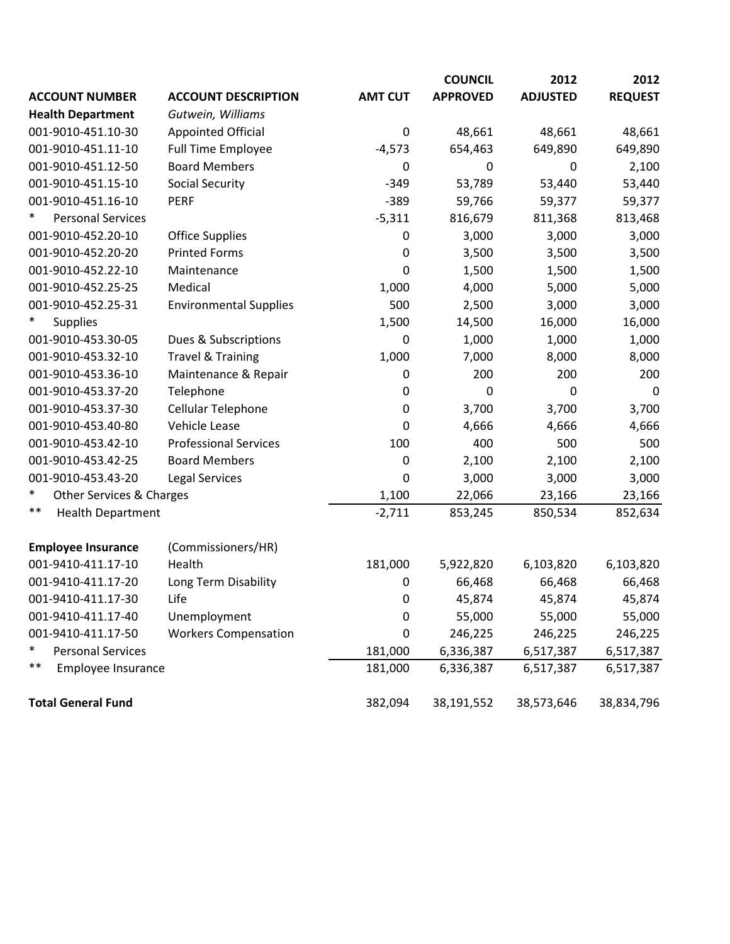|                                    |                               |                  | <b>COUNCIL</b>  | 2012             | 2012           |
|------------------------------------|-------------------------------|------------------|-----------------|------------------|----------------|
| <b>ACCOUNT NUMBER</b>              | <b>ACCOUNT DESCRIPTION</b>    | <b>AMT CUT</b>   | <b>APPROVED</b> | <b>ADJUSTED</b>  | <b>REQUEST</b> |
| <b>Health Department</b>           | Gutwein, Williams             |                  |                 |                  |                |
| 001-9010-451.10-30                 | <b>Appointed Official</b>     | $\mathbf 0$      | 48,661          | 48,661           | 48,661         |
| 001-9010-451.11-10                 | <b>Full Time Employee</b>     | $-4,573$         | 654,463         | 649,890          | 649,890        |
| 001-9010-451.12-50                 | <b>Board Members</b>          | $\boldsymbol{0}$ | $\mathbf 0$     | $\boldsymbol{0}$ | 2,100          |
| 001-9010-451.15-10                 | <b>Social Security</b>        | $-349$           | 53,789          | 53,440           | 53,440         |
| 001-9010-451.16-10                 | <b>PERF</b>                   | $-389$           | 59,766          | 59,377           | 59,377         |
| $\ast$<br><b>Personal Services</b> |                               | $-5,311$         | 816,679         | 811,368          | 813,468        |
| 001-9010-452.20-10                 | <b>Office Supplies</b>        | $\mathbf 0$      | 3,000           | 3,000            | 3,000          |
| 001-9010-452.20-20                 | <b>Printed Forms</b>          | $\mathbf 0$      | 3,500           | 3,500            | 3,500          |
| 001-9010-452.22-10                 | Maintenance                   | 0                | 1,500           | 1,500            | 1,500          |
| 001-9010-452.25-25                 | Medical                       | 1,000            | 4,000           | 5,000            | 5,000          |
| 001-9010-452.25-31                 | <b>Environmental Supplies</b> | 500              | 2,500           | 3,000            | 3,000          |
| <b>Supplies</b>                    |                               | 1,500            | 14,500          | 16,000           | 16,000         |
| 001-9010-453.30-05                 | Dues & Subscriptions          | $\mathbf 0$      | 1,000           | 1,000            | 1,000          |
| 001-9010-453.32-10                 | <b>Travel &amp; Training</b>  | 1,000            | 7,000           | 8,000            | 8,000          |
| 001-9010-453.36-10                 | Maintenance & Repair          | 0                | 200             | 200              | 200            |
| 001-9010-453.37-20                 | Telephone                     | 0                | 0               | 0                | 0              |
| 001-9010-453.37-30                 | Cellular Telephone            | $\mathbf 0$      | 3,700           | 3,700            | 3,700          |
| 001-9010-453.40-80                 | Vehicle Lease                 | 0                | 4,666           | 4,666            | 4,666          |
| 001-9010-453.42-10                 | <b>Professional Services</b>  | 100              | 400             | 500              | 500            |
| 001-9010-453.42-25                 | <b>Board Members</b>          | 0                | 2,100           | 2,100            | 2,100          |
| 001-9010-453.43-20                 | <b>Legal Services</b>         | 0                | 3,000           | 3,000            | 3,000          |
| ∗<br>Other Services & Charges      |                               | 1,100            | 22,066          | 23,166           | 23,166         |
| $***$<br><b>Health Department</b>  |                               | $-2,711$         | 853,245         | 850,534          | 852,634        |
| <b>Employee Insurance</b>          | (Commissioners/HR)            |                  |                 |                  |                |
| 001-9410-411.17-10                 | Health                        | 181,000          | 5,922,820       | 6,103,820        | 6,103,820      |
| 001-9410-411.17-20                 | Long Term Disability          | $\pmb{0}$        | 66,468          | 66,468           | 66,468         |
| 001-9410-411.17-30                 | Life                          | 0                | 45,874          | 45,874           | 45,874         |
| 001-9410-411.17-40                 | Unemployment                  | 0                | 55,000          | 55,000           | 55,000         |
| 001-9410-411.17-50                 | <b>Workers Compensation</b>   | 0                | 246,225         | 246,225          | 246,225        |
| ∗<br><b>Personal Services</b>      |                               | 181,000          | 6,336,387       | 6,517,387        | 6,517,387      |
| $***$<br>Employee Insurance        |                               | 181,000          | 6,336,387       | 6,517,387        | 6,517,387      |
| <b>Total General Fund</b>          |                               | 382,094          | 38,191,552      | 38,573,646       | 38,834,796     |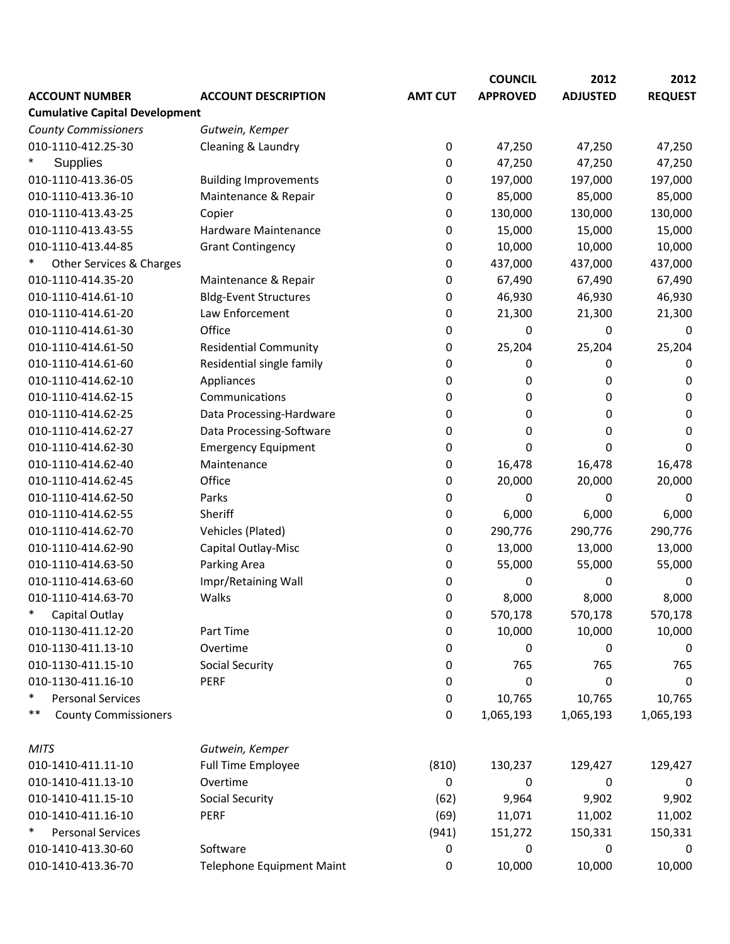|                                       |                              |                | <b>COUNCIL</b>  | 2012            | 2012           |
|---------------------------------------|------------------------------|----------------|-----------------|-----------------|----------------|
| <b>ACCOUNT NUMBER</b>                 | <b>ACCOUNT DESCRIPTION</b>   | <b>AMT CUT</b> | <b>APPROVED</b> | <b>ADJUSTED</b> | <b>REQUEST</b> |
| <b>Cumulative Capital Development</b> |                              |                |                 |                 |                |
| <b>County Commissioners</b>           | Gutwein, Kemper              |                |                 |                 |                |
| 010-1110-412.25-30                    | Cleaning & Laundry           | 0              | 47,250          | 47,250          | 47,250         |
| Supplies                              |                              | 0              | 47,250          | 47,250          | 47,250         |
| 010-1110-413.36-05                    | <b>Building Improvements</b> | 0              | 197,000         | 197,000         | 197,000        |
| 010-1110-413.36-10                    | Maintenance & Repair         | 0              | 85,000          | 85,000          | 85,000         |
| 010-1110-413.43-25                    | Copier                       | 0              | 130,000         | 130,000         | 130,000        |
| 010-1110-413.43-55                    | Hardware Maintenance         | 0              | 15,000          | 15,000          | 15,000         |
| 010-1110-413.44-85                    | <b>Grant Contingency</b>     | 0              | 10,000          | 10,000          | 10,000         |
| $\ast$<br>Other Services & Charges    |                              | 0              | 437,000         | 437,000         | 437,000        |
| 010-1110-414.35-20                    | Maintenance & Repair         | 0              | 67,490          | 67,490          | 67,490         |
| 010-1110-414.61-10                    | <b>Bldg-Event Structures</b> | 0              | 46,930          | 46,930          | 46,930         |
| 010-1110-414.61-20                    | Law Enforcement              | 0              | 21,300          | 21,300          | 21,300         |
| 010-1110-414.61-30                    | Office                       | 0              | 0               | 0               | 0              |
| 010-1110-414.61-50                    | <b>Residential Community</b> | 0              | 25,204          | 25,204          | 25,204         |
| 010-1110-414.61-60                    | Residential single family    | 0              | 0               | 0               | 0              |
| 010-1110-414.62-10                    | Appliances                   | 0              | 0               | 0               | 0              |
| 010-1110-414.62-15                    | Communications               | 0              | 0               | 0               | 0              |
| 010-1110-414.62-25                    | Data Processing-Hardware     | 0              | 0               | 0               | 0              |
| 010-1110-414.62-27                    | Data Processing-Software     | 0              | 0               | 0               | 0              |
| 010-1110-414.62-30                    | <b>Emergency Equipment</b>   | 0              | 0               | 0               | 0              |
| 010-1110-414.62-40                    | Maintenance                  | 0              | 16,478          | 16,478          | 16,478         |
| 010-1110-414.62-45                    | Office                       | 0              | 20,000          | 20,000          | 20,000         |
| 010-1110-414.62-50                    | Parks                        | 0              | 0               | 0               | 0              |
| 010-1110-414.62-55                    | Sheriff                      | 0              | 6,000           | 6,000           | 6,000          |
| 010-1110-414.62-70                    | Vehicles (Plated)            | 0              | 290,776         | 290,776         | 290,776        |
| 010-1110-414.62-90                    | Capital Outlay-Misc          | 0              | 13,000          | 13,000          | 13,000         |
| 010-1110-414.63-50                    | Parking Area                 | 0              | 55,000          | 55,000          | 55,000         |
| 010-1110-414.63-60                    | Impr/Retaining Wall          | 0              | 0               | 0               | 0              |
| 010-1110-414.63-70                    | Walks                        | 0              | 8,000           | 8,000           | 8,000          |
| $\ast$<br>Capital Outlay              |                              | 0              | 570,178         | 570,178         | 570,178        |
| 010-1130-411.12-20                    | Part Time                    | 0              | 10,000          | 10,000          | 10,000         |
| 010-1130-411.13-10                    | Overtime                     | 0              | 0               | 0               | 0              |
| 010-1130-411.15-10                    | <b>Social Security</b>       | 0              | 765             | 765             | 765            |
| 010-1130-411.16-10                    | PERF                         | 0              | 0               | 0               | 0              |
| ∗<br><b>Personal Services</b>         |                              | 0              | 10,765          | 10,765          | 10,765         |
| **<br><b>County Commissioners</b>     |                              | 0              | 1,065,193       | 1,065,193       | 1,065,193      |
| <b>MITS</b>                           | Gutwein, Kemper              |                |                 |                 |                |
| 010-1410-411.11-10                    | Full Time Employee           | (810)          | 130,237         | 129,427         | 129,427        |
| 010-1410-411.13-10                    | Overtime                     | 0              | 0               | 0               | 0              |
| 010-1410-411.15-10                    | Social Security              | (62)           | 9,964           | 9,902           | 9,902          |
| 010-1410-411.16-10                    | PERF                         | (69)           | 11,071          | 11,002          | 11,002         |
| $\ast$<br><b>Personal Services</b>    |                              | (941)          | 151,272         | 150,331         | 150,331        |
| 010-1410-413.30-60                    | Software                     | 0              | 0               | 0               | 0              |
| 010-1410-413.36-70                    | Telephone Equipment Maint    | 0              | 10,000          | 10,000          | 10,000         |
|                                       |                              |                |                 |                 |                |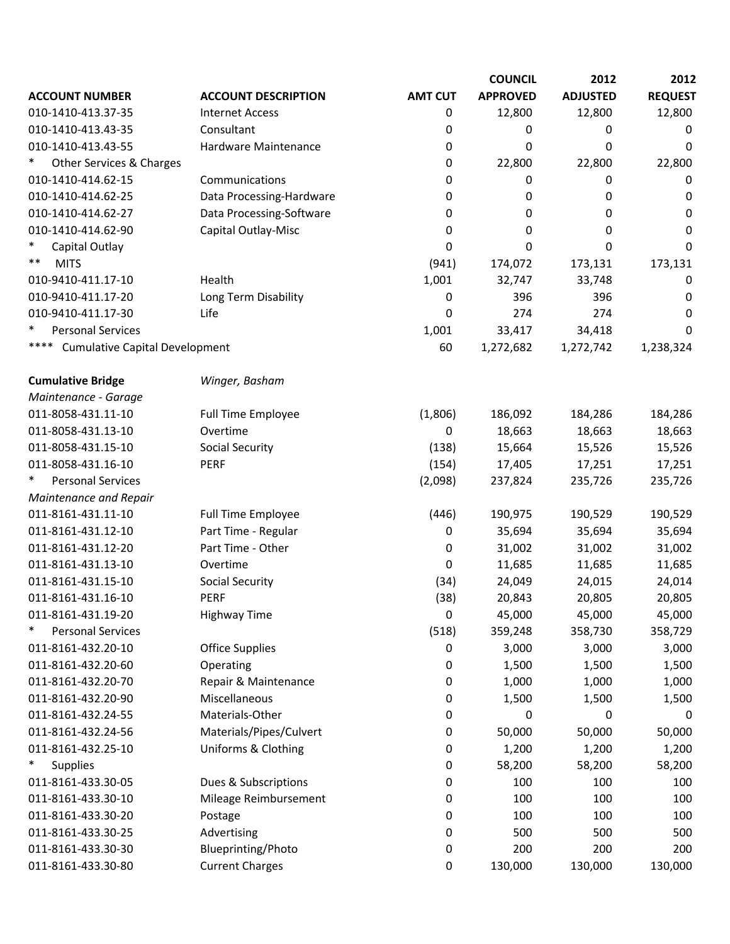|                                               |                            |                | <b>COUNCIL</b>  | 2012            | 2012           |
|-----------------------------------------------|----------------------------|----------------|-----------------|-----------------|----------------|
| <b>ACCOUNT NUMBER</b>                         | <b>ACCOUNT DESCRIPTION</b> | <b>AMT CUT</b> | <b>APPROVED</b> | <b>ADJUSTED</b> | <b>REQUEST</b> |
| 010-1410-413.37-35                            | <b>Internet Access</b>     | 0              | 12,800          | 12,800          | 12,800         |
| 010-1410-413.43-35                            | Consultant                 | 0              | 0               | 0               | 0              |
| 010-1410-413.43-55                            | Hardware Maintenance       | 0              | 0               | 0               | $\mathbf 0$    |
| Other Services & Charges                      |                            | 0              | 22,800          | 22,800          | 22,800         |
| 010-1410-414.62-15                            | Communications             | 0              | 0               | 0               | 0              |
| 010-1410-414.62-25                            | Data Processing-Hardware   | 0              | 0               | 0               | 0              |
| 010-1410-414.62-27                            | Data Processing-Software   | 0              | 0               | 0               | 0              |
| 010-1410-414.62-90                            | Capital Outlay-Misc        | 0              | 0               | 0               | 0              |
| Capital Outlay                                |                            | 0              | 0               | 0               | 0              |
| **<br><b>MITS</b>                             |                            | (941)          | 174,072         | 173,131         | 173,131        |
| 010-9410-411.17-10                            | Health                     | 1,001          | 32,747          | 33,748          | 0              |
| 010-9410-411.17-20                            | Long Term Disability       | 0              | 396             | 396             | 0              |
| 010-9410-411.17-30                            | Life                       | 0              | 274             | 274             | 0              |
| <b>Personal Services</b>                      |                            | 1,001          | 33,417          | 34,418          | 0              |
| ****<br><b>Cumulative Capital Development</b> |                            | 60             | 1,272,682       | 1,272,742       | 1,238,324      |
| <b>Cumulative Bridge</b>                      | Winger, Basham             |                |                 |                 |                |
| Maintenance - Garage                          |                            |                |                 |                 |                |
| 011-8058-431.11-10                            | <b>Full Time Employee</b>  | (1,806)        | 186,092         | 184,286         | 184,286        |
| 011-8058-431.13-10                            | Overtime                   | 0              | 18,663          | 18,663          | 18,663         |
| 011-8058-431.15-10                            | <b>Social Security</b>     | (138)          | 15,664          | 15,526          | 15,526         |
| 011-8058-431.16-10                            | <b>PERF</b>                | (154)          | 17,405          | 17,251          | 17,251         |
| <b>Personal Services</b>                      |                            | (2,098)        | 237,824         | 235,726         | 235,726        |
| Maintenance and Repair                        |                            |                |                 |                 |                |
| 011-8161-431.11-10                            | <b>Full Time Employee</b>  | (446)          | 190,975         | 190,529         | 190,529        |
| 011-8161-431.12-10                            | Part Time - Regular        | 0              | 35,694          | 35,694          | 35,694         |
| 011-8161-431.12-20                            | Part Time - Other          | 0              | 31,002          | 31,002          | 31,002         |
| 011-8161-431.13-10                            | Overtime                   | 0              | 11,685          | 11,685          | 11,685         |
| 011-8161-431.15-10                            | <b>Social Security</b>     | (34)           | 24,049          | 24,015          | 24,014         |
| 011-8161-431.16-10                            | <b>PERF</b>                | (38)           | 20,843          | 20,805          | 20,805         |
| 011-8161-431.19-20                            | <b>Highway Time</b>        | 0              | 45,000          | 45,000          | 45,000         |
| ∗<br><b>Personal Services</b>                 |                            | (518)          | 359,248         | 358,730         | 358,729        |
| 011-8161-432.20-10                            | <b>Office Supplies</b>     | 0              | 3,000           | 3,000           | 3,000          |
| 011-8161-432.20-60                            | Operating                  | 0              | 1,500           | 1,500           | 1,500          |
| 011-8161-432.20-70                            | Repair & Maintenance       | 0              | 1,000           | 1,000           | 1,000          |
| 011-8161-432.20-90                            | Miscellaneous              | 0              | 1,500           | 1,500           | 1,500          |
| 011-8161-432.24-55                            | Materials-Other            | 0              | 0               | 0               | 0              |
| 011-8161-432.24-56                            | Materials/Pipes/Culvert    | 0              | 50,000          | 50,000          | 50,000         |
| 011-8161-432.25-10                            | Uniforms & Clothing        | 0              | 1,200           | 1,200           | 1,200          |
| <b>Supplies</b>                               |                            | 0              | 58,200          | 58,200          | 58,200         |
| 011-8161-433.30-05                            | Dues & Subscriptions       | 0              | 100             | 100             | 100            |
| 011-8161-433.30-10                            | Mileage Reimbursement      | 0              | 100             | 100             | 100            |
| 011-8161-433.30-20                            | Postage                    | 0              | 100             | 100             | 100            |
| 011-8161-433.30-25                            | Advertising                | 0              | 500             | 500             | 500            |
| 011-8161-433.30-30                            | Blueprinting/Photo         | 0              | 200             | 200             | 200            |
| 011-8161-433.30-80                            | <b>Current Charges</b>     | 0              | 130,000         | 130,000         | 130,000        |
|                                               |                            |                |                 |                 |                |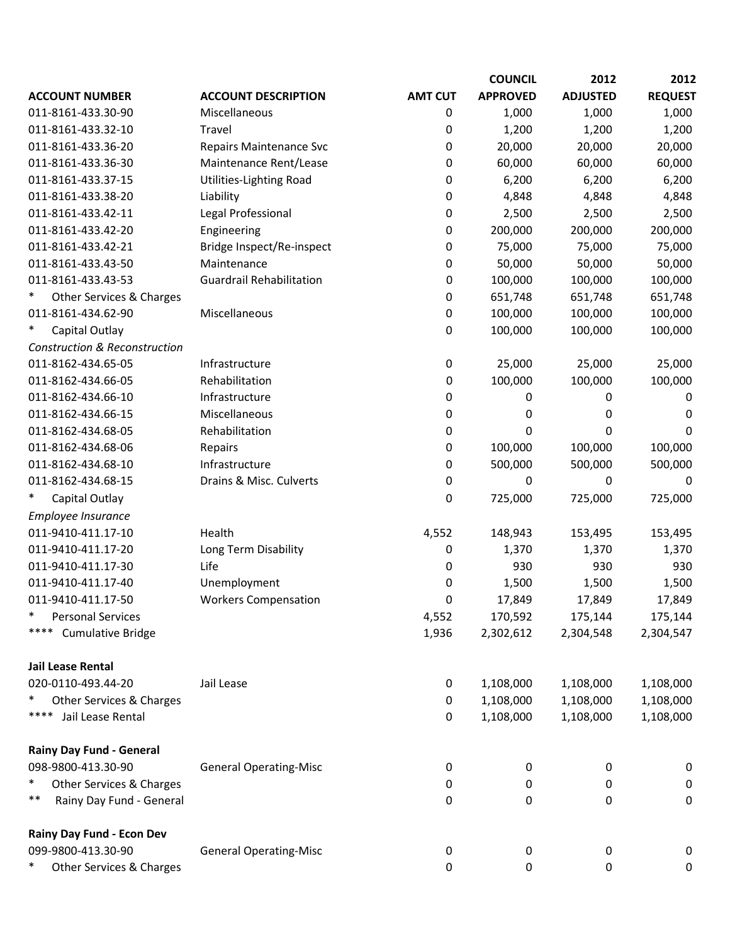|                                          |                                 |                | <b>COUNCIL</b>  | 2012            | 2012           |
|------------------------------------------|---------------------------------|----------------|-----------------|-----------------|----------------|
| <b>ACCOUNT NUMBER</b>                    | <b>ACCOUNT DESCRIPTION</b>      | <b>AMT CUT</b> | <b>APPROVED</b> | <b>ADJUSTED</b> | <b>REQUEST</b> |
| 011-8161-433.30-90                       | Miscellaneous                   | 0              | 1,000           | 1,000           | 1,000          |
| 011-8161-433.32-10                       | Travel                          | 0              | 1,200           | 1,200           | 1,200          |
| 011-8161-433.36-20                       | <b>Repairs Maintenance Svc</b>  | 0              | 20,000          | 20,000          | 20,000         |
| 011-8161-433.36-30                       | Maintenance Rent/Lease          | 0              | 60,000          | 60,000          | 60,000         |
| 011-8161-433.37-15                       | Utilities-Lighting Road         | 0              | 6,200           | 6,200           | 6,200          |
| 011-8161-433.38-20                       | Liability                       | 0              | 4,848           | 4,848           | 4,848          |
| 011-8161-433.42-11                       | Legal Professional              | 0              | 2,500           | 2,500           | 2,500          |
| 011-8161-433.42-20                       | Engineering                     | 0              | 200,000         | 200,000         | 200,000        |
| 011-8161-433.42-21                       | Bridge Inspect/Re-inspect       | 0              | 75,000          | 75,000          | 75,000         |
| 011-8161-433.43-50                       | Maintenance                     | 0              | 50,000          | 50,000          | 50,000         |
| 011-8161-433.43-53                       | <b>Guardrail Rehabilitation</b> | 0              | 100,000         | 100,000         | 100,000        |
| Other Services & Charges                 |                                 | 0              | 651,748         | 651,748         | 651,748        |
| 011-8161-434.62-90                       | Miscellaneous                   | 0              | 100,000         | 100,000         | 100,000        |
| Capital Outlay                           |                                 | 0              | 100,000         | 100,000         | 100,000        |
| <b>Construction &amp; Reconstruction</b> |                                 |                |                 |                 |                |
| 011-8162-434.65-05                       | Infrastructure                  | 0              | 25,000          | 25,000          | 25,000         |
| 011-8162-434.66-05                       | Rehabilitation                  | 0              | 100,000         | 100,000         | 100,000        |
| 011-8162-434.66-10                       | Infrastructure                  | 0              | 0               | 0               | 0              |
| 011-8162-434.66-15                       | Miscellaneous                   | 0              | 0               | 0               | 0              |
| 011-8162-434.68-05                       | Rehabilitation                  | 0              | 0               | 0               | 0              |
| 011-8162-434.68-06                       | Repairs                         | 0              | 100,000         | 100,000         | 100,000        |
| 011-8162-434.68-10                       | Infrastructure                  | 0              | 500,000         | 500,000         | 500,000        |
| 011-8162-434.68-15                       | Drains & Misc. Culverts         | 0              | 0               | 0               | 0              |
| Capital Outlay                           |                                 | 0              | 725,000         | 725,000         | 725,000        |
| Employee Insurance                       |                                 |                |                 |                 |                |
| 011-9410-411.17-10                       | Health                          | 4,552          | 148,943         | 153,495         | 153,495        |
| 011-9410-411.17-20                       | Long Term Disability            | 0              | 1,370           | 1,370           | 1,370          |
| 011-9410-411.17-30                       | Life                            | 0              | 930             | 930             | 930            |
| 011-9410-411.17-40                       | Unemployment                    | 0              | 1,500           | 1,500           | 1,500          |
| 011-9410-411.17-50                       | <b>Workers Compensation</b>     | 0              | 17,849          | 17,849          | 17,849         |
| ∗<br><b>Personal Services</b>            |                                 | 4,552          | 170,592         | 175,144         | 175,144        |
| ****<br><b>Cumulative Bridge</b>         |                                 | 1,936          | 2,302,612       | 2,304,548       | 2,304,547      |
| Jail Lease Rental                        |                                 |                |                 |                 |                |
| 020-0110-493.44-20                       | Jail Lease                      | 0              | 1,108,000       | 1,108,000       | 1,108,000      |
| Other Services & Charges                 |                                 | 0              | 1,108,000       | 1,108,000       | 1,108,000      |
| Jail Lease Rental<br>****                |                                 | 0              | 1,108,000       | 1,108,000       | 1,108,000      |
| <b>Rainy Day Fund - General</b>          |                                 |                |                 |                 |                |
| 098-9800-413.30-90                       | <b>General Operating-Misc</b>   | 0              | 0               | 0               | 0              |
| ∗<br>Other Services & Charges            |                                 | 0              | 0               | 0               | 0              |
| **<br>Rainy Day Fund - General           |                                 | 0              | 0               | 0               | $\mathbf 0$    |
| Rainy Day Fund - Econ Dev                |                                 |                |                 |                 |                |
| 099-9800-413.30-90                       | <b>General Operating-Misc</b>   | 0              | 0               | 0               | 0              |
| Other Services & Charges                 |                                 | 0              | 0               | 0               | 0              |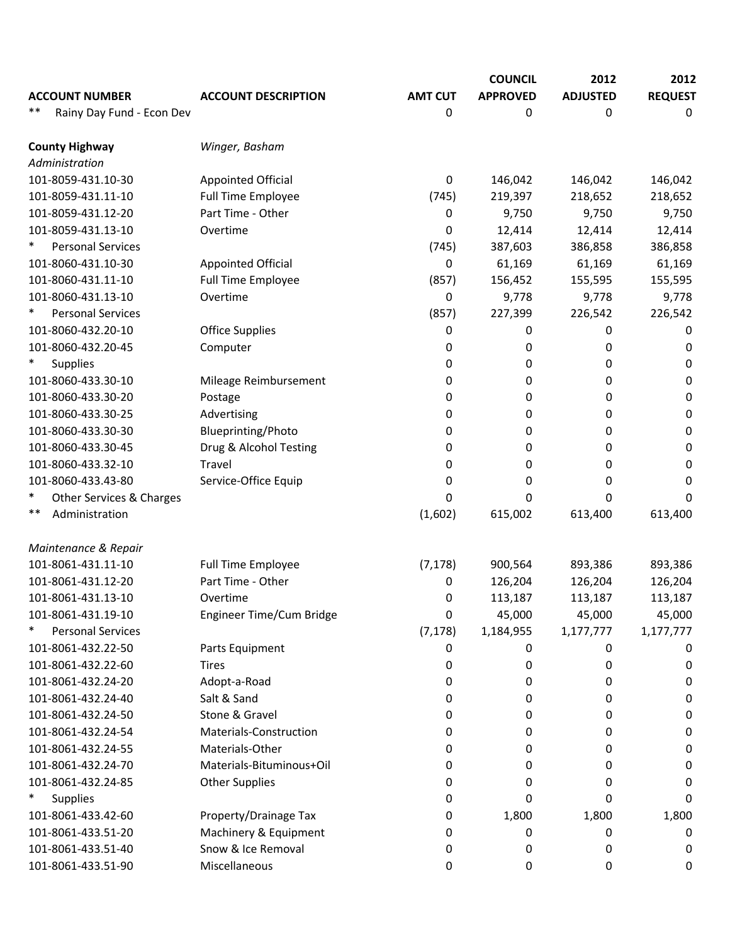|        |                           |                            |                | <b>COUNCIL</b>  | 2012            | 2012           |
|--------|---------------------------|----------------------------|----------------|-----------------|-----------------|----------------|
|        | <b>ACCOUNT NUMBER</b>     | <b>ACCOUNT DESCRIPTION</b> | <b>AMT CUT</b> | <b>APPROVED</b> | <b>ADJUSTED</b> | <b>REQUEST</b> |
| **     | Rainy Day Fund - Econ Dev |                            | 0              | 0               | 0               | 0              |
|        | <b>County Highway</b>     | Winger, Basham             |                |                 |                 |                |
|        | Administration            |                            |                |                 |                 |                |
|        | 101-8059-431.10-30        | <b>Appointed Official</b>  | 0              | 146,042         | 146,042         | 146,042        |
|        | 101-8059-431.11-10        | <b>Full Time Employee</b>  | (745)          | 219,397         | 218,652         | 218,652        |
|        | 101-8059-431.12-20        | Part Time - Other          | 0              | 9,750           | 9,750           | 9,750          |
|        | 101-8059-431.13-10        | Overtime                   | 0              | 12,414          | 12,414          | 12,414         |
|        | <b>Personal Services</b>  |                            | (745)          | 387,603         | 386,858         | 386,858        |
|        | 101-8060-431.10-30        | <b>Appointed Official</b>  | 0              | 61,169          | 61,169          | 61,169         |
|        | 101-8060-431.11-10        | <b>Full Time Employee</b>  | (857)          | 156,452         | 155,595         | 155,595        |
|        | 101-8060-431.13-10        | Overtime                   | 0              | 9,778           | 9,778           | 9,778          |
|        | <b>Personal Services</b>  |                            | (857)          | 227,399         | 226,542         | 226,542        |
|        | 101-8060-432.20-10        | <b>Office Supplies</b>     | 0              | 0               | 0               | 0              |
|        | 101-8060-432.20-45        | Computer                   | 0              | 0               | 0               | 0              |
| $\ast$ | <b>Supplies</b>           |                            | 0              | 0               | 0               | 0              |
|        | 101-8060-433.30-10        | Mileage Reimbursement      | 0              | 0               | 0               | 0              |
|        | 101-8060-433.30-20        | Postage                    | 0              | 0               | 0               | 0              |
|        | 101-8060-433.30-25        | Advertising                | 0              | 0               | 0               | 0              |
|        | 101-8060-433.30-30        | Blueprinting/Photo         | 0              | 0               | 0               | 0              |
|        | 101-8060-433.30-45        | Drug & Alcohol Testing     | 0              | 0               | 0               | 0              |
|        | 101-8060-433.32-10        | Travel                     | 0              | 0               | 0               | 0              |
|        | 101-8060-433.43-80        | Service-Office Equip       | 0              | 0               | 0               | 0              |
| *      | Other Services & Charges  |                            | 0              | 0               | 0               | 0              |
| **     | Administration            |                            | (1,602)        | 615,002         | 613,400         | 613,400        |
|        | Maintenance & Repair      |                            |                |                 |                 |                |
|        | 101-8061-431.11-10        | <b>Full Time Employee</b>  | (7, 178)       | 900,564         | 893,386         | 893,386        |
|        | 101-8061-431.12-20        | Part Time - Other          | 0              | 126,204         | 126,204         | 126,204        |
|        | 101-8061-431.13-10        | Overtime                   | 0              | 113,187         | 113,187         | 113,187        |
|        | 101-8061-431.19-10        | Engineer Time/Cum Bridge   | 0              | 45,000          | 45,000          | 45,000         |
|        | <b>Personal Services</b>  |                            | (7, 178)       | 1,184,955       | 1,177,777       | 1,177,777      |
|        | 101-8061-432.22-50        | Parts Equipment            | 0              | 0               | 0               | 0              |
|        | 101-8061-432.22-60        | <b>Tires</b>               | 0              | 0               | 0               | 0              |
|        | 101-8061-432.24-20        | Adopt-a-Road               | 0              | 0               | 0               | 0              |
|        | 101-8061-432.24-40        | Salt & Sand                | 0              | 0               | 0               | 0              |
|        | 101-8061-432.24-50        | Stone & Gravel             | 0              | 0               | 0               | 0              |
|        | 101-8061-432.24-54        | Materials-Construction     | 0              | 0               | 0               | 0              |
|        | 101-8061-432.24-55        | Materials-Other            | 0              | 0               | 0               | 0              |
|        | 101-8061-432.24-70        | Materials-Bituminous+Oil   | 0              | 0               | 0               | 0              |
|        | 101-8061-432.24-85        | <b>Other Supplies</b>      | 0              | 0               | 0               | 0              |
|        | <b>Supplies</b>           |                            | 0              | 0               | 0               | 0              |
|        | 101-8061-433.42-60        | Property/Drainage Tax      | 0              | 1,800           | 1,800           | 1,800          |
|        | 101-8061-433.51-20        | Machinery & Equipment      | 0              | 0               | 0               | 0              |
|        | 101-8061-433.51-40        | Snow & Ice Removal         | 0              | 0               | 0               | 0              |
|        | 101-8061-433.51-90        | Miscellaneous              | 0              | 0               | 0               | 0              |
|        |                           |                            |                |                 |                 |                |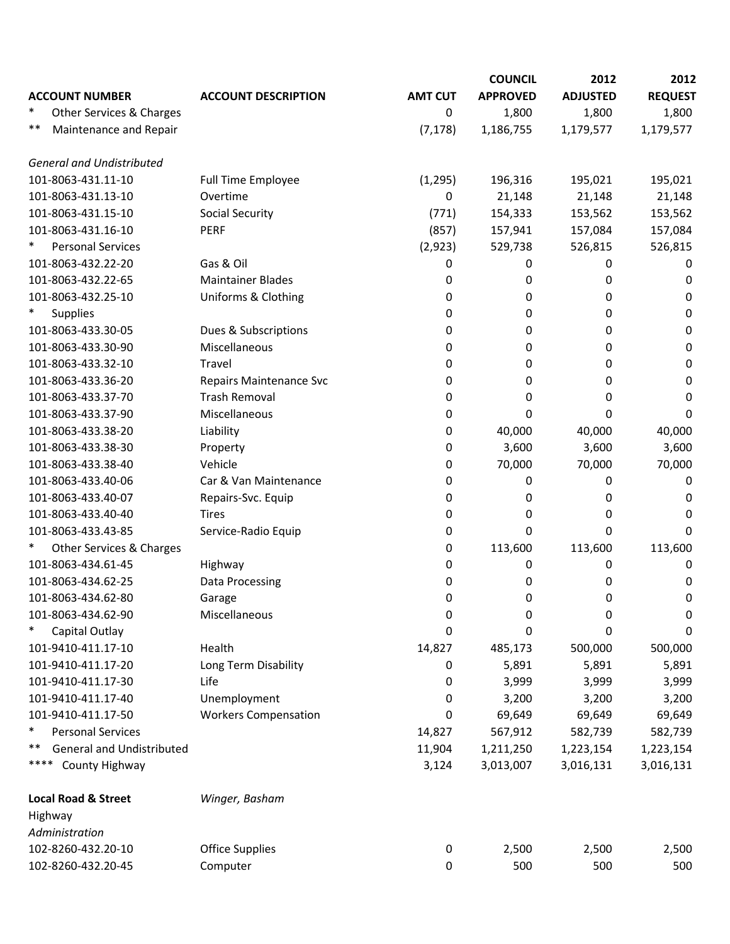|                                    |                                |                | <b>COUNCIL</b>  | 2012            | 2012           |
|------------------------------------|--------------------------------|----------------|-----------------|-----------------|----------------|
| <b>ACCOUNT NUMBER</b>              | <b>ACCOUNT DESCRIPTION</b>     | <b>AMT CUT</b> | <b>APPROVED</b> | <b>ADJUSTED</b> | <b>REQUEST</b> |
| $\ast$<br>Other Services & Charges |                                | 0              | 1,800           | 1,800           | 1,800          |
| **<br>Maintenance and Repair       |                                | (7, 178)       | 1,186,755       | 1,179,577       | 1,179,577      |
| <b>General and Undistributed</b>   |                                |                |                 |                 |                |
| 101-8063-431.11-10                 | <b>Full Time Employee</b>      | (1, 295)       | 196,316         | 195,021         | 195,021        |
| 101-8063-431.13-10                 | Overtime                       | 0              | 21,148          | 21,148          | 21,148         |
| 101-8063-431.15-10                 | <b>Social Security</b>         | (771)          | 154,333         | 153,562         | 153,562        |
| 101-8063-431.16-10                 | <b>PERF</b>                    | (857)          | 157,941         | 157,084         | 157,084        |
| <b>Personal Services</b>           |                                | (2,923)        | 529,738         | 526,815         | 526,815        |
| 101-8063-432.22-20                 | Gas & Oil                      | 0              | 0               | 0               | 0              |
| 101-8063-432.22-65                 | <b>Maintainer Blades</b>       | 0              | 0               | 0               | 0              |
| 101-8063-432.25-10                 | Uniforms & Clothing            | 0              | 0               | 0               | 0              |
| $\ast$<br><b>Supplies</b>          |                                | 0              | 0               | 0               | 0              |
| 101-8063-433.30-05                 | Dues & Subscriptions           | 0              | 0               | 0               | 0              |
| 101-8063-433.30-90                 | Miscellaneous                  | 0              | 0               | 0               | 0              |
| 101-8063-433.32-10                 | Travel                         | 0              | 0               | 0               | 0              |
| 101-8063-433.36-20                 | <b>Repairs Maintenance Svc</b> | 0              | 0               | 0               | 0              |
| 101-8063-433.37-70                 | <b>Trash Removal</b>           | 0              | 0               | 0               | 0              |
| 101-8063-433.37-90                 | Miscellaneous                  | 0              | 0               | 0               | 0              |
| 101-8063-433.38-20                 | Liability                      | 0              | 40,000          | 40,000          | 40,000         |
| 101-8063-433.38-30                 | Property                       | 0              | 3,600           | 3,600           | 3,600          |
| 101-8063-433.38-40                 | Vehicle                        | 0              | 70,000          | 70,000          | 70,000         |
| 101-8063-433.40-06                 | Car & Van Maintenance          | 0              | 0               | 0               | 0              |
| 101-8063-433.40-07                 | Repairs-Svc. Equip             | 0              | 0               | 0               | 0              |
| 101-8063-433.40-40                 | <b>Tires</b>                   | 0              | 0               | 0               | 0              |
| 101-8063-433.43-85                 | Service-Radio Equip            | 0              | 0               | 0               | 0              |
| Other Services & Charges           |                                | 0              | 113,600         | 113,600         | 113,600        |
| 101-8063-434.61-45                 | Highway                        | 0              | 0               | 0               | 0              |
| 101-8063-434.62-25                 | Data Processing                | 0              | 0               | 0               | 0              |
| 101-8063-434.62-80                 | Garage                         | 0              | 0               | 0               | 0              |
| 101-8063-434.62-90                 | Miscellaneous                  | 0              | 0               | 0               | 0              |
| $\ast$<br>Capital Outlay           |                                | 0              | 0               | 0               | 0              |
| 101-9410-411.17-10                 | Health                         | 14,827         | 485,173         | 500,000         | 500,000        |
| 101-9410-411.17-20                 | Long Term Disability           | 0              | 5,891           | 5,891           | 5,891          |
| 101-9410-411.17-30                 | Life                           | 0              | 3,999           | 3,999           | 3,999          |
| 101-9410-411.17-40                 | Unemployment                   | 0              | 3,200           | 3,200           | 3,200          |
| 101-9410-411.17-50                 | <b>Workers Compensation</b>    | 0              | 69,649          | 69,649          | 69,649         |
| $\ast$<br><b>Personal Services</b> |                                | 14,827         | 567,912         | 582,739         | 582,739        |
| General and Undistributed<br>**    |                                | 11,904         | 1,211,250       | 1,223,154       | 1,223,154      |
| ****<br>County Highway             |                                | 3,124          | 3,013,007       | 3,016,131       | 3,016,131      |
| <b>Local Road &amp; Street</b>     | Winger, Basham                 |                |                 |                 |                |
| Highway                            |                                |                |                 |                 |                |
| Administration                     |                                |                |                 |                 |                |
| 102-8260-432.20-10                 | <b>Office Supplies</b>         | 0              | 2,500           | 2,500           | 2,500          |
| 102-8260-432.20-45                 | Computer                       | 0              | 500             | 500             | 500            |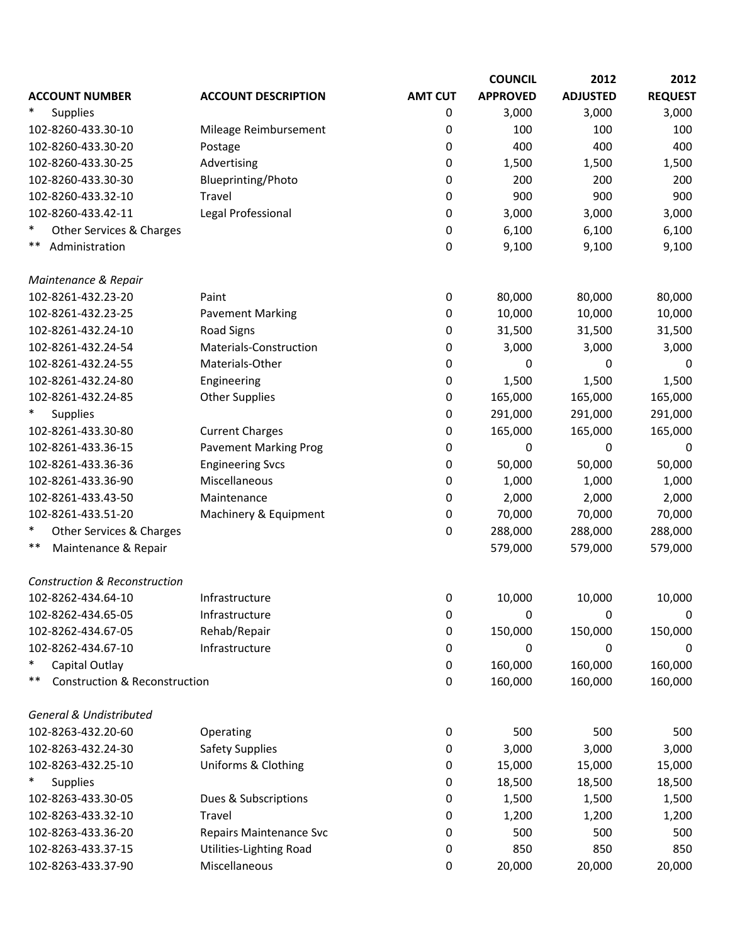|                                                |                                |                | <b>COUNCIL</b>  | 2012            | 2012           |
|------------------------------------------------|--------------------------------|----------------|-----------------|-----------------|----------------|
| <b>ACCOUNT NUMBER</b>                          | <b>ACCOUNT DESCRIPTION</b>     | <b>AMT CUT</b> | <b>APPROVED</b> | <b>ADJUSTED</b> | <b>REQUEST</b> |
| <b>Supplies</b>                                |                                | 0              | 3,000           | 3,000           | 3,000          |
| 102-8260-433.30-10                             | Mileage Reimbursement          | 0              | 100             | 100             | 100            |
| 102-8260-433.30-20                             | Postage                        | 0              | 400             | 400             | 400            |
| 102-8260-433.30-25                             | Advertising                    | 0              | 1,500           | 1,500           | 1,500          |
| 102-8260-433.30-30                             | Blueprinting/Photo             | 0              | 200             | 200             | 200            |
| 102-8260-433.32-10                             | Travel                         | 0              | 900             | 900             | 900            |
| 102-8260-433.42-11                             | Legal Professional             | 0              | 3,000           | 3,000           | 3,000          |
| ∗<br>Other Services & Charges                  |                                | 0              | 6,100           | 6,100           | 6,100          |
| **<br>Administration                           |                                | 0              | 9,100           | 9,100           | 9,100          |
| Maintenance & Repair                           |                                |                |                 |                 |                |
| 102-8261-432.23-20                             | Paint                          | 0              | 80,000          | 80,000          | 80,000         |
| 102-8261-432.23-25                             | <b>Pavement Marking</b>        | 0              | 10,000          | 10,000          | 10,000         |
| 102-8261-432.24-10                             | <b>Road Signs</b>              | 0              | 31,500          | 31,500          | 31,500         |
| 102-8261-432.24-54                             | Materials-Construction         | 0              | 3,000           | 3,000           | 3,000          |
| 102-8261-432.24-55                             | Materials-Other                | 0              | 0               | 0               | 0              |
| 102-8261-432.24-80                             | Engineering                    | 0              | 1,500           | 1,500           | 1,500          |
| 102-8261-432.24-85                             | <b>Other Supplies</b>          | 0              | 165,000         | 165,000         | 165,000        |
| <b>Supplies</b>                                |                                | 0              | 291,000         | 291,000         | 291,000        |
| 102-8261-433.30-80                             | <b>Current Charges</b>         | 0              | 165,000         | 165,000         | 165,000        |
| 102-8261-433.36-15                             | <b>Pavement Marking Prog</b>   | 0              | 0               | 0               | 0              |
| 102-8261-433.36-36                             | <b>Engineering Svcs</b>        | 0              | 50,000          | 50,000          | 50,000         |
| 102-8261-433.36-90                             | Miscellaneous                  | 0              | 1,000           | 1,000           | 1,000          |
| 102-8261-433.43-50                             | Maintenance                    | 0              | 2,000           | 2,000           | 2,000          |
| 102-8261-433.51-20                             | Machinery & Equipment          | 0              | 70,000          | 70,000          | 70,000         |
| $\ast$<br>Other Services & Charges             |                                | 0              | 288,000         | 288,000         | 288,000        |
| **<br>Maintenance & Repair                     |                                |                | 579,000         | 579,000         | 579,000        |
| <b>Construction &amp; Reconstruction</b>       |                                |                |                 |                 |                |
| 102-8262-434.64-10                             | Infrastructure                 | 0              | 10,000          | 10,000          | 10,000         |
| 102-8262-434.65-05                             | Infrastructure                 | 0              | 0               | 0               | 0              |
| 102-8262-434.67-05                             | Rehab/Repair                   | 0              | 150,000         | 150,000         | 150,000        |
| 102-8262-434.67-10                             | Infrastructure                 | 0              | 0               | 0               | 0              |
| $\ast$<br>Capital Outlay                       |                                | 0              | 160,000         | 160,000         | 160,000        |
| **<br><b>Construction &amp; Reconstruction</b> |                                | 0              | 160,000         | 160,000         | 160,000        |
| <b>General &amp; Undistributed</b>             |                                |                |                 |                 |                |
| 102-8263-432.20-60                             | Operating                      | 0              | 500             | 500             | 500            |
| 102-8263-432.24-30                             | <b>Safety Supplies</b>         | 0              | 3,000           | 3,000           | 3,000          |
| 102-8263-432.25-10                             | <b>Uniforms &amp; Clothing</b> | 0              | 15,000          | 15,000          | 15,000         |
| ∗<br><b>Supplies</b>                           |                                | 0              | 18,500          | 18,500          | 18,500         |
| 102-8263-433.30-05                             | Dues & Subscriptions           | 0              | 1,500           | 1,500           | 1,500          |
| 102-8263-433.32-10                             | Travel                         | 0              | 1,200           | 1,200           | 1,200          |
| 102-8263-433.36-20                             | Repairs Maintenance Svc        | 0              | 500             | 500             | 500            |
| 102-8263-433.37-15                             | Utilities-Lighting Road        | 0              | 850             | 850             | 850            |
| 102-8263-433.37-90                             | Miscellaneous                  | 0              | 20,000          | 20,000          | 20,000         |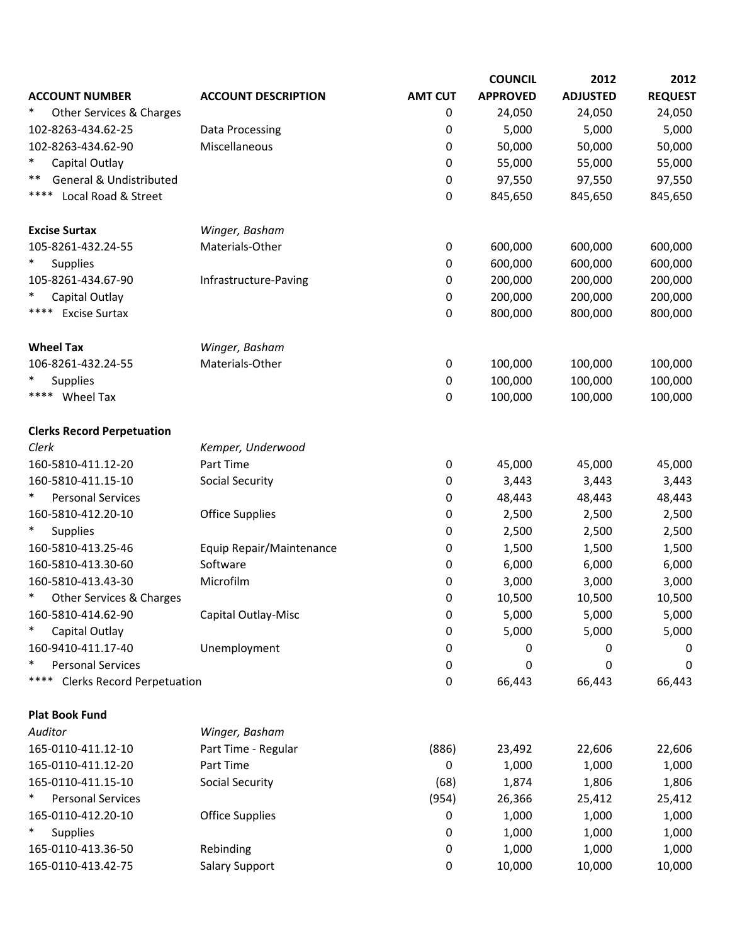|                                           |                            |                | <b>COUNCIL</b>  | 2012            | 2012           |
|-------------------------------------------|----------------------------|----------------|-----------------|-----------------|----------------|
| <b>ACCOUNT NUMBER</b>                     | <b>ACCOUNT DESCRIPTION</b> | <b>AMT CUT</b> | <b>APPROVED</b> | <b>ADJUSTED</b> | <b>REQUEST</b> |
| ∗<br>Other Services & Charges             |                            | 0              | 24,050          | 24,050          | 24,050         |
| 102-8263-434.62-25                        | Data Processing            | 0              | 5,000           | 5,000           | 5,000          |
| 102-8263-434.62-90                        | Miscellaneous              | 0              | 50,000          | 50,000          | 50,000         |
| ∗<br>Capital Outlay                       |                            | 0              | 55,000          | 55,000          | 55,000         |
| General & Undistributed<br>**             |                            | 0              | 97,550          | 97,550          | 97,550         |
| ****<br>Local Road & Street               |                            | 0              | 845,650         | 845,650         | 845,650        |
| <b>Excise Surtax</b>                      | Winger, Basham             |                |                 |                 |                |
| 105-8261-432.24-55                        | Materials-Other            | 0              | 600,000         | 600,000         | 600,000        |
| $\ast$<br><b>Supplies</b>                 |                            | 0              | 600,000         | 600,000         | 600,000        |
| 105-8261-434.67-90                        | Infrastructure-Paving      | 0              | 200,000         | 200,000         | 200,000        |
| Capital Outlay                            |                            | 0              | 200,000         | 200,000         | 200,000        |
| ****<br><b>Excise Surtax</b>              |                            | 0              | 800,000         | 800,000         | 800,000        |
| <b>Wheel Tax</b>                          | Winger, Basham             |                |                 |                 |                |
| 106-8261-432.24-55                        | Materials-Other            | 0              | 100,000         | 100,000         | 100,000        |
| $\ast$<br><b>Supplies</b>                 |                            | 0              | 100,000         | 100,000         | 100,000        |
| **** Wheel Tax                            |                            | 0              | 100,000         | 100,000         | 100,000        |
| <b>Clerks Record Perpetuation</b>         |                            |                |                 |                 |                |
| Clerk                                     | Kemper, Underwood          |                |                 |                 |                |
| 160-5810-411.12-20                        | Part Time                  | 0              | 45,000          | 45,000          | 45,000         |
| 160-5810-411.15-10                        | <b>Social Security</b>     | 0              | 3,443           | 3,443           | 3,443          |
| *<br><b>Personal Services</b>             |                            | 0              | 48,443          | 48,443          | 48,443         |
| 160-5810-412.20-10                        | <b>Office Supplies</b>     | 0              | 2,500           | 2,500           | 2,500          |
| $\ast$<br>Supplies                        |                            | 0              | 2,500           | 2,500           | 2,500          |
| 160-5810-413.25-46                        | Equip Repair/Maintenance   | 0              | 1,500           | 1,500           | 1,500          |
| 160-5810-413.30-60                        | Software                   | 0              | 6,000           | 6,000           | 6,000          |
| 160-5810-413.43-30                        | Microfilm                  | 0              | 3,000           | 3,000           | 3,000          |
| $\ast$<br>Other Services & Charges        |                            | 0              | 10,500          | 10,500          | 10,500         |
| 160-5810-414.62-90                        | Capital Outlay-Misc        | 0              | 5,000           | 5,000           | 5,000          |
| $\ast$<br>Capital Outlay                  |                            | 0              | 5,000           | 5,000           | 5,000          |
| 160-9410-411.17-40                        | Unemployment               | 0              | 0               | 0               | 0              |
| $\ast$<br><b>Personal Services</b>        |                            | 0              | 0               | 0               | 0              |
| ****<br><b>Clerks Record Perpetuation</b> |                            | 0              | 66,443          | 66,443          | 66,443         |
| <b>Plat Book Fund</b>                     |                            |                |                 |                 |                |
| Auditor                                   | Winger, Basham             |                |                 |                 |                |
| 165-0110-411.12-10                        | Part Time - Regular        | (886)          | 23,492          | 22,606          | 22,606         |
| 165-0110-411.12-20                        | Part Time                  | 0              | 1,000           | 1,000           | 1,000          |
| 165-0110-411.15-10                        | Social Security            | (68)           | 1,874           | 1,806           | 1,806          |
| ∗<br><b>Personal Services</b>             |                            | (954)          | 26,366          | 25,412          | 25,412         |
| 165-0110-412.20-10                        | <b>Office Supplies</b>     | 0              | 1,000           | 1,000           | 1,000          |
| $\ast$<br>Supplies                        |                            | 0              | 1,000           | 1,000           | 1,000          |
| 165-0110-413.36-50                        | Rebinding                  | 0              | 1,000           | 1,000           | 1,000          |
| 165-0110-413.42-75                        | <b>Salary Support</b>      | 0              | 10,000          | 10,000          | 10,000         |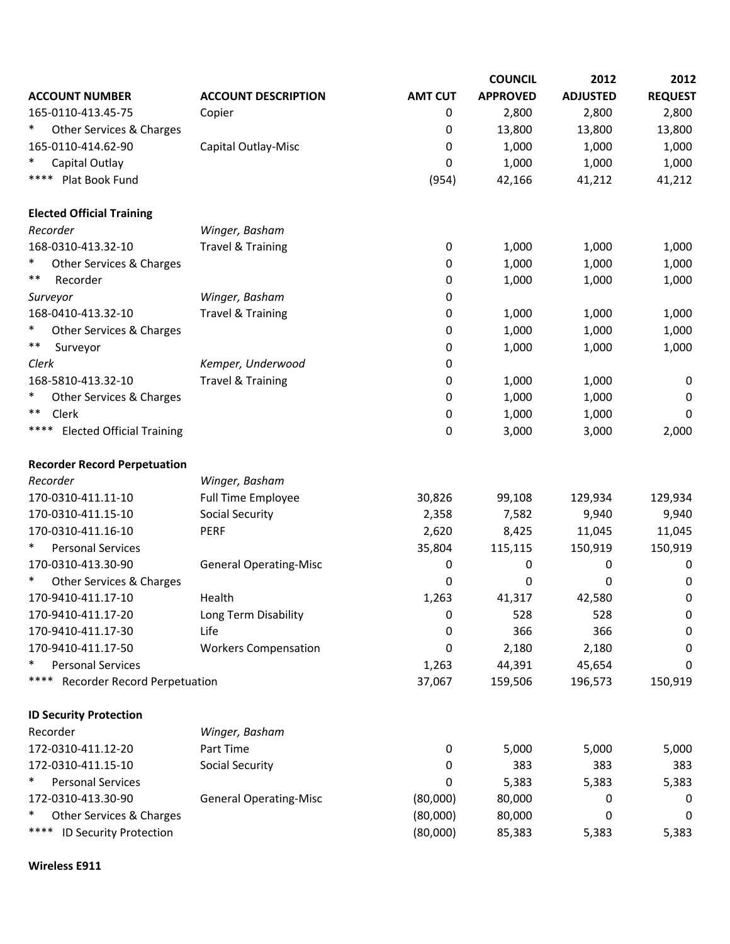|                                          |                               |                | <b>COUNCIL</b>  | 2012            | 2012           |
|------------------------------------------|-------------------------------|----------------|-----------------|-----------------|----------------|
| <b>ACCOUNT NUMBER</b>                    | <b>ACCOUNT DESCRIPTION</b>    | <b>AMT CUT</b> | <b>APPROVED</b> | <b>ADJUSTED</b> | <b>REQUEST</b> |
| 165-0110-413.45-75                       | Copier                        | 0              | 2,800           | 2,800           | 2,800          |
| $\ast$<br>Other Services & Charges       |                               | 0              | 13,800          | 13,800          | 13,800         |
| 165-0110-414.62-90                       | Capital Outlay-Misc           | 0              | 1,000           | 1,000           | 1,000          |
| $\ast$<br>Capital Outlay                 |                               | 0              | 1,000           | 1,000           | 1,000          |
| ****<br>Plat Book Fund                   |                               | (954)          | 42,166          | 41,212          | 41,212         |
| <b>Elected Official Training</b>         |                               |                |                 |                 |                |
| Recorder                                 | Winger, Basham                |                |                 |                 |                |
| 168-0310-413.32-10                       | <b>Travel &amp; Training</b>  | 0              | 1,000           | 1,000           | 1,000          |
| $\ast$<br>Other Services & Charges       |                               | 0              | 1,000           | 1,000           | 1,000          |
| **<br>Recorder                           |                               | 0              | 1,000           | 1,000           | 1,000          |
| Surveyor                                 | Winger, Basham                | 0              |                 |                 |                |
| 168-0410-413.32-10                       | <b>Travel &amp; Training</b>  | 0              | 1,000           | 1,000           | 1,000          |
| $\ast$<br>Other Services & Charges       |                               | 0              | 1,000           | 1,000           | 1,000          |
| **<br>Surveyor                           |                               | 0              | 1,000           | 1,000           | 1,000          |
| Clerk                                    | Kemper, Underwood             | 0              |                 |                 |                |
| 168-5810-413.32-10                       | <b>Travel &amp; Training</b>  | 0              | 1,000           | 1,000           | 0              |
| $\ast$<br>Other Services & Charges       |                               | 0              | 1,000           | 1,000           | 0              |
| **<br>Clerk                              |                               | 0              | 1,000           | 1,000           | 0              |
| ****<br><b>Elected Official Training</b> |                               | 0              | 3,000           | 3,000           | 2,000          |
| <b>Recorder Record Perpetuation</b>      |                               |                |                 |                 |                |
| Recorder                                 | Winger, Basham                |                |                 |                 |                |
| 170-0310-411.11-10                       | <b>Full Time Employee</b>     | 30,826         | 99,108          | 129,934         | 129,934        |
| 170-0310-411.15-10                       | <b>Social Security</b>        | 2,358          | 7,582           | 9,940           | 9,940          |
| 170-0310-411.16-10                       | <b>PERF</b>                   | 2,620          | 8,425           | 11,045          | 11,045         |
| $\ast$<br><b>Personal Services</b>       |                               | 35,804         | 115,115         | 150,919         | 150,919        |
| 170-0310-413.30-90                       | <b>General Operating-Misc</b> | 0              | 0               | 0               | 0              |
| $\ast$<br>Other Services & Charges       |                               | 0              | 0               | 0               | 0              |
| 170-9410-411.17-10                       | Health                        | 1,263          | 41,317          | 42,580          | 0              |
| 170-9410-411.17-20                       | Long Term Disability          | 0              | 528             | 528             | 0              |
| 170-9410-411.17-30                       | Life                          | 0              | 366             | 366             | 0              |
| 170-9410-411.17-50                       | <b>Workers Compensation</b>   | 0              | 2,180           | 2,180           | 0              |
| $\ast$<br><b>Personal Services</b>       |                               | 1,263          | 44,391          | 45,654          | 0              |
| ****<br>Recorder Record Perpetuation     |                               | 37,067         | 159,506         | 196,573         | 150,919        |
| <b>ID Security Protection</b>            |                               |                |                 |                 |                |
| Recorder                                 | Winger, Basham                |                |                 |                 |                |
| 172-0310-411.12-20                       | Part Time                     | 0              | 5,000           | 5,000           | 5,000          |
| 172-0310-411.15-10                       | <b>Social Security</b>        | 0              | 383             | 383             | 383            |
| $\ast$<br><b>Personal Services</b>       |                               | 0              | 5,383           | 5,383           | 5,383          |
| 172-0310-413.30-90                       | <b>General Operating-Misc</b> | (80,000)       | 80,000          | 0               | 0              |
| $\ast$<br>Other Services & Charges       |                               | (80,000)       | 80,000          | 0               | 0              |
| ****<br>ID Security Protection           |                               | (80,000)       | 85,383          | 5,383           | 5,383          |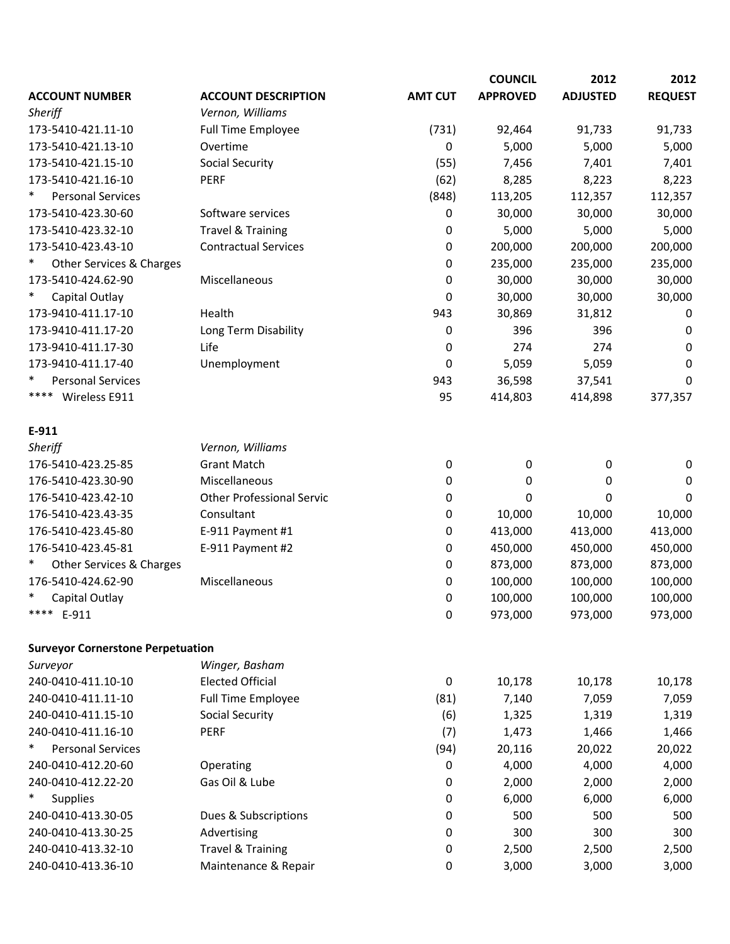|                                          |                                  |                | <b>COUNCIL</b>  | 2012            | 2012           |
|------------------------------------------|----------------------------------|----------------|-----------------|-----------------|----------------|
| <b>ACCOUNT NUMBER</b>                    | <b>ACCOUNT DESCRIPTION</b>       | <b>AMT CUT</b> | <b>APPROVED</b> | <b>ADJUSTED</b> | <b>REQUEST</b> |
| Sheriff                                  | Vernon, Williams                 |                |                 |                 |                |
| 173-5410-421.11-10                       | Full Time Employee               | (731)          | 92,464          | 91,733          | 91,733         |
| 173-5410-421.13-10                       | Overtime                         | $\pmb{0}$      | 5,000           | 5,000           | 5,000          |
| 173-5410-421.15-10                       | <b>Social Security</b>           | (55)           | 7,456           | 7,401           | 7,401          |
| 173-5410-421.16-10                       | <b>PERF</b>                      | (62)           | 8,285           | 8,223           | 8,223          |
| $\ast$<br><b>Personal Services</b>       |                                  | (848)          | 113,205         | 112,357         | 112,357        |
| 173-5410-423.30-60                       | Software services                | 0              | 30,000          | 30,000          | 30,000         |
| 173-5410-423.32-10                       | <b>Travel &amp; Training</b>     | 0              | 5,000           | 5,000           | 5,000          |
| 173-5410-423.43-10                       | <b>Contractual Services</b>      | 0              | 200,000         | 200,000         | 200,000        |
| $\ast$<br>Other Services & Charges       |                                  | 0              | 235,000         | 235,000         | 235,000        |
| 173-5410-424.62-90                       | Miscellaneous                    | 0              | 30,000          | 30,000          | 30,000         |
| $\ast$<br>Capital Outlay                 |                                  | 0              | 30,000          | 30,000          | 30,000         |
| 173-9410-411.17-10                       | Health                           | 943            | 30,869          | 31,812          | 0              |
| 173-9410-411.17-20                       | Long Term Disability             | 0              | 396             | 396             | 0              |
| 173-9410-411.17-30                       | Life                             | 0              | 274             | 274             | 0              |
| 173-9410-411.17-40                       | Unemployment                     | 0              | 5,059           | 5,059           | 0              |
| ∗<br><b>Personal Services</b>            |                                  | 943            | 36,598          | 37,541          | 0              |
| ****<br>Wireless E911                    |                                  | 95             | 414,803         | 414,898         | 377,357        |
| E-911                                    |                                  |                |                 |                 |                |
| Sheriff                                  | Vernon, Williams                 |                |                 |                 |                |
| 176-5410-423.25-85                       | <b>Grant Match</b>               | $\pmb{0}$      | 0               | 0               | $\pmb{0}$      |
| 176-5410-423.30-90                       | Miscellaneous                    | 0              | 0               | 0               | 0              |
| 176-5410-423.42-10                       | <b>Other Professional Servic</b> | 0              | 0               | 0               | $\mathbf 0$    |
| 176-5410-423.43-35                       | Consultant                       | 0              | 10,000          | 10,000          | 10,000         |
| 176-5410-423.45-80                       | E-911 Payment #1                 | 0              | 413,000         | 413,000         | 413,000        |
| 176-5410-423.45-81                       | E-911 Payment #2                 | 0              | 450,000         | 450,000         | 450,000        |
| ∗<br>Other Services & Charges            |                                  | 0              | 873,000         | 873,000         | 873,000        |
| 176-5410-424.62-90                       | Miscellaneous                    | 0              | 100,000         | 100,000         | 100,000        |
| $\ast$<br>Capital Outlay                 |                                  | 0              | 100,000         | 100,000         | 100,000        |
| ****<br>E-911                            |                                  | 0              | 973,000         | 973,000         | 973,000        |
| <b>Surveyor Cornerstone Perpetuation</b> |                                  |                |                 |                 |                |
| Surveyor                                 | Winger, Basham                   |                |                 |                 |                |
| 240-0410-411.10-10                       | <b>Elected Official</b>          | $\pmb{0}$      | 10,178          | 10,178          | 10,178         |
| 240-0410-411.11-10                       | Full Time Employee               | (81)           | 7,140           | 7,059           | 7,059          |
| 240-0410-411.15-10                       | <b>Social Security</b>           | (6)            | 1,325           | 1,319           | 1,319          |
| 240-0410-411.16-10                       | PERF                             | (7)            | 1,473           | 1,466           | 1,466          |
| $\ast$<br><b>Personal Services</b>       |                                  | (94)           | 20,116          | 20,022          | 20,022         |
| 240-0410-412.20-60                       | Operating                        | 0              | 4,000           | 4,000           | 4,000          |
| 240-0410-412.22-20                       | Gas Oil & Lube                   | 0              | 2,000           | 2,000           | 2,000          |
| $\ast$<br>Supplies                       |                                  | 0              | 6,000           | 6,000           | 6,000          |
| 240-0410-413.30-05                       | Dues & Subscriptions             | 0              | 500             | 500             | 500            |
| 240-0410-413.30-25                       | Advertising                      | 0              | 300             | 300             | 300            |
| 240-0410-413.32-10                       | <b>Travel &amp; Training</b>     | 0              | 2,500           | 2,500           | 2,500          |
| 240-0410-413.36-10                       | Maintenance & Repair             | 0              | 3,000           | 3,000           | 3,000          |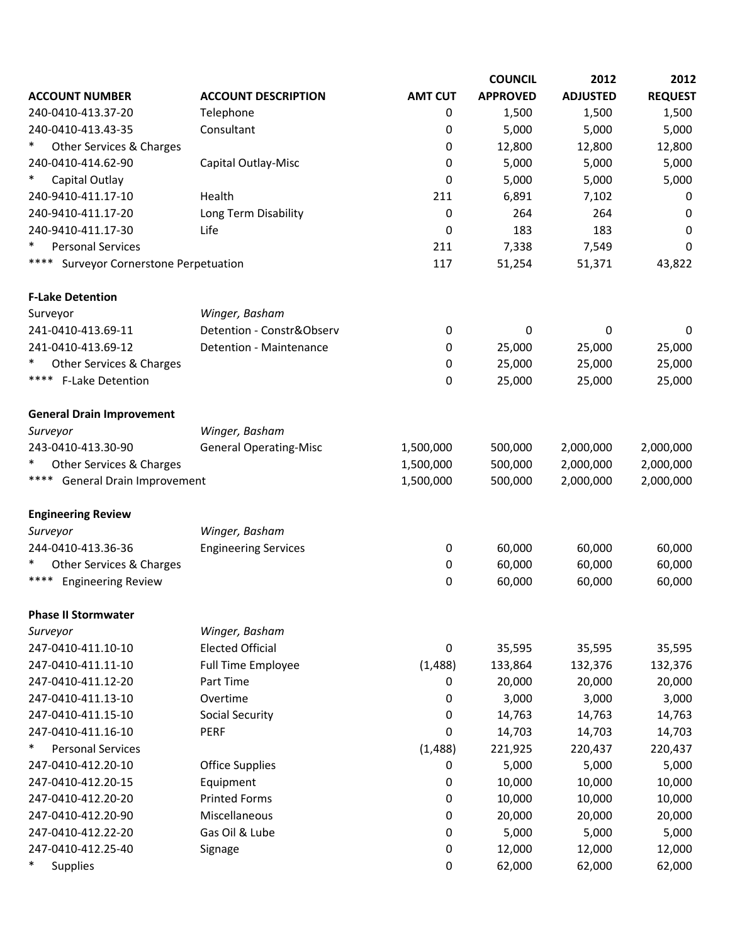|                                           |                               |                | <b>COUNCIL</b>  | 2012            | 2012           |
|-------------------------------------------|-------------------------------|----------------|-----------------|-----------------|----------------|
| <b>ACCOUNT NUMBER</b>                     | <b>ACCOUNT DESCRIPTION</b>    | <b>AMT CUT</b> | <b>APPROVED</b> | <b>ADJUSTED</b> | <b>REQUEST</b> |
| 240-0410-413.37-20                        | Telephone                     | 0              | 1,500           | 1,500           | 1,500          |
| 240-0410-413.43-35                        | Consultant                    | 0              | 5,000           | 5,000           | 5,000          |
| $\ast$<br>Other Services & Charges        |                               | 0              | 12,800          | 12,800          | 12,800         |
| 240-0410-414.62-90                        | Capital Outlay-Misc           | 0              | 5,000           | 5,000           | 5,000          |
| $\ast$<br>Capital Outlay                  |                               | 0              | 5,000           | 5,000           | 5,000          |
| 240-9410-411.17-10                        | Health                        | 211            | 6,891           | 7,102           | 0              |
| 240-9410-411.17-20                        | Long Term Disability          | 0              | 264             | 264             | 0              |
| 240-9410-411.17-30                        | Life                          | 0              | 183             | 183             | 0              |
| $\ast$<br><b>Personal Services</b>        |                               | 211            | 7,338           | 7,549           | 0              |
| ****<br>Surveyor Cornerstone Perpetuation |                               | 117            | 51,254          | 51,371          | 43,822         |
| <b>F-Lake Detention</b>                   |                               |                |                 |                 |                |
| Surveyor                                  | Winger, Basham                |                |                 |                 |                |
| 241-0410-413.69-11                        | Detention - Constr&Observ     | 0              | 0               | 0               | 0              |
| 241-0410-413.69-12                        | Detention - Maintenance       | 0              | 25,000          | 25,000          | 25,000         |
| ∗<br>Other Services & Charges             |                               | 0              | 25,000          | 25,000          | 25,000         |
| ****<br><b>F-Lake Detention</b>           |                               | 0              | 25,000          | 25,000          | 25,000         |
| <b>General Drain Improvement</b>          |                               |                |                 |                 |                |
| Surveyor                                  | Winger, Basham                |                |                 |                 |                |
| 243-0410-413.30-90                        | <b>General Operating-Misc</b> | 1,500,000      | 500,000         | 2,000,000       | 2,000,000      |
| ∗<br>Other Services & Charges             |                               | 1,500,000      | 500,000         | 2,000,000       | 2,000,000      |
| **** General Drain Improvement            |                               | 1,500,000      | 500,000         | 2,000,000       | 2,000,000      |
| <b>Engineering Review</b>                 |                               |                |                 |                 |                |
| Surveyor                                  | Winger, Basham                |                |                 |                 |                |
| 244-0410-413.36-36                        | <b>Engineering Services</b>   | 0              | 60,000          | 60,000          | 60,000         |
| ∗<br>Other Services & Charges             |                               | 0              | 60,000          | 60,000          | 60,000         |
| <b>Engineering Review</b><br>****         |                               | 0              | 60,000          | 60,000          | 60,000         |
| <b>Phase II Stormwater</b>                |                               |                |                 |                 |                |
| Surveyor                                  | Winger, Basham                |                |                 |                 |                |
| 247-0410-411.10-10                        | <b>Elected Official</b>       | 0              | 35,595          | 35,595          | 35,595         |
| 247-0410-411.11-10                        | Full Time Employee            | (1, 488)       | 133,864         | 132,376         | 132,376        |
| 247-0410-411.12-20                        | Part Time                     | 0              | 20,000          | 20,000          | 20,000         |
| 247-0410-411.13-10                        | Overtime                      | 0              | 3,000           | 3,000           | 3,000          |
| 247-0410-411.15-10                        | <b>Social Security</b>        | 0              | 14,763          | 14,763          | 14,763         |
| 247-0410-411.16-10                        | <b>PERF</b>                   | 0              | 14,703          | 14,703          | 14,703         |
| $\ast$<br><b>Personal Services</b>        |                               | (1, 488)       | 221,925         | 220,437         | 220,437        |
| 247-0410-412.20-10                        | <b>Office Supplies</b>        | 0              | 5,000           | 5,000           | 5,000          |
| 247-0410-412.20-15                        | Equipment                     | 0              | 10,000          | 10,000          | 10,000         |
| 247-0410-412.20-20                        | <b>Printed Forms</b>          | 0              | 10,000          | 10,000          | 10,000         |
| 247-0410-412.20-90                        | Miscellaneous                 | 0              | 20,000          | 20,000          | 20,000         |
| 247-0410-412.22-20                        | Gas Oil & Lube                | 0              | 5,000           | 5,000           | 5,000          |
| 247-0410-412.25-40                        | Signage                       | 0              | 12,000          | 12,000          | 12,000         |
| $\ast$<br><b>Supplies</b>                 |                               | 0              | 62,000          | 62,000          | 62,000         |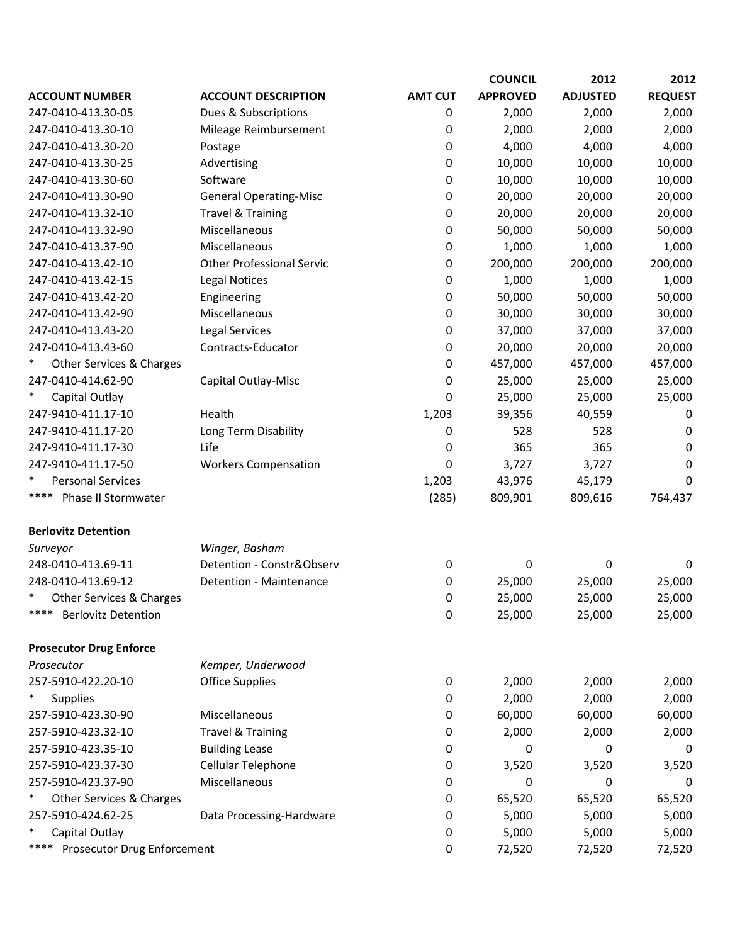|                                     |                                  |                | <b>COUNCIL</b>  | 2012            | 2012           |
|-------------------------------------|----------------------------------|----------------|-----------------|-----------------|----------------|
| <b>ACCOUNT NUMBER</b>               | <b>ACCOUNT DESCRIPTION</b>       | <b>AMT CUT</b> | <b>APPROVED</b> | <b>ADJUSTED</b> | <b>REQUEST</b> |
| 247-0410-413.30-05                  | Dues & Subscriptions             | 0              | 2,000           | 2,000           | 2,000          |
| 247-0410-413.30-10                  | Mileage Reimbursement            | 0              | 2,000           | 2,000           | 2,000          |
| 247-0410-413.30-20                  | Postage                          | 0              | 4,000           | 4,000           | 4,000          |
| 247-0410-413.30-25                  | Advertising                      | 0              | 10,000          | 10,000          | 10,000         |
| 247-0410-413.30-60                  | Software                         | 0              | 10,000          | 10,000          | 10,000         |
| 247-0410-413.30-90                  | <b>General Operating-Misc</b>    | 0              | 20,000          | 20,000          | 20,000         |
| 247-0410-413.32-10                  | <b>Travel &amp; Training</b>     | 0              | 20,000          | 20,000          | 20,000         |
| 247-0410-413.32-90                  | Miscellaneous                    | 0              | 50,000          | 50,000          | 50,000         |
| 247-0410-413.37-90                  | Miscellaneous                    | 0              | 1,000           | 1,000           | 1,000          |
| 247-0410-413.42-10                  | <b>Other Professional Servic</b> | 0              | 200,000         | 200,000         | 200,000        |
| 247-0410-413.42-15                  | <b>Legal Notices</b>             | 0              | 1,000           | 1,000           | 1,000          |
| 247-0410-413.42-20                  | Engineering                      | 0              | 50,000          | 50,000          | 50,000         |
| 247-0410-413.42-90                  | Miscellaneous                    | 0              | 30,000          | 30,000          | 30,000         |
| 247-0410-413.43-20                  | Legal Services                   | 0              | 37,000          | 37,000          | 37,000         |
| 247-0410-413.43-60                  | Contracts-Educator               | 0              | 20,000          | 20,000          | 20,000         |
| Other Services & Charges            |                                  | 0              | 457,000         | 457,000         | 457,000        |
| 247-0410-414.62-90                  | Capital Outlay-Misc              | 0              | 25,000          | 25,000          | 25,000         |
| $\ast$<br>Capital Outlay            |                                  | 0              | 25,000          | 25,000          | 25,000         |
| 247-9410-411.17-10                  | Health                           | 1,203          | 39,356          | 40,559          | 0              |
| 247-9410-411.17-20                  | Long Term Disability             | 0              | 528             | 528             | 0              |
| 247-9410-411.17-30                  | Life                             | 0              | 365             | 365             | 0              |
| 247-9410-411.17-50                  | <b>Workers Compensation</b>      | 0              | 3,727           | 3,727           | 0              |
| $\ast$<br><b>Personal Services</b>  |                                  | 1,203          | 43,976          | 45,179          | 0              |
| ****<br>Phase II Stormwater         |                                  | (285)          | 809,901         | 809,616         | 764,437        |
| <b>Berlovitz Detention</b>          |                                  |                |                 |                 |                |
| Surveyor                            | Winger, Basham                   |                |                 |                 |                |
| 248-0410-413.69-11                  | Detention - Constr&Observ        | $\mathbf 0$    | 0               | 0               | 0              |
| 248-0410-413.69-12                  | Detention - Maintenance          | 0              | 25,000          | 25,000          | 25,000         |
| $\ast$<br>Other Services & Charges  |                                  | 0              | 25,000          | 25,000          | 25,000         |
| ****<br><b>Berlovitz Detention</b>  |                                  | $\pmb{0}$      | 25,000          | 25,000          | 25,000         |
| <b>Prosecutor Drug Enforce</b>      |                                  |                |                 |                 |                |
| Prosecutor                          | Kemper, Underwood                |                |                 |                 |                |
| 257-5910-422.20-10                  | <b>Office Supplies</b>           | 0              | 2,000           | 2,000           | 2,000          |
| $\ast$<br><b>Supplies</b>           |                                  | 0              | 2,000           | 2,000           | 2,000          |
| 257-5910-423.30-90                  | Miscellaneous                    | 0              | 60,000          | 60,000          | 60,000         |
| 257-5910-423.32-10                  | <b>Travel &amp; Training</b>     | 0              | 2,000           | 2,000           | 2,000          |
| 257-5910-423.35-10                  | <b>Building Lease</b>            | 0              | 0               | 0               | 0              |
| 257-5910-423.37-30                  | Cellular Telephone               | 0              | 3,520           | 3,520           | 3,520          |
| 257-5910-423.37-90                  | Miscellaneous                    | 0              | 0               | 0               | 0              |
| $\ast$<br>Other Services & Charges  |                                  | 0              | 65,520          | 65,520          | 65,520         |
| 257-5910-424.62-25                  | Data Processing-Hardware         | 0              | 5,000           | 5,000           | 5,000          |
| $\ast$<br>Capital Outlay            |                                  | 0              | 5,000           | 5,000           | 5,000          |
| ****<br>Prosecutor Drug Enforcement |                                  | 0              | 72,520          | 72,520          | 72,520         |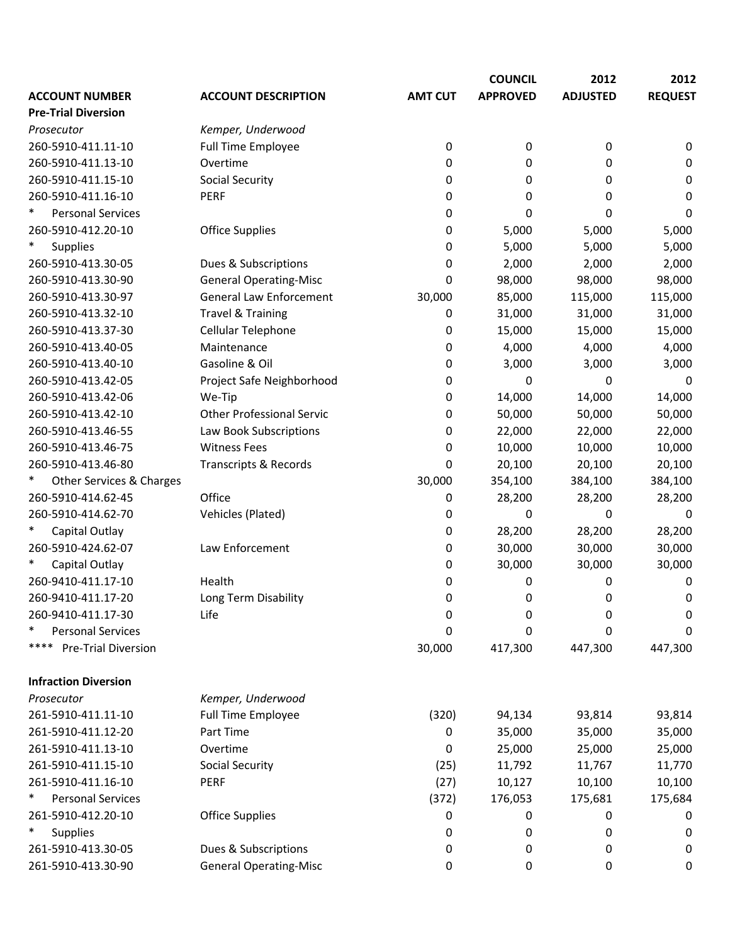|                             |                                  |                | <b>COUNCIL</b>  | 2012            | 2012           |
|-----------------------------|----------------------------------|----------------|-----------------|-----------------|----------------|
| <b>ACCOUNT NUMBER</b>       | <b>ACCOUNT DESCRIPTION</b>       | <b>AMT CUT</b> | <b>APPROVED</b> | <b>ADJUSTED</b> | <b>REQUEST</b> |
| <b>Pre-Trial Diversion</b>  |                                  |                |                 |                 |                |
| Prosecutor                  | Kemper, Underwood                |                |                 |                 |                |
| 260-5910-411.11-10          | <b>Full Time Employee</b>        | 0              | 0               | 0               | 0              |
| 260-5910-411.13-10          | Overtime                         | 0              | 0               | 0               | 0              |
| 260-5910-411.15-10          | <b>Social Security</b>           | 0              | 0               | 0               | 0              |
| 260-5910-411.16-10          | <b>PERF</b>                      | 0              | 0               | 0               | 0              |
| <b>Personal Services</b>    |                                  | 0              | 0               | 0               | 0              |
| 260-5910-412.20-10          | <b>Office Supplies</b>           | 0              | 5,000           | 5,000           | 5,000          |
| $\ast$<br><b>Supplies</b>   |                                  | 0              | 5,000           | 5,000           | 5,000          |
| 260-5910-413.30-05          | Dues & Subscriptions             | 0              | 2,000           | 2,000           | 2,000          |
| 260-5910-413.30-90          | <b>General Operating-Misc</b>    | 0              | 98,000          | 98,000          | 98,000         |
| 260-5910-413.30-97          | <b>General Law Enforcement</b>   | 30,000         | 85,000          | 115,000         | 115,000        |
| 260-5910-413.32-10          | <b>Travel &amp; Training</b>     | 0              | 31,000          | 31,000          | 31,000         |
| 260-5910-413.37-30          | Cellular Telephone               | 0              | 15,000          | 15,000          | 15,000         |
| 260-5910-413.40-05          | Maintenance                      | 0              | 4,000           | 4,000           | 4,000          |
| 260-5910-413.40-10          | Gasoline & Oil                   | 0              | 3,000           | 3,000           | 3,000          |
| 260-5910-413.42-05          | Project Safe Neighborhood        | 0              | 0               | 0               | 0              |
| 260-5910-413.42-06          | We-Tip                           | 0              | 14,000          | 14,000          | 14,000         |
| 260-5910-413.42-10          | <b>Other Professional Servic</b> | 0              | 50,000          | 50,000          | 50,000         |
| 260-5910-413.46-55          | Law Book Subscriptions           | 0              | 22,000          | 22,000          | 22,000         |
| 260-5910-413.46-75          | <b>Witness Fees</b>              | 0              | 10,000          | 10,000          | 10,000         |
| 260-5910-413.46-80          | Transcripts & Records            | 0              | 20,100          | 20,100          | 20,100         |
| Other Services & Charges    |                                  | 30,000         | 354,100         | 384,100         | 384,100        |
| 260-5910-414.62-45          | Office                           | 0              | 28,200          | 28,200          | 28,200         |
| 260-5910-414.62-70          | Vehicles (Plated)                | 0              | 0               | 0               | 0              |
| Capital Outlay              |                                  | 0              | 28,200          | 28,200          | 28,200         |
| 260-5910-424.62-07          | Law Enforcement                  | 0              | 30,000          | 30,000          | 30,000         |
| Capital Outlay              |                                  | 0              | 30,000          | 30,000          | 30,000         |
| 260-9410-411.17-10          | Health                           | 0              | 0               | 0               | 0              |
| 260-9410-411.17-20          | Long Term Disability             | 0              | 0               | 0               | 0              |
| 260-9410-411.17-30          | Life                             | 0              | 0               | 0               | 0              |
| <b>Personal Services</b>    |                                  | 0              | 0               | 0               | 0              |
| ****<br>Pre-Trial Diversion |                                  | 30,000         | 417,300         | 447,300         | 447,300        |
|                             |                                  |                |                 |                 |                |
| <b>Infraction Diversion</b> |                                  |                |                 |                 |                |
| Prosecutor                  | Kemper, Underwood                |                |                 |                 |                |
| 261-5910-411.11-10          | Full Time Employee               | (320)          | 94,134          | 93,814          | 93,814         |
| 261-5910-411.12-20          | Part Time                        | 0              | 35,000          | 35,000          | 35,000         |
| 261-5910-411.13-10          | Overtime                         | 0              | 25,000          | 25,000          | 25,000         |
| 261-5910-411.15-10          | <b>Social Security</b>           | (25)           | 11,792          | 11,767          | 11,770         |
| 261-5910-411.16-10          | PERF                             | (27)           | 10,127          | 10,100          | 10,100         |
| <b>Personal Services</b>    |                                  | (372)          | 176,053         | 175,681         | 175,684        |
| 261-5910-412.20-10          | <b>Office Supplies</b>           | 0              | 0               | 0               | 0              |
| $\ast$<br>Supplies          |                                  | 0              | 0               | 0               | 0              |
| 261-5910-413.30-05          | Dues & Subscriptions             | 0              | 0               | 0               | 0              |
| 261-5910-413.30-90          | <b>General Operating-Misc</b>    | 0              | 0               | 0               | 0              |
|                             |                                  |                |                 |                 |                |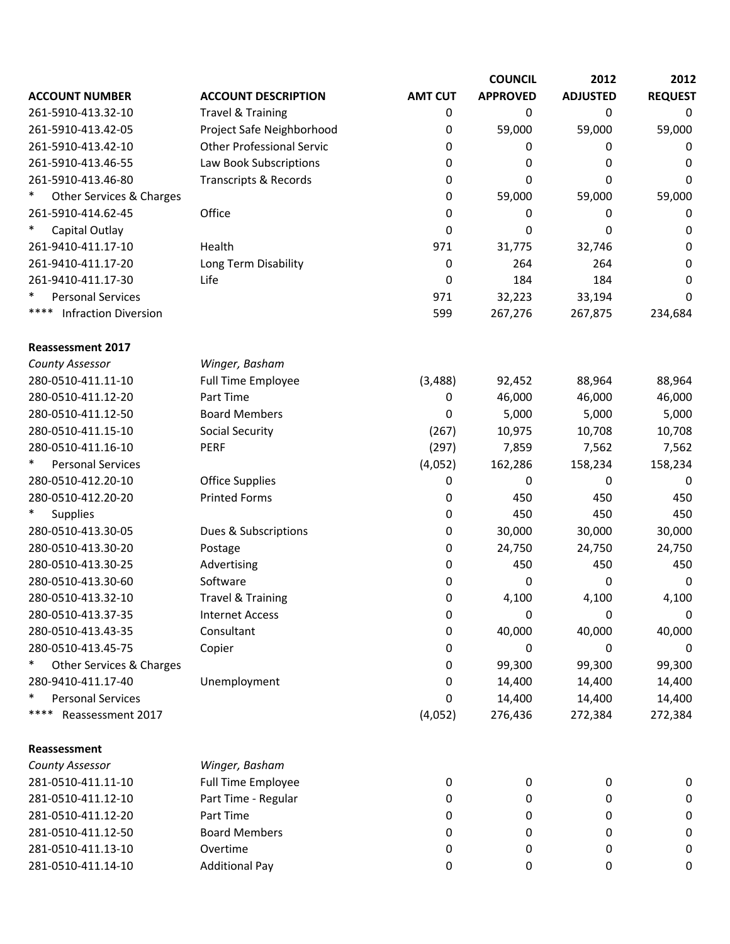|                                     |                                  |                | <b>COUNCIL</b>  | 2012            | 2012           |
|-------------------------------------|----------------------------------|----------------|-----------------|-----------------|----------------|
| <b>ACCOUNT NUMBER</b>               | <b>ACCOUNT DESCRIPTION</b>       | <b>AMT CUT</b> | <b>APPROVED</b> | <b>ADJUSTED</b> | <b>REQUEST</b> |
| 261-5910-413.32-10                  | <b>Travel &amp; Training</b>     | 0              | 0               | 0               | 0              |
| 261-5910-413.42-05                  | Project Safe Neighborhood        | 0              | 59,000          | 59,000          | 59,000         |
| 261-5910-413.42-10                  | <b>Other Professional Servic</b> | 0              | 0               | 0               | 0              |
| 261-5910-413.46-55                  | Law Book Subscriptions           | 0              | 0               | 0               | 0              |
| 261-5910-413.46-80                  | <b>Transcripts &amp; Records</b> | 0              | 0               | 0               | 0              |
| Other Services & Charges            |                                  | 0              | 59,000          | 59,000          | 59,000         |
| 261-5910-414.62-45                  | Office                           | 0              | 0               | 0               | 0              |
| $\ast$<br>Capital Outlay            |                                  | 0              | 0               | 0               | 0              |
| 261-9410-411.17-10                  | Health                           | 971            | 31,775          | 32,746          | 0              |
| 261-9410-411.17-20                  | Long Term Disability             | 0              | 264             | 264             | 0              |
| 261-9410-411.17-30                  | Life                             | 0              | 184             | 184             | 0              |
| <b>Personal Services</b>            |                                  | 971            | 32,223          | 33,194          | 0              |
| ****<br><b>Infraction Diversion</b> |                                  | 599            | 267,276         | 267,875         | 234,684        |
| <b>Reassessment 2017</b>            |                                  |                |                 |                 |                |
| County Assessor                     | Winger, Basham                   |                |                 |                 |                |
| 280-0510-411.11-10                  | Full Time Employee               | (3, 488)       | 92,452          | 88,964          | 88,964         |
| 280-0510-411.12-20                  | Part Time                        | 0              | 46,000          | 46,000          | 46,000         |
| 280-0510-411.12-50                  | <b>Board Members</b>             | 0              | 5,000           | 5,000           | 5,000          |
| 280-0510-411.15-10                  | <b>Social Security</b>           | (267)          | 10,975          | 10,708          | 10,708         |
| 280-0510-411.16-10                  | <b>PERF</b>                      | (297)          | 7,859           | 7,562           | 7,562          |
| <b>Personal Services</b>            |                                  | (4,052)        | 162,286         | 158,234         | 158,234        |
| 280-0510-412.20-10                  | <b>Office Supplies</b>           | 0              | 0               | 0               | $\mathbf 0$    |
| 280-0510-412.20-20                  | <b>Printed Forms</b>             | 0              | 450             | 450             | 450            |
| <b>Supplies</b>                     |                                  | 0              | 450             | 450             | 450            |
| 280-0510-413.30-05                  | Dues & Subscriptions             | 0              | 30,000          | 30,000          | 30,000         |
| 280-0510-413.30-20                  | Postage                          | 0              | 24,750          | 24,750          | 24,750         |
| 280-0510-413.30-25                  | Advertising                      | 0              | 450             | 450             | 450            |
| 280-0510-413.30-60                  | Software                         | 0              | 0               | 0               | $\mathbf 0$    |
| 280-0510-413.32-10                  | <b>Travel &amp; Training</b>     | 0              | 4,100           | 4,100           | 4,100          |
| 280-0510-413.37-35                  | <b>Internet Access</b>           | 0              | 0               | 0               | 0              |
| 280-0510-413.43-35                  | Consultant                       | 0              | 40,000          | 40,000          | 40,000         |
| 280-0510-413.45-75                  | Copier                           | 0              | 0               | 0               | $\Omega$       |
| Other Services & Charges            |                                  | 0              | 99,300          | 99,300          | 99,300         |
| 280-9410-411.17-40                  | Unemployment                     | 0              | 14,400          | 14,400          | 14,400         |
| ∗<br><b>Personal Services</b>       |                                  | 0              | 14,400          | 14,400          | 14,400         |
| ****<br>Reassessment 2017           |                                  | (4,052)        | 276,436         | 272,384         | 272,384        |
| Reassessment                        |                                  |                |                 |                 |                |
| County Assessor                     | Winger, Basham                   |                |                 |                 |                |
| 281-0510-411.11-10                  | Full Time Employee               | 0              | 0               | 0               | 0              |
| 281-0510-411.12-10                  | Part Time - Regular              | 0              | 0               | 0               | 0              |
| 281-0510-411.12-20                  | Part Time                        | 0              | 0               | 0               | 0              |
| 281-0510-411.12-50                  | <b>Board Members</b>             | 0              | 0               | 0               | 0              |
| 281-0510-411.13-10                  | Overtime                         | 0              | 0               | 0               | 0              |
| 281-0510-411.14-10                  | <b>Additional Pay</b>            | 0              | 0               | 0               | 0              |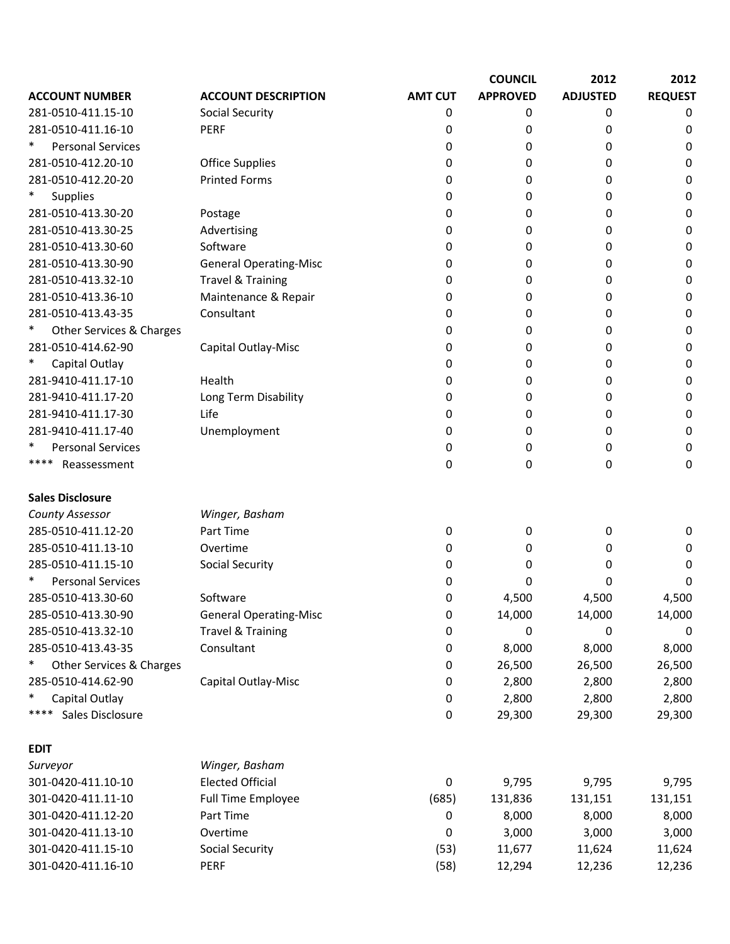|                                    |                               |                | <b>COUNCIL</b>  | 2012            | 2012           |
|------------------------------------|-------------------------------|----------------|-----------------|-----------------|----------------|
| <b>ACCOUNT NUMBER</b>              | <b>ACCOUNT DESCRIPTION</b>    | <b>AMT CUT</b> | <b>APPROVED</b> | <b>ADJUSTED</b> | <b>REQUEST</b> |
| 281-0510-411.15-10                 | <b>Social Security</b>        | 0              | 0               | 0               | 0              |
| 281-0510-411.16-10                 | <b>PERF</b>                   | 0              | 0               | 0               | 0              |
| $\ast$<br><b>Personal Services</b> |                               | 0              | 0               | 0               | 0              |
| 281-0510-412.20-10                 | <b>Office Supplies</b>        | 0              | 0               | 0               | 0              |
| 281-0510-412.20-20                 | <b>Printed Forms</b>          | 0              | 0               | 0               | 0              |
| Supplies                           |                               | 0              | 0               | 0               | 0              |
| 281-0510-413.30-20                 | Postage                       | 0              | 0               | 0               | 0              |
| 281-0510-413.30-25                 | Advertising                   | 0              | 0               | 0               | 0              |
| 281-0510-413.30-60                 | Software                      | 0              | 0               | 0               | 0              |
| 281-0510-413.30-90                 | <b>General Operating-Misc</b> | 0              | 0               | 0               | 0              |
| 281-0510-413.32-10                 | <b>Travel &amp; Training</b>  | 0              | 0               | 0               | 0              |
| 281-0510-413.36-10                 | Maintenance & Repair          | 0              | 0               | 0               | 0              |
| 281-0510-413.43-35                 | Consultant                    | 0              | 0               | 0               | 0              |
| Other Services & Charges           |                               | 0              | 0               | 0               | 0              |
| 281-0510-414.62-90                 | Capital Outlay-Misc           | 0              | 0               | 0               | 0              |
| Capital Outlay                     |                               | 0              | 0               | 0               | 0              |
| 281-9410-411.17-10                 | Health                        | 0              | 0               | 0               | 0              |
| 281-9410-411.17-20                 | Long Term Disability          | 0              | 0               | 0               | 0              |
| 281-9410-411.17-30                 | Life                          | 0              | 0               | 0               | 0              |
| 281-9410-411.17-40                 | Unemployment                  | 0              | 0               | 0               | 0              |
| <b>Personal Services</b><br>∗      |                               | 0              | 0               | 0               | 0              |
| ****<br>Reassessment               |                               | 0              | 0               | 0               | 0              |
| <b>Sales Disclosure</b>            |                               |                |                 |                 |                |
| County Assessor                    | Winger, Basham                |                |                 |                 |                |
| 285-0510-411.12-20                 | Part Time                     | 0              | 0               | 0               | 0              |
| 285-0510-411.13-10                 | Overtime                      | 0              | 0               | 0               | 0              |
| 285-0510-411.15-10                 | <b>Social Security</b>        | 0              | 0               | 0               | 0              |
| <b>Personal Services</b>           |                               | 0              | 0               | 0               | 0              |
| 285-0510-413.30-60                 | Software                      | 0              | 4,500           | 4,500           | 4,500          |
| 285-0510-413.30-90                 | <b>General Operating-Misc</b> | 0              | 14,000          | 14,000          | 14,000         |
| 285-0510-413.32-10                 | <b>Travel &amp; Training</b>  | 0              | 0               | 0               | 0              |
| 285-0510-413.43-35                 | Consultant                    | 0              | 8,000           | 8,000           | 8,000          |
| Other Services & Charges           |                               | 0              | 26,500          | 26,500          | 26,500         |
| 285-0510-414.62-90                 | Capital Outlay-Misc           | 0              | 2,800           | 2,800           | 2,800          |
| Capital Outlay                     |                               | 0              | 2,800           | 2,800           | 2,800          |
| ****<br>Sales Disclosure           |                               | 0              | 29,300          | 29,300          | 29,300         |
| <b>EDIT</b>                        |                               |                |                 |                 |                |
| Surveyor                           | Winger, Basham                |                |                 |                 |                |
| 301-0420-411.10-10                 | <b>Elected Official</b>       | 0              | 9,795           | 9,795           | 9,795          |
| 301-0420-411.11-10                 | Full Time Employee            | (685)          | 131,836         | 131,151         | 131,151        |
| 301-0420-411.12-20                 | Part Time                     | 0              | 8,000           | 8,000           | 8,000          |
| 301-0420-411.13-10                 | Overtime                      | 0              | 3,000           | 3,000           | 3,000          |
| 301-0420-411.15-10                 | <b>Social Security</b>        | (53)           | 11,677          | 11,624          | 11,624         |
| 301-0420-411.16-10                 | PERF                          | (58)           | 12,294          | 12,236          | 12,236         |
|                                    |                               |                |                 |                 |                |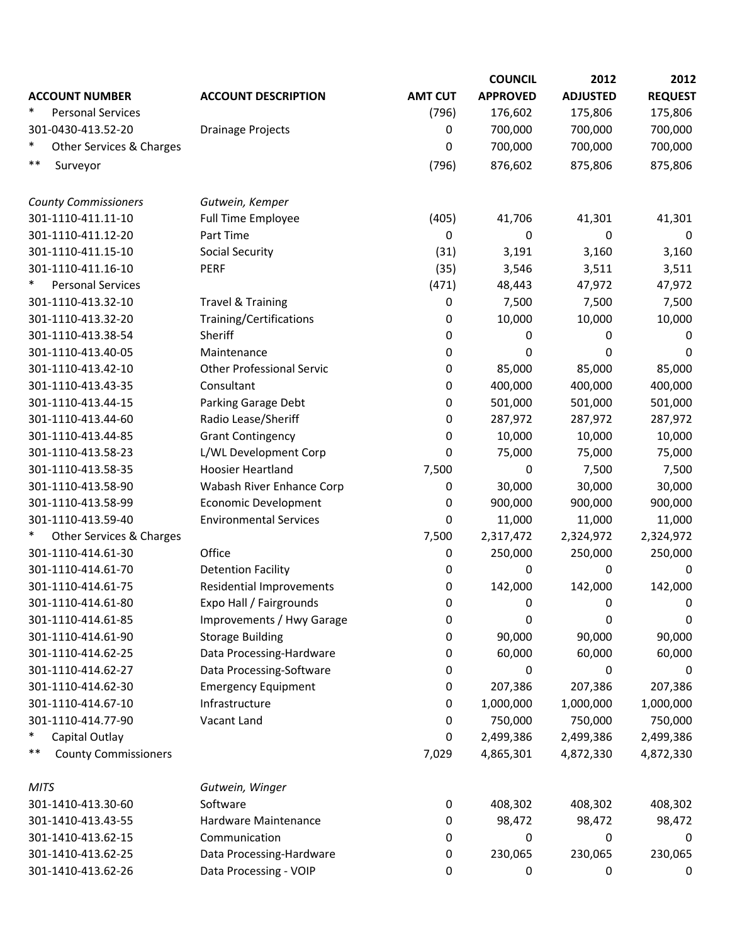|                                    |                                  |                | <b>COUNCIL</b>  | 2012            | 2012             |
|------------------------------------|----------------------------------|----------------|-----------------|-----------------|------------------|
| <b>ACCOUNT NUMBER</b>              | <b>ACCOUNT DESCRIPTION</b>       | <b>AMT CUT</b> | <b>APPROVED</b> | <b>ADJUSTED</b> | <b>REQUEST</b>   |
| $\ast$<br><b>Personal Services</b> |                                  | (796)          | 176,602         | 175,806         | 175,806          |
| 301-0430-413.52-20                 | Drainage Projects                | 0              | 700,000         | 700,000         | 700,000          |
| $\ast$<br>Other Services & Charges |                                  | 0              | 700,000         | 700,000         | 700,000          |
| **<br>Surveyor                     |                                  | (796)          | 876,602         | 875,806         | 875,806          |
|                                    |                                  |                |                 |                 |                  |
| <b>County Commissioners</b>        | Gutwein, Kemper                  |                |                 |                 |                  |
| 301-1110-411.11-10                 | <b>Full Time Employee</b>        | (405)          | 41,706          | 41,301          | 41,301           |
| 301-1110-411.12-20                 | Part Time                        | 0              | 0               | 0               | 0                |
| 301-1110-411.15-10                 | <b>Social Security</b>           | (31)           | 3,191           | 3,160           | 3,160            |
| 301-1110-411.16-10                 | PERF                             | (35)           | 3,546           | 3,511           | 3,511            |
| $\ast$<br><b>Personal Services</b> |                                  | (471)          | 48,443          | 47,972          | 47,972           |
| 301-1110-413.32-10                 | <b>Travel &amp; Training</b>     | 0              | 7,500           | 7,500           | 7,500            |
| 301-1110-413.32-20                 | Training/Certifications          | 0              | 10,000          | 10,000          | 10,000           |
| 301-1110-413.38-54                 | Sheriff                          | 0              | 0               | 0               | 0                |
| 301-1110-413.40-05                 | Maintenance                      | 0              | 0               | 0               | 0                |
| 301-1110-413.42-10                 | <b>Other Professional Servic</b> | 0              | 85,000          | 85,000          | 85,000           |
| 301-1110-413.43-35                 | Consultant                       | 0              | 400,000         | 400,000         | 400,000          |
| 301-1110-413.44-15                 | Parking Garage Debt              | 0              | 501,000         | 501,000         | 501,000          |
| 301-1110-413.44-60                 | Radio Lease/Sheriff              | 0              | 287,972         | 287,972         | 287,972          |
| 301-1110-413.44-85                 | <b>Grant Contingency</b>         | 0              | 10,000          | 10,000          | 10,000           |
| 301-1110-413.58-23                 | L/WL Development Corp            | 0              | 75,000          | 75,000          | 75,000           |
| 301-1110-413.58-35                 | <b>Hoosier Heartland</b>         | 7,500          | 0               | 7,500           | 7,500            |
| 301-1110-413.58-90                 | Wabash River Enhance Corp        | 0              | 30,000          | 30,000          | 30,000           |
| 301-1110-413.58-99                 |                                  |                |                 |                 |                  |
|                                    | <b>Economic Development</b>      | 0              | 900,000         | 900,000         | 900,000          |
| 301-1110-413.59-40                 | <b>Environmental Services</b>    | 0              | 11,000          | 11,000          | 11,000           |
| Other Services & Charges           |                                  | 7,500          | 2,317,472       | 2,324,972       | 2,324,972        |
| 301-1110-414.61-30                 | Office                           | 0              | 250,000         | 250,000         | 250,000          |
| 301-1110-414.61-70                 | <b>Detention Facility</b>        | 0              | 0               | 0               | 0                |
| 301-1110-414.61-75                 | <b>Residential Improvements</b>  | 0              | 142,000         | 142,000         | 142,000          |
| 301-1110-414.61-80                 | Expo Hall / Fairgrounds          | 0              | 0               | 0               | 0                |
| 301-1110-414.61-85                 | Improvements / Hwy Garage        | 0              | 0               | 0               | 0                |
| 301-1110-414.61-90                 | <b>Storage Building</b>          | 0              | 90,000          | 90,000          | 90,000           |
| 301-1110-414.62-25                 | Data Processing-Hardware         | 0              | 60,000          | 60,000          | 60,000           |
| 301-1110-414.62-27                 | Data Processing-Software         | 0              | 0               | 0               | 0                |
| 301-1110-414.62-30                 | <b>Emergency Equipment</b>       | 0              | 207,386         | 207,386         | 207,386          |
| 301-1110-414.67-10                 | Infrastructure                   | 0              | 1,000,000       | 1,000,000       | 1,000,000        |
| 301-1110-414.77-90                 | Vacant Land                      | 0              | 750,000         | 750,000         | 750,000          |
| $\ast$<br>Capital Outlay           |                                  | 0              | 2,499,386       | 2,499,386       | 2,499,386        |
| **<br><b>County Commissioners</b>  |                                  | 7,029          | 4,865,301       | 4,872,330       | 4,872,330        |
| <b>MITS</b>                        | Gutwein, Winger                  |                |                 |                 |                  |
| 301-1410-413.30-60                 | Software                         | 0              | 408,302         | 408,302         | 408,302          |
| 301-1410-413.43-55                 | Hardware Maintenance             | 0              | 98,472          | 98,472          | 98,472           |
| 301-1410-413.62-15                 | Communication                    | 0              | 0               | 0               | $\boldsymbol{0}$ |
| 301-1410-413.62-25                 | Data Processing-Hardware         | 0              | 230,065         | 230,065         | 230,065          |
| 301-1410-413.62-26                 | Data Processing - VOIP           | 0              | 0               | 0               | 0                |
|                                    |                                  |                |                 |                 |                  |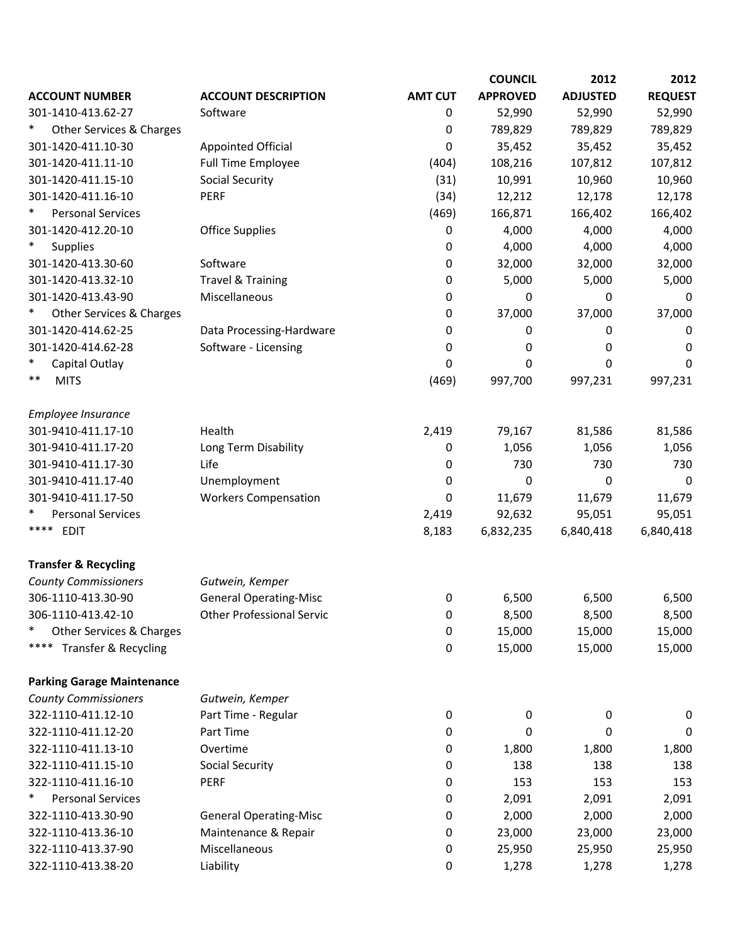|                                                |                                  |                | <b>COUNCIL</b>  | 2012            | 2012           |
|------------------------------------------------|----------------------------------|----------------|-----------------|-----------------|----------------|
| <b>ACCOUNT NUMBER</b>                          | <b>ACCOUNT DESCRIPTION</b>       | <b>AMT CUT</b> | <b>APPROVED</b> | <b>ADJUSTED</b> | <b>REQUEST</b> |
| 301-1410-413.62-27                             | Software                         | 0              | 52,990          | 52,990          | 52,990         |
| Other Services & Charges                       |                                  | 0              | 789,829         | 789,829         | 789,829        |
| 301-1420-411.10-30                             | <b>Appointed Official</b>        | 0              | 35,452          | 35,452          | 35,452         |
| 301-1420-411.11-10                             | Full Time Employee               | (404)          | 108,216         | 107,812         | 107,812        |
| 301-1420-411.15-10                             | <b>Social Security</b>           | (31)           | 10,991          | 10,960          | 10,960         |
| 301-1420-411.16-10                             | PERF                             | (34)           | 12,212          | 12,178          | 12,178         |
| <b>Personal Services</b>                       |                                  | (469)          | 166,871         | 166,402         | 166,402        |
| 301-1420-412.20-10                             | <b>Office Supplies</b>           | 0              | 4,000           | 4,000           | 4,000          |
| <b>Supplies</b>                                |                                  | 0              | 4,000           | 4,000           | 4,000          |
| 301-1420-413.30-60                             | Software                         | 0              | 32,000          | 32,000          | 32,000         |
| 301-1420-413.32-10                             | <b>Travel &amp; Training</b>     | 0              | 5,000           | 5,000           | 5,000          |
| 301-1420-413.43-90                             | Miscellaneous                    | 0              | 0               | 0               | 0              |
| Other Services & Charges                       |                                  | 0              | 37,000          | 37,000          | 37,000         |
| 301-1420-414.62-25                             | Data Processing-Hardware         | 0              | 0               | 0               | 0              |
| 301-1420-414.62-28                             | Software - Licensing             | 0              | 0               | 0               | 0              |
| Capital Outlay                                 |                                  | 0              | 0               | 0               | 0              |
| $***$<br><b>MITS</b>                           |                                  | (469)          | 997,700         | 997,231         | 997,231        |
| Employee Insurance                             |                                  |                |                 |                 |                |
| 301-9410-411.17-10                             | Health                           | 2,419          | 79,167          | 81,586          | 81,586         |
| 301-9410-411.17-20                             | Long Term Disability             | 0              | 1,056           | 1,056           | 1,056          |
| 301-9410-411.17-30                             | Life                             | 0              | 730             | 730             | 730            |
| 301-9410-411.17-40                             | Unemployment                     | $\mathbf 0$    | 0               | 0               | $\mathbf 0$    |
| 301-9410-411.17-50                             | <b>Workers Compensation</b>      | 0              | 11,679          | 11,679          | 11,679         |
| <b>Personal Services</b><br>****               |                                  | 2,419          | 92,632          | 95,051          | 95,051         |
| <b>EDIT</b>                                    |                                  | 8,183          | 6,832,235       | 6,840,418       | 6,840,418      |
| <b>Transfer &amp; Recycling</b>                |                                  |                |                 |                 |                |
| <b>County Commissioners</b>                    | Gutwein, Kemper                  |                |                 |                 |                |
| 306-1110-413.30-90                             | <b>General Operating-Misc</b>    | 0              | 6,500           | 6,500           | 6,500          |
| 306-1110-413.42-10<br>Other Services & Charges | <b>Other Professional Servic</b> | 0              | 8,500           | 8,500           | 8,500          |
| ****                                           |                                  | 0              | 15,000          | 15,000          | 15,000         |
| Transfer & Recycling                           |                                  | 0              | 15,000          | 15,000          | 15,000         |
| <b>Parking Garage Maintenance</b>              |                                  |                |                 |                 |                |
| <b>County Commissioners</b>                    | Gutwein, Kemper                  |                |                 |                 |                |
| 322-1110-411.12-10                             | Part Time - Regular              | 0              | 0               | 0               | 0              |
| 322-1110-411.12-20                             | Part Time                        | 0              | 0               | 0               | 0              |
| 322-1110-411.13-10                             | Overtime                         | 0              | 1,800           | 1,800           | 1,800          |
| 322-1110-411.15-10                             | <b>Social Security</b>           | 0              | 138             | 138             | 138            |
| 322-1110-411.16-10                             | PERF                             | 0              | 153             | 153             | 153            |
| <b>Personal Services</b>                       |                                  | 0              | 2,091           | 2,091           | 2,091          |
| 322-1110-413.30-90                             | <b>General Operating-Misc</b>    | 0              | 2,000           | 2,000           | 2,000          |
| 322-1110-413.36-10                             | Maintenance & Repair             | 0              | 23,000          | 23,000          | 23,000         |
| 322-1110-413.37-90                             | Miscellaneous                    | 0              | 25,950          | 25,950          | 25,950         |
| 322-1110-413.38-20                             | Liability                        | 0              | 1,278           | 1,278           | 1,278          |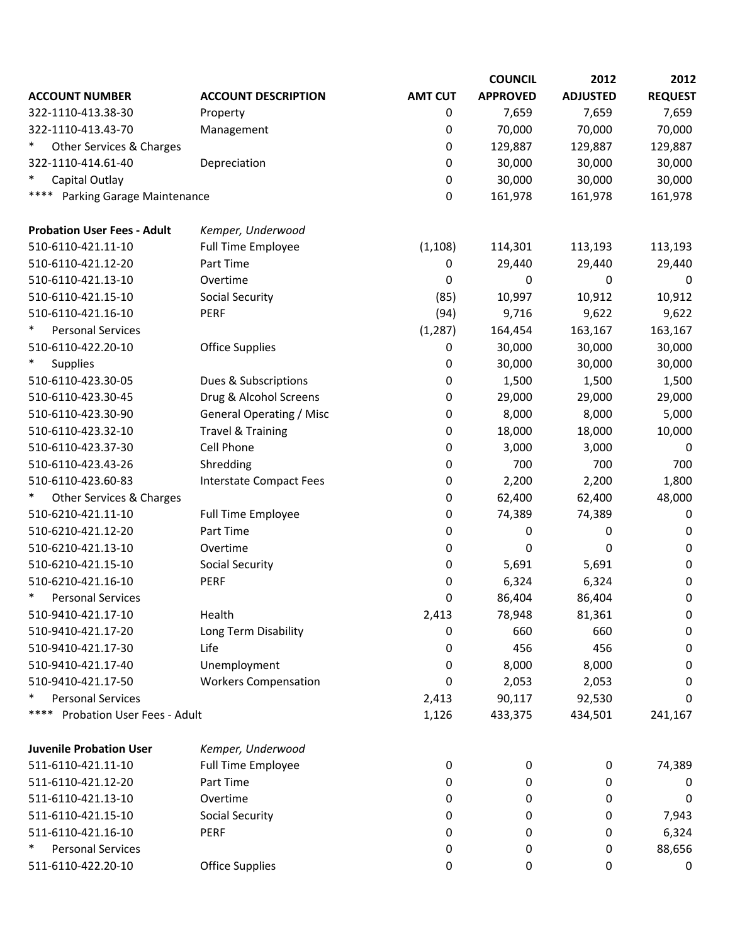| <b>AMT CUT</b><br><b>APPROVED</b><br><b>ADJUSTED</b><br><b>REQUEST</b><br><b>ACCOUNT NUMBER</b><br><b>ACCOUNT DESCRIPTION</b><br>322-1110-413.38-30<br>7,659<br>7,659<br>7,659<br>Property<br>0<br>70,000<br>70,000<br>70,000<br>322-1110-413.43-70<br>0<br>Management<br>$\ast$<br>129,887<br>129,887<br>129,887<br>Other Services & Charges<br>0<br>322-1110-414.61-40<br>Depreciation<br>30,000<br>30,000<br>30,000<br>0<br>Capital Outlay<br>30,000<br>30,000<br>30,000<br>0<br>****<br>Parking Garage Maintenance<br>0<br>161,978<br>161,978<br>161,978<br><b>Probation User Fees - Adult</b><br>Kemper, Underwood<br>510-6110-421.11-10<br>Full Time Employee<br>(1, 108)<br>114,301<br>113,193<br>113,193<br>510-6110-421.12-20<br>Part Time<br>29,440<br>0<br>29,440<br>29,440<br>510-6110-421.13-10<br>Overtime<br>0<br>0<br>0<br>0<br>510-6110-421.15-10<br>Social Security<br>(85)<br>10,997<br>10,912<br>10,912<br><b>PERF</b><br>(94)<br>9,622<br>510-6110-421.16-10<br>9,716<br>9,622<br>$\ast$<br><b>Personal Services</b><br>(1, 287)<br>164,454<br>163,167<br>163,167<br>510-6110-422.20-10<br><b>Office Supplies</b><br>30,000<br>30,000<br>30,000<br>0<br>$\ast$<br>30,000<br>30,000<br>30,000<br><b>Supplies</b><br>0<br>510-6110-423.30-05<br>1,500<br>1,500<br>1,500<br>Dues & Subscriptions<br>0<br>Drug & Alcohol Screens<br>510-6110-423.30-45<br>0<br>29,000<br>29,000<br>29,000<br><b>General Operating / Misc</b><br>8,000<br>8,000<br>5,000<br>510-6110-423.30-90<br>0<br>510-6110-423.32-10<br><b>Travel &amp; Training</b><br>18,000<br>18,000<br>0<br>10,000<br>Cell Phone<br>510-6110-423.37-30<br>3,000<br>3,000<br>0<br>0<br>700<br>510-6110-423.43-26<br>700<br>700<br>Shredding<br>0<br>510-6110-423.60-83<br>Interstate Compact Fees<br>0<br>2,200<br>2,200<br>1,800<br>$\ast$<br>Other Services & Charges<br>48,000<br>62,400<br>62,400<br>0<br>510-6210-421.11-10<br>74,389<br><b>Full Time Employee</b><br>0<br>74,389<br>0<br>510-6210-421.12-20<br>Part Time<br>0<br>0<br>0<br>0<br>510-6210-421.13-10<br>Overtime<br>0<br>0<br>0<br>0<br><b>Social Security</b><br>510-6210-421.15-10<br>0<br>5,691<br>5,691<br>0<br>510-6210-421.16-10<br>PERF<br>6,324<br>6,324<br>0<br>0<br>$\ast$<br><b>Personal Services</b><br>0<br>86,404<br>86,404<br>0<br>510-9410-421.17-10<br>Health<br>2,413<br>81,361<br>78,948<br>0<br>660<br>510-9410-421.17-20<br>660<br>Long Term Disability<br>0<br>0<br>456<br>510-9410-421.17-30<br>Life<br>456<br>0<br>0<br>510-9410-421.17-40<br>Unemployment<br>8,000<br>8,000<br>0<br>0<br><b>Workers Compensation</b><br>510-9410-421.17-50<br>2,053<br>0<br>2,053<br>0<br>$\ast$<br><b>Personal Services</b><br>2,413<br>90,117<br>92,530<br>0<br>****<br>Probation User Fees - Adult<br>1,126<br>433,375<br>434,501<br>241,167<br><b>Juvenile Probation User</b><br>Kemper, Underwood<br>511-6110-421.11-10<br>Full Time Employee<br>74,389<br>0<br>0<br>0<br>511-6110-421.12-20<br>Part Time<br>0<br>0<br>0<br>0<br>Overtime<br>511-6110-421.13-10<br>0<br>0<br>0<br>0<br>511-6110-421.15-10<br><b>Social Security</b><br>0<br>0<br>7,943<br>0<br>511-6110-421.16-10<br>PERF<br>0<br>6,324<br>0<br>0<br>$\ast$<br><b>Personal Services</b><br>88,656<br>0<br>0<br>0<br>511-6110-422.20-10<br><b>Office Supplies</b><br>0<br>0<br>0<br>0 |  | <b>COUNCIL</b> | 2012 | 2012 |
|-----------------------------------------------------------------------------------------------------------------------------------------------------------------------------------------------------------------------------------------------------------------------------------------------------------------------------------------------------------------------------------------------------------------------------------------------------------------------------------------------------------------------------------------------------------------------------------------------------------------------------------------------------------------------------------------------------------------------------------------------------------------------------------------------------------------------------------------------------------------------------------------------------------------------------------------------------------------------------------------------------------------------------------------------------------------------------------------------------------------------------------------------------------------------------------------------------------------------------------------------------------------------------------------------------------------------------------------------------------------------------------------------------------------------------------------------------------------------------------------------------------------------------------------------------------------------------------------------------------------------------------------------------------------------------------------------------------------------------------------------------------------------------------------------------------------------------------------------------------------------------------------------------------------------------------------------------------------------------------------------------------------------------------------------------------------------------------------------------------------------------------------------------------------------------------------------------------------------------------------------------------------------------------------------------------------------------------------------------------------------------------------------------------------------------------------------------------------------------------------------------------------------------------------------------------------------------------------------------------------------------------------------------------------------------------------------------------------------------------------------------------------------------------------------------------------------------------------------------------------------------------------------------------------------------------------------------------------------------------------------------------------------------------------------------------------------------------------------------------------------------------------------------------------------------------------------------------------------------------------------------------------------------------------------------------------|--|----------------|------|------|
|                                                                                                                                                                                                                                                                                                                                                                                                                                                                                                                                                                                                                                                                                                                                                                                                                                                                                                                                                                                                                                                                                                                                                                                                                                                                                                                                                                                                                                                                                                                                                                                                                                                                                                                                                                                                                                                                                                                                                                                                                                                                                                                                                                                                                                                                                                                                                                                                                                                                                                                                                                                                                                                                                                                                                                                                                                                                                                                                                                                                                                                                                                                                                                                                                                                                                                                 |  |                |      |      |
|                                                                                                                                                                                                                                                                                                                                                                                                                                                                                                                                                                                                                                                                                                                                                                                                                                                                                                                                                                                                                                                                                                                                                                                                                                                                                                                                                                                                                                                                                                                                                                                                                                                                                                                                                                                                                                                                                                                                                                                                                                                                                                                                                                                                                                                                                                                                                                                                                                                                                                                                                                                                                                                                                                                                                                                                                                                                                                                                                                                                                                                                                                                                                                                                                                                                                                                 |  |                |      |      |
|                                                                                                                                                                                                                                                                                                                                                                                                                                                                                                                                                                                                                                                                                                                                                                                                                                                                                                                                                                                                                                                                                                                                                                                                                                                                                                                                                                                                                                                                                                                                                                                                                                                                                                                                                                                                                                                                                                                                                                                                                                                                                                                                                                                                                                                                                                                                                                                                                                                                                                                                                                                                                                                                                                                                                                                                                                                                                                                                                                                                                                                                                                                                                                                                                                                                                                                 |  |                |      |      |
|                                                                                                                                                                                                                                                                                                                                                                                                                                                                                                                                                                                                                                                                                                                                                                                                                                                                                                                                                                                                                                                                                                                                                                                                                                                                                                                                                                                                                                                                                                                                                                                                                                                                                                                                                                                                                                                                                                                                                                                                                                                                                                                                                                                                                                                                                                                                                                                                                                                                                                                                                                                                                                                                                                                                                                                                                                                                                                                                                                                                                                                                                                                                                                                                                                                                                                                 |  |                |      |      |
|                                                                                                                                                                                                                                                                                                                                                                                                                                                                                                                                                                                                                                                                                                                                                                                                                                                                                                                                                                                                                                                                                                                                                                                                                                                                                                                                                                                                                                                                                                                                                                                                                                                                                                                                                                                                                                                                                                                                                                                                                                                                                                                                                                                                                                                                                                                                                                                                                                                                                                                                                                                                                                                                                                                                                                                                                                                                                                                                                                                                                                                                                                                                                                                                                                                                                                                 |  |                |      |      |
|                                                                                                                                                                                                                                                                                                                                                                                                                                                                                                                                                                                                                                                                                                                                                                                                                                                                                                                                                                                                                                                                                                                                                                                                                                                                                                                                                                                                                                                                                                                                                                                                                                                                                                                                                                                                                                                                                                                                                                                                                                                                                                                                                                                                                                                                                                                                                                                                                                                                                                                                                                                                                                                                                                                                                                                                                                                                                                                                                                                                                                                                                                                                                                                                                                                                                                                 |  |                |      |      |
|                                                                                                                                                                                                                                                                                                                                                                                                                                                                                                                                                                                                                                                                                                                                                                                                                                                                                                                                                                                                                                                                                                                                                                                                                                                                                                                                                                                                                                                                                                                                                                                                                                                                                                                                                                                                                                                                                                                                                                                                                                                                                                                                                                                                                                                                                                                                                                                                                                                                                                                                                                                                                                                                                                                                                                                                                                                                                                                                                                                                                                                                                                                                                                                                                                                                                                                 |  |                |      |      |
|                                                                                                                                                                                                                                                                                                                                                                                                                                                                                                                                                                                                                                                                                                                                                                                                                                                                                                                                                                                                                                                                                                                                                                                                                                                                                                                                                                                                                                                                                                                                                                                                                                                                                                                                                                                                                                                                                                                                                                                                                                                                                                                                                                                                                                                                                                                                                                                                                                                                                                                                                                                                                                                                                                                                                                                                                                                                                                                                                                                                                                                                                                                                                                                                                                                                                                                 |  |                |      |      |
|                                                                                                                                                                                                                                                                                                                                                                                                                                                                                                                                                                                                                                                                                                                                                                                                                                                                                                                                                                                                                                                                                                                                                                                                                                                                                                                                                                                                                                                                                                                                                                                                                                                                                                                                                                                                                                                                                                                                                                                                                                                                                                                                                                                                                                                                                                                                                                                                                                                                                                                                                                                                                                                                                                                                                                                                                                                                                                                                                                                                                                                                                                                                                                                                                                                                                                                 |  |                |      |      |
|                                                                                                                                                                                                                                                                                                                                                                                                                                                                                                                                                                                                                                                                                                                                                                                                                                                                                                                                                                                                                                                                                                                                                                                                                                                                                                                                                                                                                                                                                                                                                                                                                                                                                                                                                                                                                                                                                                                                                                                                                                                                                                                                                                                                                                                                                                                                                                                                                                                                                                                                                                                                                                                                                                                                                                                                                                                                                                                                                                                                                                                                                                                                                                                                                                                                                                                 |  |                |      |      |
|                                                                                                                                                                                                                                                                                                                                                                                                                                                                                                                                                                                                                                                                                                                                                                                                                                                                                                                                                                                                                                                                                                                                                                                                                                                                                                                                                                                                                                                                                                                                                                                                                                                                                                                                                                                                                                                                                                                                                                                                                                                                                                                                                                                                                                                                                                                                                                                                                                                                                                                                                                                                                                                                                                                                                                                                                                                                                                                                                                                                                                                                                                                                                                                                                                                                                                                 |  |                |      |      |
|                                                                                                                                                                                                                                                                                                                                                                                                                                                                                                                                                                                                                                                                                                                                                                                                                                                                                                                                                                                                                                                                                                                                                                                                                                                                                                                                                                                                                                                                                                                                                                                                                                                                                                                                                                                                                                                                                                                                                                                                                                                                                                                                                                                                                                                                                                                                                                                                                                                                                                                                                                                                                                                                                                                                                                                                                                                                                                                                                                                                                                                                                                                                                                                                                                                                                                                 |  |                |      |      |
|                                                                                                                                                                                                                                                                                                                                                                                                                                                                                                                                                                                                                                                                                                                                                                                                                                                                                                                                                                                                                                                                                                                                                                                                                                                                                                                                                                                                                                                                                                                                                                                                                                                                                                                                                                                                                                                                                                                                                                                                                                                                                                                                                                                                                                                                                                                                                                                                                                                                                                                                                                                                                                                                                                                                                                                                                                                                                                                                                                                                                                                                                                                                                                                                                                                                                                                 |  |                |      |      |
|                                                                                                                                                                                                                                                                                                                                                                                                                                                                                                                                                                                                                                                                                                                                                                                                                                                                                                                                                                                                                                                                                                                                                                                                                                                                                                                                                                                                                                                                                                                                                                                                                                                                                                                                                                                                                                                                                                                                                                                                                                                                                                                                                                                                                                                                                                                                                                                                                                                                                                                                                                                                                                                                                                                                                                                                                                                                                                                                                                                                                                                                                                                                                                                                                                                                                                                 |  |                |      |      |
|                                                                                                                                                                                                                                                                                                                                                                                                                                                                                                                                                                                                                                                                                                                                                                                                                                                                                                                                                                                                                                                                                                                                                                                                                                                                                                                                                                                                                                                                                                                                                                                                                                                                                                                                                                                                                                                                                                                                                                                                                                                                                                                                                                                                                                                                                                                                                                                                                                                                                                                                                                                                                                                                                                                                                                                                                                                                                                                                                                                                                                                                                                                                                                                                                                                                                                                 |  |                |      |      |
|                                                                                                                                                                                                                                                                                                                                                                                                                                                                                                                                                                                                                                                                                                                                                                                                                                                                                                                                                                                                                                                                                                                                                                                                                                                                                                                                                                                                                                                                                                                                                                                                                                                                                                                                                                                                                                                                                                                                                                                                                                                                                                                                                                                                                                                                                                                                                                                                                                                                                                                                                                                                                                                                                                                                                                                                                                                                                                                                                                                                                                                                                                                                                                                                                                                                                                                 |  |                |      |      |
|                                                                                                                                                                                                                                                                                                                                                                                                                                                                                                                                                                                                                                                                                                                                                                                                                                                                                                                                                                                                                                                                                                                                                                                                                                                                                                                                                                                                                                                                                                                                                                                                                                                                                                                                                                                                                                                                                                                                                                                                                                                                                                                                                                                                                                                                                                                                                                                                                                                                                                                                                                                                                                                                                                                                                                                                                                                                                                                                                                                                                                                                                                                                                                                                                                                                                                                 |  |                |      |      |
|                                                                                                                                                                                                                                                                                                                                                                                                                                                                                                                                                                                                                                                                                                                                                                                                                                                                                                                                                                                                                                                                                                                                                                                                                                                                                                                                                                                                                                                                                                                                                                                                                                                                                                                                                                                                                                                                                                                                                                                                                                                                                                                                                                                                                                                                                                                                                                                                                                                                                                                                                                                                                                                                                                                                                                                                                                                                                                                                                                                                                                                                                                                                                                                                                                                                                                                 |  |                |      |      |
|                                                                                                                                                                                                                                                                                                                                                                                                                                                                                                                                                                                                                                                                                                                                                                                                                                                                                                                                                                                                                                                                                                                                                                                                                                                                                                                                                                                                                                                                                                                                                                                                                                                                                                                                                                                                                                                                                                                                                                                                                                                                                                                                                                                                                                                                                                                                                                                                                                                                                                                                                                                                                                                                                                                                                                                                                                                                                                                                                                                                                                                                                                                                                                                                                                                                                                                 |  |                |      |      |
|                                                                                                                                                                                                                                                                                                                                                                                                                                                                                                                                                                                                                                                                                                                                                                                                                                                                                                                                                                                                                                                                                                                                                                                                                                                                                                                                                                                                                                                                                                                                                                                                                                                                                                                                                                                                                                                                                                                                                                                                                                                                                                                                                                                                                                                                                                                                                                                                                                                                                                                                                                                                                                                                                                                                                                                                                                                                                                                                                                                                                                                                                                                                                                                                                                                                                                                 |  |                |      |      |
|                                                                                                                                                                                                                                                                                                                                                                                                                                                                                                                                                                                                                                                                                                                                                                                                                                                                                                                                                                                                                                                                                                                                                                                                                                                                                                                                                                                                                                                                                                                                                                                                                                                                                                                                                                                                                                                                                                                                                                                                                                                                                                                                                                                                                                                                                                                                                                                                                                                                                                                                                                                                                                                                                                                                                                                                                                                                                                                                                                                                                                                                                                                                                                                                                                                                                                                 |  |                |      |      |
|                                                                                                                                                                                                                                                                                                                                                                                                                                                                                                                                                                                                                                                                                                                                                                                                                                                                                                                                                                                                                                                                                                                                                                                                                                                                                                                                                                                                                                                                                                                                                                                                                                                                                                                                                                                                                                                                                                                                                                                                                                                                                                                                                                                                                                                                                                                                                                                                                                                                                                                                                                                                                                                                                                                                                                                                                                                                                                                                                                                                                                                                                                                                                                                                                                                                                                                 |  |                |      |      |
|                                                                                                                                                                                                                                                                                                                                                                                                                                                                                                                                                                                                                                                                                                                                                                                                                                                                                                                                                                                                                                                                                                                                                                                                                                                                                                                                                                                                                                                                                                                                                                                                                                                                                                                                                                                                                                                                                                                                                                                                                                                                                                                                                                                                                                                                                                                                                                                                                                                                                                                                                                                                                                                                                                                                                                                                                                                                                                                                                                                                                                                                                                                                                                                                                                                                                                                 |  |                |      |      |
|                                                                                                                                                                                                                                                                                                                                                                                                                                                                                                                                                                                                                                                                                                                                                                                                                                                                                                                                                                                                                                                                                                                                                                                                                                                                                                                                                                                                                                                                                                                                                                                                                                                                                                                                                                                                                                                                                                                                                                                                                                                                                                                                                                                                                                                                                                                                                                                                                                                                                                                                                                                                                                                                                                                                                                                                                                                                                                                                                                                                                                                                                                                                                                                                                                                                                                                 |  |                |      |      |
|                                                                                                                                                                                                                                                                                                                                                                                                                                                                                                                                                                                                                                                                                                                                                                                                                                                                                                                                                                                                                                                                                                                                                                                                                                                                                                                                                                                                                                                                                                                                                                                                                                                                                                                                                                                                                                                                                                                                                                                                                                                                                                                                                                                                                                                                                                                                                                                                                                                                                                                                                                                                                                                                                                                                                                                                                                                                                                                                                                                                                                                                                                                                                                                                                                                                                                                 |  |                |      |      |
|                                                                                                                                                                                                                                                                                                                                                                                                                                                                                                                                                                                                                                                                                                                                                                                                                                                                                                                                                                                                                                                                                                                                                                                                                                                                                                                                                                                                                                                                                                                                                                                                                                                                                                                                                                                                                                                                                                                                                                                                                                                                                                                                                                                                                                                                                                                                                                                                                                                                                                                                                                                                                                                                                                                                                                                                                                                                                                                                                                                                                                                                                                                                                                                                                                                                                                                 |  |                |      |      |
|                                                                                                                                                                                                                                                                                                                                                                                                                                                                                                                                                                                                                                                                                                                                                                                                                                                                                                                                                                                                                                                                                                                                                                                                                                                                                                                                                                                                                                                                                                                                                                                                                                                                                                                                                                                                                                                                                                                                                                                                                                                                                                                                                                                                                                                                                                                                                                                                                                                                                                                                                                                                                                                                                                                                                                                                                                                                                                                                                                                                                                                                                                                                                                                                                                                                                                                 |  |                |      |      |
|                                                                                                                                                                                                                                                                                                                                                                                                                                                                                                                                                                                                                                                                                                                                                                                                                                                                                                                                                                                                                                                                                                                                                                                                                                                                                                                                                                                                                                                                                                                                                                                                                                                                                                                                                                                                                                                                                                                                                                                                                                                                                                                                                                                                                                                                                                                                                                                                                                                                                                                                                                                                                                                                                                                                                                                                                                                                                                                                                                                                                                                                                                                                                                                                                                                                                                                 |  |                |      |      |
|                                                                                                                                                                                                                                                                                                                                                                                                                                                                                                                                                                                                                                                                                                                                                                                                                                                                                                                                                                                                                                                                                                                                                                                                                                                                                                                                                                                                                                                                                                                                                                                                                                                                                                                                                                                                                                                                                                                                                                                                                                                                                                                                                                                                                                                                                                                                                                                                                                                                                                                                                                                                                                                                                                                                                                                                                                                                                                                                                                                                                                                                                                                                                                                                                                                                                                                 |  |                |      |      |
|                                                                                                                                                                                                                                                                                                                                                                                                                                                                                                                                                                                                                                                                                                                                                                                                                                                                                                                                                                                                                                                                                                                                                                                                                                                                                                                                                                                                                                                                                                                                                                                                                                                                                                                                                                                                                                                                                                                                                                                                                                                                                                                                                                                                                                                                                                                                                                                                                                                                                                                                                                                                                                                                                                                                                                                                                                                                                                                                                                                                                                                                                                                                                                                                                                                                                                                 |  |                |      |      |
|                                                                                                                                                                                                                                                                                                                                                                                                                                                                                                                                                                                                                                                                                                                                                                                                                                                                                                                                                                                                                                                                                                                                                                                                                                                                                                                                                                                                                                                                                                                                                                                                                                                                                                                                                                                                                                                                                                                                                                                                                                                                                                                                                                                                                                                                                                                                                                                                                                                                                                                                                                                                                                                                                                                                                                                                                                                                                                                                                                                                                                                                                                                                                                                                                                                                                                                 |  |                |      |      |
|                                                                                                                                                                                                                                                                                                                                                                                                                                                                                                                                                                                                                                                                                                                                                                                                                                                                                                                                                                                                                                                                                                                                                                                                                                                                                                                                                                                                                                                                                                                                                                                                                                                                                                                                                                                                                                                                                                                                                                                                                                                                                                                                                                                                                                                                                                                                                                                                                                                                                                                                                                                                                                                                                                                                                                                                                                                                                                                                                                                                                                                                                                                                                                                                                                                                                                                 |  |                |      |      |
|                                                                                                                                                                                                                                                                                                                                                                                                                                                                                                                                                                                                                                                                                                                                                                                                                                                                                                                                                                                                                                                                                                                                                                                                                                                                                                                                                                                                                                                                                                                                                                                                                                                                                                                                                                                                                                                                                                                                                                                                                                                                                                                                                                                                                                                                                                                                                                                                                                                                                                                                                                                                                                                                                                                                                                                                                                                                                                                                                                                                                                                                                                                                                                                                                                                                                                                 |  |                |      |      |
|                                                                                                                                                                                                                                                                                                                                                                                                                                                                                                                                                                                                                                                                                                                                                                                                                                                                                                                                                                                                                                                                                                                                                                                                                                                                                                                                                                                                                                                                                                                                                                                                                                                                                                                                                                                                                                                                                                                                                                                                                                                                                                                                                                                                                                                                                                                                                                                                                                                                                                                                                                                                                                                                                                                                                                                                                                                                                                                                                                                                                                                                                                                                                                                                                                                                                                                 |  |                |      |      |
|                                                                                                                                                                                                                                                                                                                                                                                                                                                                                                                                                                                                                                                                                                                                                                                                                                                                                                                                                                                                                                                                                                                                                                                                                                                                                                                                                                                                                                                                                                                                                                                                                                                                                                                                                                                                                                                                                                                                                                                                                                                                                                                                                                                                                                                                                                                                                                                                                                                                                                                                                                                                                                                                                                                                                                                                                                                                                                                                                                                                                                                                                                                                                                                                                                                                                                                 |  |                |      |      |
|                                                                                                                                                                                                                                                                                                                                                                                                                                                                                                                                                                                                                                                                                                                                                                                                                                                                                                                                                                                                                                                                                                                                                                                                                                                                                                                                                                                                                                                                                                                                                                                                                                                                                                                                                                                                                                                                                                                                                                                                                                                                                                                                                                                                                                                                                                                                                                                                                                                                                                                                                                                                                                                                                                                                                                                                                                                                                                                                                                                                                                                                                                                                                                                                                                                                                                                 |  |                |      |      |
|                                                                                                                                                                                                                                                                                                                                                                                                                                                                                                                                                                                                                                                                                                                                                                                                                                                                                                                                                                                                                                                                                                                                                                                                                                                                                                                                                                                                                                                                                                                                                                                                                                                                                                                                                                                                                                                                                                                                                                                                                                                                                                                                                                                                                                                                                                                                                                                                                                                                                                                                                                                                                                                                                                                                                                                                                                                                                                                                                                                                                                                                                                                                                                                                                                                                                                                 |  |                |      |      |
|                                                                                                                                                                                                                                                                                                                                                                                                                                                                                                                                                                                                                                                                                                                                                                                                                                                                                                                                                                                                                                                                                                                                                                                                                                                                                                                                                                                                                                                                                                                                                                                                                                                                                                                                                                                                                                                                                                                                                                                                                                                                                                                                                                                                                                                                                                                                                                                                                                                                                                                                                                                                                                                                                                                                                                                                                                                                                                                                                                                                                                                                                                                                                                                                                                                                                                                 |  |                |      |      |
|                                                                                                                                                                                                                                                                                                                                                                                                                                                                                                                                                                                                                                                                                                                                                                                                                                                                                                                                                                                                                                                                                                                                                                                                                                                                                                                                                                                                                                                                                                                                                                                                                                                                                                                                                                                                                                                                                                                                                                                                                                                                                                                                                                                                                                                                                                                                                                                                                                                                                                                                                                                                                                                                                                                                                                                                                                                                                                                                                                                                                                                                                                                                                                                                                                                                                                                 |  |                |      |      |
|                                                                                                                                                                                                                                                                                                                                                                                                                                                                                                                                                                                                                                                                                                                                                                                                                                                                                                                                                                                                                                                                                                                                                                                                                                                                                                                                                                                                                                                                                                                                                                                                                                                                                                                                                                                                                                                                                                                                                                                                                                                                                                                                                                                                                                                                                                                                                                                                                                                                                                                                                                                                                                                                                                                                                                                                                                                                                                                                                                                                                                                                                                                                                                                                                                                                                                                 |  |                |      |      |
|                                                                                                                                                                                                                                                                                                                                                                                                                                                                                                                                                                                                                                                                                                                                                                                                                                                                                                                                                                                                                                                                                                                                                                                                                                                                                                                                                                                                                                                                                                                                                                                                                                                                                                                                                                                                                                                                                                                                                                                                                                                                                                                                                                                                                                                                                                                                                                                                                                                                                                                                                                                                                                                                                                                                                                                                                                                                                                                                                                                                                                                                                                                                                                                                                                                                                                                 |  |                |      |      |
|                                                                                                                                                                                                                                                                                                                                                                                                                                                                                                                                                                                                                                                                                                                                                                                                                                                                                                                                                                                                                                                                                                                                                                                                                                                                                                                                                                                                                                                                                                                                                                                                                                                                                                                                                                                                                                                                                                                                                                                                                                                                                                                                                                                                                                                                                                                                                                                                                                                                                                                                                                                                                                                                                                                                                                                                                                                                                                                                                                                                                                                                                                                                                                                                                                                                                                                 |  |                |      |      |
|                                                                                                                                                                                                                                                                                                                                                                                                                                                                                                                                                                                                                                                                                                                                                                                                                                                                                                                                                                                                                                                                                                                                                                                                                                                                                                                                                                                                                                                                                                                                                                                                                                                                                                                                                                                                                                                                                                                                                                                                                                                                                                                                                                                                                                                                                                                                                                                                                                                                                                                                                                                                                                                                                                                                                                                                                                                                                                                                                                                                                                                                                                                                                                                                                                                                                                                 |  |                |      |      |
|                                                                                                                                                                                                                                                                                                                                                                                                                                                                                                                                                                                                                                                                                                                                                                                                                                                                                                                                                                                                                                                                                                                                                                                                                                                                                                                                                                                                                                                                                                                                                                                                                                                                                                                                                                                                                                                                                                                                                                                                                                                                                                                                                                                                                                                                                                                                                                                                                                                                                                                                                                                                                                                                                                                                                                                                                                                                                                                                                                                                                                                                                                                                                                                                                                                                                                                 |  |                |      |      |
|                                                                                                                                                                                                                                                                                                                                                                                                                                                                                                                                                                                                                                                                                                                                                                                                                                                                                                                                                                                                                                                                                                                                                                                                                                                                                                                                                                                                                                                                                                                                                                                                                                                                                                                                                                                                                                                                                                                                                                                                                                                                                                                                                                                                                                                                                                                                                                                                                                                                                                                                                                                                                                                                                                                                                                                                                                                                                                                                                                                                                                                                                                                                                                                                                                                                                                                 |  |                |      |      |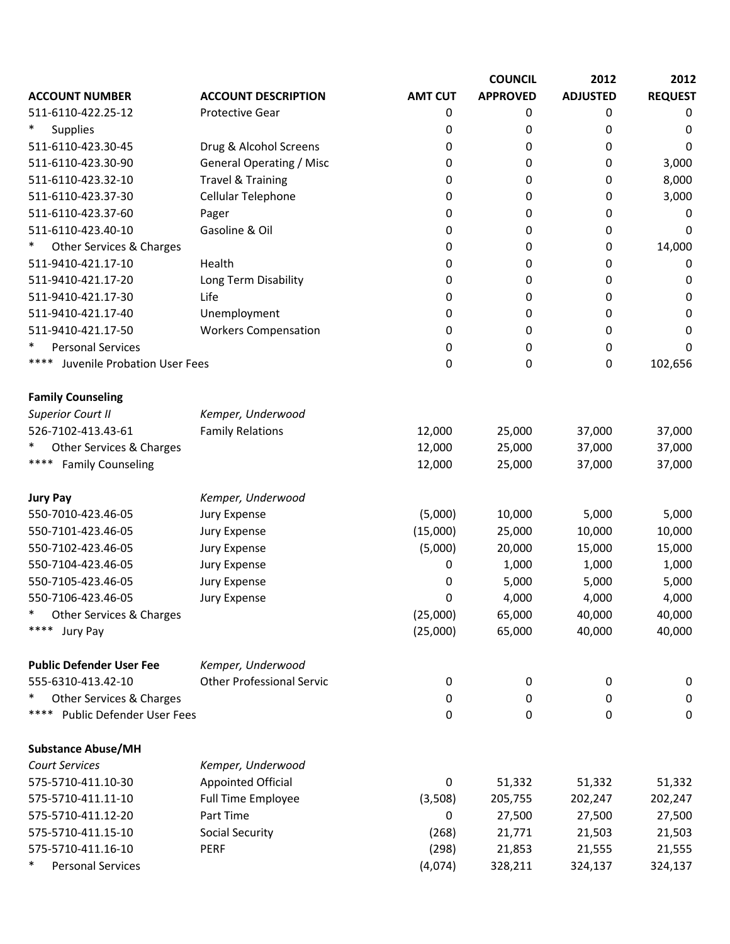|                                      |                                  |                | <b>COUNCIL</b>  | 2012            | 2012           |
|--------------------------------------|----------------------------------|----------------|-----------------|-----------------|----------------|
| <b>ACCOUNT NUMBER</b>                | <b>ACCOUNT DESCRIPTION</b>       | <b>AMT CUT</b> | <b>APPROVED</b> | <b>ADJUSTED</b> | <b>REQUEST</b> |
| 511-6110-422.25-12                   | <b>Protective Gear</b>           | 0              | 0               | 0               | 0              |
| $\ast$<br><b>Supplies</b>            |                                  | 0              | 0               | 0               | 0              |
| 511-6110-423.30-45                   | Drug & Alcohol Screens           | 0              | 0               | 0               | 0              |
| 511-6110-423.30-90                   | <b>General Operating / Misc</b>  | 0              | 0               | 0               | 3,000          |
| 511-6110-423.32-10                   | <b>Travel &amp; Training</b>     | 0              | 0               | 0               | 8,000          |
| 511-6110-423.37-30                   | Cellular Telephone               | 0              | 0               | 0               | 3,000          |
| 511-6110-423.37-60                   | Pager                            | 0              | 0               | 0               | 0              |
| 511-6110-423.40-10                   | Gasoline & Oil                   | 0              | 0               | 0               | 0              |
| $\ast$<br>Other Services & Charges   |                                  | 0              | 0               | 0               | 14,000         |
| 511-9410-421.17-10                   | Health                           | 0              | 0               | 0               | 0              |
| 511-9410-421.17-20                   | Long Term Disability             | 0              | 0               | 0               | 0              |
| 511-9410-421.17-30                   | Life                             | 0              | 0               | 0               | 0              |
| 511-9410-421.17-40                   | Unemployment                     | 0              | 0               | 0               | 0              |
| 511-9410-421.17-50                   | <b>Workers Compensation</b>      | 0              | 0               | 0               | 0              |
| $\ast$<br><b>Personal Services</b>   |                                  | 0              | 0               | 0               | 0              |
| ****<br>Juvenile Probation User Fees |                                  | 0              | 0               | 0               | 102,656        |
| <b>Family Counseling</b>             |                                  |                |                 |                 |                |
| <b>Superior Court II</b>             | Kemper, Underwood                |                |                 |                 |                |
| 526-7102-413.43-61                   | <b>Family Relations</b>          | 12,000         | 25,000          | 37,000          | 37,000         |
| Other Services & Charges<br>$\ast$   |                                  | 12,000         | 25,000          | 37,000          | 37,000         |
| ****<br><b>Family Counseling</b>     |                                  | 12,000         | 25,000          | 37,000          | 37,000         |
| <b>Jury Pay</b>                      | Kemper, Underwood                |                |                 |                 |                |
| 550-7010-423.46-05                   | Jury Expense                     | (5,000)        | 10,000          | 5,000           | 5,000          |
| 550-7101-423.46-05                   | Jury Expense                     | (15,000)       | 25,000          | 10,000          | 10,000         |
| 550-7102-423.46-05                   | Jury Expense                     | (5,000)        | 20,000          | 15,000          | 15,000         |
| 550-7104-423.46-05                   | Jury Expense                     | 0              | 1,000           | 1,000           | 1,000          |
| 550-7105-423.46-05                   | Jury Expense                     | 0              | 5,000           | 5,000           | 5,000          |
| 550-7106-423.46-05                   | Jury Expense                     | 0              | 4,000           | 4,000           | 4,000          |
| ∗<br>Other Services & Charges        |                                  | (25,000)       | 65,000          | 40,000          | 40,000         |
| ****<br>Jury Pay                     |                                  | (25,000)       | 65,000          | 40,000          | 40,000         |
| <b>Public Defender User Fee</b>      | Kemper, Underwood                |                |                 |                 |                |
| 555-6310-413.42-10                   | <b>Other Professional Servic</b> | 0              | 0               | 0               | 0              |
| $\ast$<br>Other Services & Charges   |                                  | 0              | 0               | 0               | 0              |
| ****<br>Public Defender User Fees    |                                  | 0              | 0               | 0               | $\mathbf 0$    |
| <b>Substance Abuse/MH</b>            |                                  |                |                 |                 |                |
| <b>Court Services</b>                | Kemper, Underwood                |                |                 |                 |                |
| 575-5710-411.10-30                   | <b>Appointed Official</b>        | $\mathbf 0$    | 51,332          | 51,332          | 51,332         |
| 575-5710-411.11-10                   | Full Time Employee               | (3,508)        | 205,755         | 202,247         | 202,247        |
| 575-5710-411.12-20                   | Part Time                        | 0              | 27,500          | 27,500          | 27,500         |
| 575-5710-411.15-10                   | <b>Social Security</b>           | (268)          | 21,771          | 21,503          | 21,503         |
| 575-5710-411.16-10                   | PERF                             | (298)          | 21,853          | 21,555          | 21,555         |
| ∗<br><b>Personal Services</b>        |                                  | (4,074)        | 328,211         | 324,137         | 324,137        |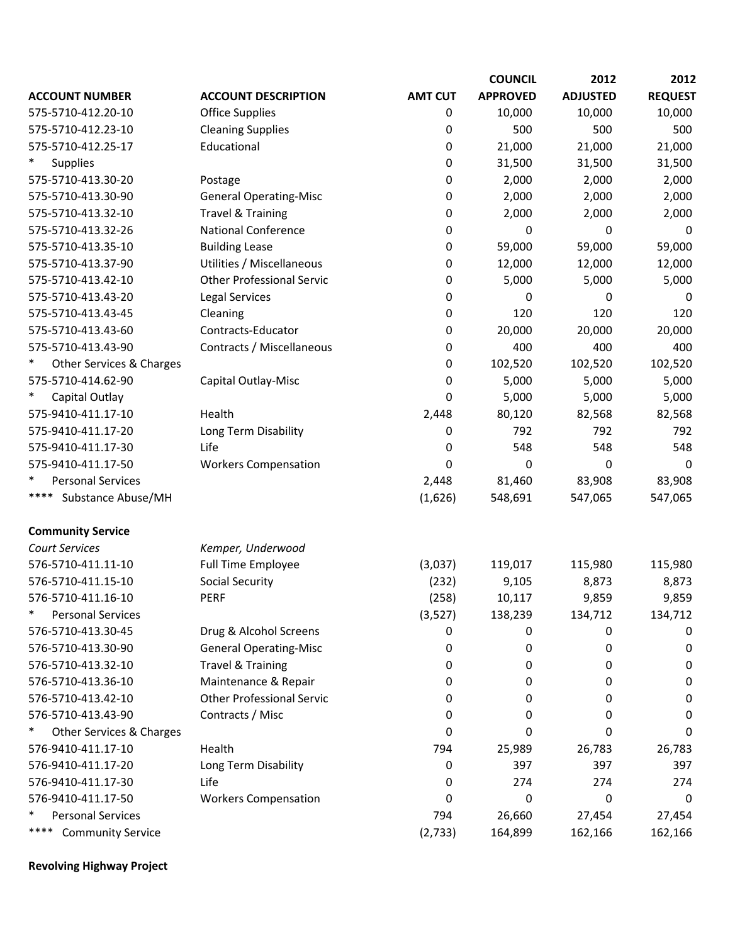|                            |                                  |                | <b>COUNCIL</b>  | 2012            | 2012           |
|----------------------------|----------------------------------|----------------|-----------------|-----------------|----------------|
| <b>ACCOUNT NUMBER</b>      | <b>ACCOUNT DESCRIPTION</b>       | <b>AMT CUT</b> | <b>APPROVED</b> | <b>ADJUSTED</b> | <b>REQUEST</b> |
| 575-5710-412.20-10         | <b>Office Supplies</b>           | 0              | 10,000          | 10,000          | 10,000         |
| 575-5710-412.23-10         | <b>Cleaning Supplies</b>         | 0              | 500             | 500             | 500            |
| 575-5710-412.25-17         | Educational                      | 0              | 21,000          | 21,000          | 21,000         |
| <b>Supplies</b>            |                                  | 0              | 31,500          | 31,500          | 31,500         |
| 575-5710-413.30-20         | Postage                          | 0              | 2,000           | 2,000           | 2,000          |
| 575-5710-413.30-90         | <b>General Operating-Misc</b>    | 0              | 2,000           | 2,000           | 2,000          |
| 575-5710-413.32-10         | <b>Travel &amp; Training</b>     | 0              | 2,000           | 2,000           | 2,000          |
| 575-5710-413.32-26         | <b>National Conference</b>       | 0              | 0               | 0               | 0              |
| 575-5710-413.35-10         | <b>Building Lease</b>            | 0              | 59,000          | 59,000          | 59,000         |
| 575-5710-413.37-90         | Utilities / Miscellaneous        | 0              | 12,000          | 12,000          | 12,000         |
| 575-5710-413.42-10         | <b>Other Professional Servic</b> | 0              | 5,000           | 5,000           | 5,000          |
| 575-5710-413.43-20         | Legal Services                   | 0              | 0               | 0               | $\Omega$       |
| 575-5710-413.43-45         | Cleaning                         | 0              | 120             | 120             | 120            |
| 575-5710-413.43-60         | Contracts-Educator               | 0              | 20,000          | 20,000          | 20,000         |
| 575-5710-413.43-90         | Contracts / Miscellaneous        | 0              | 400             | 400             | 400            |
| Other Services & Charges   |                                  | 0              | 102,520         | 102,520         | 102,520        |
| 575-5710-414.62-90         | Capital Outlay-Misc              | $\mathbf 0$    | 5,000           | 5,000           | 5,000          |
| Capital Outlay             |                                  | 0              | 5,000           | 5,000           | 5,000          |
| 575-9410-411.17-10         | Health                           | 2,448          | 80,120          | 82,568          | 82,568         |
| 575-9410-411.17-20         | Long Term Disability             | 0              | 792             | 792             | 792            |
| 575-9410-411.17-30         | Life                             | 0              | 548             | 548             | 548            |
| 575-9410-411.17-50         | <b>Workers Compensation</b>      | 0              | 0               | 0               | 0              |
| <b>Personal Services</b>   |                                  | 2,448          | 81,460          | 83,908          | 83,908         |
| ****<br>Substance Abuse/MH |                                  | (1,626)        | 548,691         | 547,065         | 547,065        |
| <b>Community Service</b>   |                                  |                |                 |                 |                |
| <b>Court Services</b>      | Kemper, Underwood                |                |                 |                 |                |
| 576-5710-411.11-10         | <b>Full Time Employee</b>        | (3,037)        | 119,017         | 115,980         | 115,980        |
| 576-5710-411.15-10         | <b>Social Security</b>           | (232)          | 9,105           | 8,873           | 8,873          |
| 576-5710-411.16-10         | PERF                             | (258)          | 10,117          | 9,859           | 9,859          |
| <b>Personal Services</b>   |                                  | (3,527)        | 138,239         | 134,712         | 134,712        |
| 576-5710-413.30-45         | Drug & Alcohol Screens           | 0              | 0               | 0               | 0              |
| 576-5710-413.30-90         | <b>General Operating-Misc</b>    | 0              | 0               | 0               | 0              |
| 576-5710-413.32-10         | <b>Travel &amp; Training</b>     | 0              | 0               | 0               | 0              |
| 576-5710-413.36-10         | Maintenance & Repair             | 0              | 0               | 0               | 0              |
| 576-5710-413.42-10         | <b>Other Professional Servic</b> | 0              | 0               | 0               | 0              |
| 576-5710-413.43-90         | Contracts / Misc                 | 0              | 0               | 0               | 0              |
| Other Services & Charges   |                                  | 0              | 0               | 0               | 0              |
| 576-9410-411.17-10         | Health                           | 794            | 25,989          | 26,783          | 26,783         |
| 576-9410-411.17-20         | Long Term Disability             | 0              | 397             | 397             | 397            |
| 576-9410-411.17-30         | Life                             | 0              | 274             | 274             | 274            |
| 576-9410-411.17-50         | <b>Workers Compensation</b>      | 0              | 0               | 0               | 0              |
| <b>Personal Services</b>   |                                  | 794            | 26,660          | 27,454          | 27,454         |
| <b>Community Service</b>   |                                  | (2, 733)       | 164,899         | 162,166         | 162,166        |

**Revolving Highway Project**